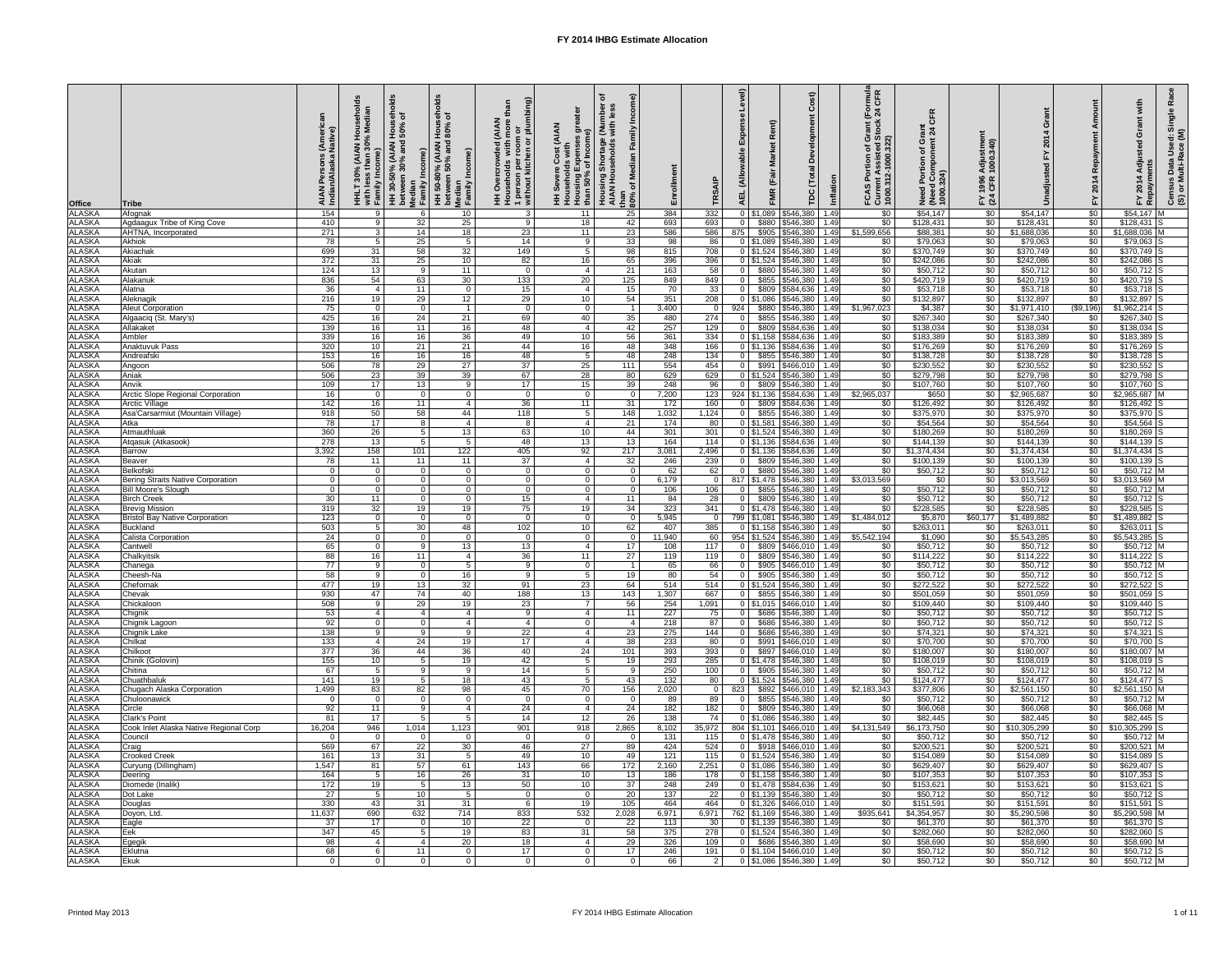| <b>Office</b>                        | <b>Tribe</b>                                            | <b>AIAN</b><br>Indiar | edia<br>Š<br>30%<br>$\boldsymbol{50}$<br>with less<br>Family In | <b>AIAN</b><br>30-50% (АІАN<br>/een 30% anc<br>ome)<br>HH 30-50°<br>between :<br>Median<br>Famil <u>y In</u> | ಕೆ<br>$\overline{5}$<br><b>II</b><br>AIAN)<br>$\widehat{\mathbf{e}}$<br>50-80% (Al<br>ween 50% ،<br>Median<br>Family<br>$\overline{\mathbf{H}}$ $\overline{\mathbf{B}}$ | ଚ<br>도<br>with more tha<br>room or<br>nen or plumbii<br><b>AIAN</b><br>1 person per i<br>without kitche<br>흥<br>$\circ$<br>$\circ$ | <b>AIAN</b><br>Expense:<br>of Incom<br>Household<br>Housing E <b><br/>than 50%</b> o<br>Ŧ | ි<br>Duith<br>Nith<br>≧<br>Housing Shortage<br>AIAN Households<br>dia<br>Š<br>৳<br>than<br>$80\%$ | Enrollment    |                        | evel)<br><b>AEL</b>                       | $\widehat{\pi}$<br>$\alpha$<br>Ă<br>$\overline{\mathsf{C}}$<br>$\overline{\mathsf{F}}$<br><b>FMR</b><br>n<br>5 | Inflation    | <b>Grant (Formula</b><br>d Stock 24 CFR<br>৳<br>non.<br>8 <sup>o</sup><br>ō<br>$\sim$<br>효 분<br><b>FCASP</b><br>Current<br>1000.31 | $\overline{\mathbf{o}}$<br>ပ<br>pa<br>Need Portion<br>(Need Compo<br>1000.324) | stme<br>.340)<br><b>Adjus</b><br>1000.<br>1996<br>CFR<br>$FY$<br>(24 |                                | epay<br>œ<br>201<br>上              | Single<br>Use<br>Datë<br>ulti-l<br>4<br>m/ed<br>$\frac{6}{2}$<br>201<br>nsu<br>I or I<br>၉ဳ ၈<br>$\sum$ |
|--------------------------------------|---------------------------------------------------------|-----------------------|-----------------------------------------------------------------|--------------------------------------------------------------------------------------------------------------|-------------------------------------------------------------------------------------------------------------------------------------------------------------------------|------------------------------------------------------------------------------------------------------------------------------------|-------------------------------------------------------------------------------------------|---------------------------------------------------------------------------------------------------|---------------|------------------------|-------------------------------------------|----------------------------------------------------------------------------------------------------------------|--------------|------------------------------------------------------------------------------------------------------------------------------------|--------------------------------------------------------------------------------|----------------------------------------------------------------------|--------------------------------|------------------------------------|---------------------------------------------------------------------------------------------------------|
| <b>ALASKA</b><br><b>ALASKA</b>       | Afognak<br>Agdaagux Tribe of King Cove                  | 154<br>410            | - 9<br>9                                                        | 32                                                                                                           | 10<br>25                                                                                                                                                                | -3<br>-9                                                                                                                           | 11<br>18                                                                                  | 25<br>42                                                                                          | 384<br>693    | 332<br>693             | $0$ \$1,089<br>$\mathbf 0$<br>\$880       | \$546,380<br>\$546,380                                                                                         | 1.49<br>1.49 | $\sqrt{60}$<br>$\sqrt{60}$                                                                                                         | \$54,147<br>\$128,431                                                          | $\overline{50}$<br>$\sqrt{50}$                                       | \$54,147<br>\$128,431          | $\overline{50}$<br>\$0             | $$54,147$ M<br>\$128,431                                                                                |
| <b>ALASKA</b>                        | <b>AHTNA, Incorporated</b>                              | 271                   | 3 <sup>5</sup>                                                  | 14                                                                                                           | 18                                                                                                                                                                      | 23                                                                                                                                 | 11                                                                                        | 23                                                                                                | 586           | 586                    | 875<br>\$905                              | \$546,380                                                                                                      | 1.49         | \$1,599,656                                                                                                                        | \$88,381                                                                       | $\sqrt{60}$                                                          | \$1,688,036                    | $\overline{60}$                    | \$1,688,036 M                                                                                           |
| <b>ALASKA</b>                        | <b>Akhiok</b>                                           | 78                    | - 5                                                             | 25                                                                                                           | 5                                                                                                                                                                       | 14                                                                                                                                 | - 9                                                                                       | 33                                                                                                | 98            | 86                     | $0$ \$1,089                               | \$546,380                                                                                                      | 1.49         | \$0                                                                                                                                | \$79,063                                                                       | \$0                                                                  | \$79,063                       | $\sqrt{6}$                         | \$79,063                                                                                                |
| <b>ALASKA</b><br><b>ALASKA</b>       | Akiachak<br>Akiak                                       | 699<br>372            | 31<br>31                                                        | 58<br>25                                                                                                     | 32<br>10 <sup>1</sup>                                                                                                                                                   | 149<br>82                                                                                                                          | -5<br>16                                                                                  | 98<br>65                                                                                          | 815<br>396    | 708<br>396             | $0$ \$1,524                               | \$546,380<br>$0$   \$1,524   \$546,380                                                                         | 1.49<br>1.49 | $\sqrt[6]{30}$<br>$\sqrt{60}$                                                                                                      | \$370,749<br>\$242,086                                                         | $\sqrt[6]{30}$<br>\$0                                                | \$370,749<br>\$242,086         | \$0<br>$\sqrt{6}$                  | $$370,749$ S<br>\$242,086                                                                               |
| <b>ALASKA</b>                        | Akutan                                                  | 124                   | 13                                                              | - 9                                                                                                          | 11                                                                                                                                                                      | - 0                                                                                                                                | - 4                                                                                       | 21                                                                                                | 163           | 58                     | $\overline{0}$<br>\$880                   | \$546,380                                                                                                      | 1.49         | $\sqrt{60}$                                                                                                                        | \$50,712                                                                       | $\sqrt{60}$                                                          | \$50,712                       | \$0                                | $$50,712$ S                                                                                             |
| <b>ALASKA</b>                        | Alakanuk                                                | 836                   | 54                                                              | 63                                                                                                           | 30 <sup>1</sup>                                                                                                                                                         | 133                                                                                                                                | 20                                                                                        | 125                                                                                               | 849           | 849                    | $\overline{0}$                            | \$855 \$546,380                                                                                                | 1.49         | \$0                                                                                                                                | \$420,719                                                                      | \$0                                                                  | \$420,719                      | $\overline{50}$                    | $$420,719$ S                                                                                            |
| <b>ALASKA</b>                        | Alatna                                                  | 36                    | $\overline{4}$                                                  | 11                                                                                                           | $\Omega$                                                                                                                                                                | 15                                                                                                                                 | - 4                                                                                       | 15 <sub>1</sub>                                                                                   | 70            | 33                     | \$809<br>$\Omega$                         | \$584,636                                                                                                      | 1.49         | \$0                                                                                                                                | \$53,718                                                                       | \$0                                                                  | \$53,718                       | \$0                                | $$53,718$ S                                                                                             |
| <b>ALASKA</b><br><b>ALASKA</b>       | Aleknagik                                               | 216<br>75             | 19                                                              | 29                                                                                                           | 12 <sub>2</sub>                                                                                                                                                         | 29                                                                                                                                 | 10                                                                                        | 54                                                                                                | 351           | 208<br>$\Omega$        | $0$ \$1,086                               | \$546,380                                                                                                      | 1.49<br>1.49 | \$0<br>\$1,967,023                                                                                                                 | \$132,897<br>\$4,387                                                           | \$0                                                                  | \$132,897                      | $\overline{50}$<br>( \$9,196)      | \$132,897                                                                                               |
| <b>ALASKA</b>                        | <b>Aleut Corporation</b><br>Algaaciq (St. Mary's)       | 425                   | $\overline{0}$<br>16                                            | - 0<br>24                                                                                                    | 21                                                                                                                                                                      | - 0<br>69                                                                                                                          | - 0<br>40                                                                                 | 35                                                                                                | 3,400<br>480  | 274                    | 924<br>\$880<br>\$855<br>$\overline{0}$   | $\sqrt{546,380}$<br>\$546,380                                                                                  | 1.49         | \$0                                                                                                                                | \$267,340                                                                      | $\sqrt[6]{30}$<br>$\sqrt{60}$                                        | \$1,971,410<br>\$267,340       | $\sqrt{6}$                         | \$1,962,214<br>$$267,340$ S                                                                             |
| <b>ALASKA</b>                        | Allakaket                                               | 139                   | 16                                                              | 11                                                                                                           | 16                                                                                                                                                                      | 48                                                                                                                                 | -4                                                                                        | 42                                                                                                | 257           | 129                    | \$809<br>$\overline{0}$                   | 5584,636                                                                                                       | 1.49         | $\sqrt[6]{30}$                                                                                                                     | \$138,034                                                                      | $\sqrt{60}$                                                          | \$138,034                      | $\overline{50}$                    | \$138,034                                                                                               |
| <b>ALASKA</b>                        | Ambler                                                  | 339                   | 16                                                              | 16                                                                                                           | 36 <sup>°</sup>                                                                                                                                                         | 49                                                                                                                                 | 10 <sup>°</sup>                                                                           | 56                                                                                                | 361           | $\overline{334}$       | $0 \mid $1,158$                           | 5584,636                                                                                                       | 1.49         | \$0                                                                                                                                | \$183,389                                                                      | $\sqrt{60}$                                                          | \$183,389                      | $\sqrt{50}$                        | $$183,389$ S                                                                                            |
| <b>ALASKA</b><br><b>ALASKA</b>       | Anaktuvuk Pass                                          | 320                   | 10 <sup>°</sup>                                                 | 21                                                                                                           | 21                                                                                                                                                                      | 44                                                                                                                                 | 16                                                                                        | 48                                                                                                | 348           | 166                    | $\boxed{0}$ \ \$1,136                     | 5584,636                                                                                                       | 1.49         | \$0                                                                                                                                | \$176,269                                                                      | \$0                                                                  | \$176,269                      | $\sqrt{6}$                         | $$176,269$ S                                                                                            |
| <b>ALASKA</b>                        | Andreafsk<br>Angoon                                     | 153<br>506            | 16<br>78                                                        | 16<br>29                                                                                                     | 16<br>27                                                                                                                                                                | 48<br>$\overline{37}$                                                                                                              | -5<br>25                                                                                  | 48<br>111                                                                                         | 248<br>554    | 134<br>454             | $\overline{0}$<br>\$991<br>$\overline{0}$ | \$855 \$546,380<br>$$466,010$ 1.49                                                                             | 1.49         | \$0<br>\$0                                                                                                                         | \$138,728<br>\$230,552                                                         | \$0<br>\$0                                                           | \$138,728<br>\$230,552         | \$0<br>\$0                         | $$138,728$ S<br>$$230,552$ S                                                                            |
| <b>ALASKA</b>                        | Aniak                                                   | 506                   | 23                                                              | 39                                                                                                           | 39                                                                                                                                                                      | 67                                                                                                                                 | 28                                                                                        | 80                                                                                                | 629           | 629                    |                                           | $0$   \$1,524   \$546,380                                                                                      | 1.49         | \$0                                                                                                                                | \$279,798                                                                      | \$0                                                                  | \$279,798                      | $\sqrt{6}$                         | $$279,798$ S                                                                                            |
| <b>ALASKA</b>                        | Anvik                                                   | 109                   | 17                                                              | 13                                                                                                           | 9                                                                                                                                                                       | 17                                                                                                                                 | 15                                                                                        | 39                                                                                                | 248           | 96                     | \$809                                     | $\sqrt{5546,380}$                                                                                              | 1.49         | $\sqrt[6]{30}$                                                                                                                     | \$107,760                                                                      | \$0                                                                  | \$107,760                      | $\sqrt[6]{30}$                     | $$107,760$ S                                                                                            |
|                                      | <b>Arctic Slope Regional Corporation</b>                | 16<br>142             | $\overline{\mathbf{0}}$                                         | - 0                                                                                                          | $\overline{0}$                                                                                                                                                          | - 0                                                                                                                                | - 0<br>11                                                                                 | $\Omega$                                                                                          | 7,200         | 123                    | 924<br>\$1,136<br>\$809                   | \$584,636<br>\$584,636                                                                                         | 1.49         | \$2,965,037<br>\$0                                                                                                                 | \$650<br>\$126,492                                                             | \$0<br>\$0                                                           | \$2,965,687<br>\$126,492       | $\sqrt{6}$<br>$\overline{50}$      | \$2,965,687<br>$$126,492$ S                                                                             |
| ALASKA<br>ALASKA<br>ALASKA<br>ALASKA | Arctic Village<br>Asa'Carsarmiut (Mountain Village)     | 918                   | 16<br>50                                                        | 11<br>58                                                                                                     | 44                                                                                                                                                                      | 36<br>118                                                                                                                          | -5                                                                                        | 31<br>148                                                                                         | 172<br>1,032  | 160<br>,124            | \$855<br>$\Omega$                         | \$546,380                                                                                                      | 1.49<br>1.49 | $\overline{50}$                                                                                                                    | \$375,970                                                                      | \$0                                                                  | \$375,970                      | $\sqrt{6}$                         | \$375,970 S                                                                                             |
|                                      | Atka                                                    | 78                    | 17                                                              | -8                                                                                                           |                                                                                                                                                                         | -8                                                                                                                                 | -4                                                                                        | 21                                                                                                | 174           | 80                     |                                           | $0$   \$1,581   \$546,380                                                                                      | 1.49         | \$0                                                                                                                                | \$54,564                                                                       | \$0                                                                  | \$54,564                       | $\sqrt{6}$                         | $$54,564$ S                                                                                             |
| <b>ALASKA</b>                        | Atmauthluak                                             | 360                   | $\overline{26}$                                                 |                                                                                                              | 13                                                                                                                                                                      | 63                                                                                                                                 | 10                                                                                        | 44                                                                                                | 301           | 301                    |                                           | 0 \$1,524 \$546,380 1.49                                                                                       |              | \$0                                                                                                                                | \$180,269                                                                      | \$0                                                                  | \$180,269                      | \$0                                | $$180,269$ S                                                                                            |
| <b>ALASKA</b><br><b>ALASKA</b>       | Atgasuk (Atkasook)<br><b>Barrow</b>                     | 278<br>3,392          | $\overline{13}$<br>158                                          | 101                                                                                                          | 122                                                                                                                                                                     | 48<br>405                                                                                                                          | 13<br>92                                                                                  | 13<br>217                                                                                         | 164<br>3,081  | 114<br>2,496           |                                           | $0$   \$1,136   \$584,636   1.49<br>\$584,636                                                                  | 1.49         | $\sqrt{60}$<br>$\overline{50}$                                                                                                     | \$144,139<br>\$1,374,434                                                       | $\sqrt{60}$<br>\$0                                                   | \$144,139<br>\$1,374,434       | \$0<br>$\overline{50}$             | $$144,139$ S<br>$$1,374,434$ S                                                                          |
| <b>ALASKA</b>                        | Beaver                                                  | 78                    | $\overline{11}$                                                 | 11                                                                                                           | 11                                                                                                                                                                      | 37                                                                                                                                 |                                                                                           | 32                                                                                                | 246           | 239                    | $\Omega$<br>\$809                         | \$546,380                                                                                                      | 1.49         | $\sqrt{60}$                                                                                                                        | \$100,139                                                                      | \$0                                                                  | \$100,139                      | $\overline{50}$                    | $$100, 139$ S                                                                                           |
| <b>ALASKA</b>                        | <b>Belkofski</b>                                        | - റ                   | - 0                                                             |                                                                                                              | $\Omega$                                                                                                                                                                | $\Omega$                                                                                                                           |                                                                                           |                                                                                                   | 62            | 62                     | \$880<br>$\Omega$                         | \$546,380                                                                                                      | 1.49         | \$0                                                                                                                                | \$50,712                                                                       | \$0                                                                  | \$50,712                       | $\sqrt{50}$                        | $$50,712$ M                                                                                             |
| <b>ALASKA</b>                        | <b>Bering Straits Native Corporation</b>                | $\Omega$              |                                                                 |                                                                                                              | $\Omega$                                                                                                                                                                |                                                                                                                                    | <u>_ ೧</u>                                                                                |                                                                                                   | 6,179         |                        | 817   \$1.478                             | \$546,380                                                                                                      | 1.49         | \$3,013,569                                                                                                                        | \$0                                                                            | \$0                                                                  | \$3,013,569                    | \$0                                | $$3,013,569$ M                                                                                          |
| <b>ALASKA</b><br><b>ALASKA</b>       | <b>Bill Moore's Slough</b><br><b>Birch Creek</b>        | - റ<br>30             | - 0<br>$\overline{11}$                                          | - റ<br>- 0                                                                                                   | $\Omega$<br>$\Omega$                                                                                                                                                    | $\Omega$<br>15                                                                                                                     | - റ<br>$\overline{A}$                                                                     | $\Omega$<br>11                                                                                    | 106<br>84     | 106<br>$\overline{28}$ | $\Omega$<br>$\Omega$                      | \$855   \$546,380<br>\$809 \$546,380                                                                           | 1.49<br>1.49 | \$0<br>$\overline{50}$                                                                                                             | \$50,712<br>\$50,712                                                           | \$0<br>$\sqrt{60}$                                                   | \$50,712<br>\$50,712           | $\overline{50}$<br>$\overline{50}$ | \$50,712 M<br>\$50,712                                                                                  |
| <b>ALASKA</b>                        | <b>Brevig Mission</b>                                   | 319                   | $\overline{32}$                                                 | 19                                                                                                           | 19                                                                                                                                                                      | 75                                                                                                                                 | 19                                                                                        | 34                                                                                                | 323           | 341                    |                                           | 0   \$1,478   \$546,380                                                                                        | 1.49         | $\overline{30}$                                                                                                                    | \$228,585                                                                      | $\overline{50}$                                                      | \$228,585                      | $\overline{50}$                    | \$228,585                                                                                               |
| <b>ALASKA</b>                        | <b>Bristol Bay Native Corporation</b>                   | 123                   | $\overline{0}$                                                  |                                                                                                              | $\Omega$                                                                                                                                                                |                                                                                                                                    | - 0                                                                                       | $\Omega$                                                                                          | 5,945         |                        | 799 \$1,081                               | $\frac{1}{546,380}$                                                                                            | 1.49         | \$1,484,012                                                                                                                        | \$5,870                                                                        | \$60,177                                                             | \$1,489,882                    | \$0                                | \$1,489,882                                                                                             |
| <b>ALASKA</b>                        | <b>Buckland</b>                                         | 503                   | 5                                                               | 30                                                                                                           | 48                                                                                                                                                                      | 102                                                                                                                                | 10                                                                                        | 62                                                                                                | 407           | 385                    | $\sqrt{0}$ \ \$1,158                      | \$546,380                                                                                                      | 1.49         | \$0                                                                                                                                | \$263,011                                                                      | \$0                                                                  | \$263,011                      | \$0                                | \$263,011                                                                                               |
| <b>ALASKA</b><br><b>ALASKA</b>       | Calista Corporation<br>Cantwell                         | 24<br>65              | - 0<br>$\overline{0}$                                           | - Q                                                                                                          | 13                                                                                                                                                                      | -13                                                                                                                                | - ೧<br>$\overline{4}$                                                                     | 17                                                                                                | 11,940<br>108 | 60<br>117              | 954 \$1,524<br>\$809<br>$\Omega$          | \$546,380<br>\$466,010 1.49                                                                                    | 1.49         | \$5,542,194<br>$\overline{50}$                                                                                                     | \$1,090<br>\$50,712                                                            | \$0<br>$\sqrt{60}$                                                   | \$5,543,285<br>\$50,712        | $\overline{50}$<br>$\overline{50}$ | \$5,543,285<br>\$50,712 M                                                                               |
| <b>ALASKA</b>                        | Chalkyitsik                                             | 88                    | 16                                                              | 11                                                                                                           |                                                                                                                                                                         | 36                                                                                                                                 | 11                                                                                        | 27                                                                                                | 119           | 119                    | \$809<br>$\Omega$                         | \$546,380 1.49                                                                                                 |              | $\overline{50}$                                                                                                                    | \$114,222                                                                      | $\sqrt{$0}$                                                          | \$114,222                      | \$0                                | $$114,222$ S                                                                                            |
| <b>ALASKA</b>                        | Chanega                                                 | $\overline{77}$       | 9                                                               | - 0                                                                                                          |                                                                                                                                                                         | Q                                                                                                                                  | - ೧                                                                                       |                                                                                                   | 65            | 66                     | \$905<br>$\Omega$                         | S466.010                                                                                                       | 1.49         | $\sqrt{60}$                                                                                                                        | \$50,712                                                                       | $\sqrt{$0}$                                                          | \$50,712                       | $\overline{50}$                    | $$50,712$ M                                                                                             |
| <b>ALASKA</b>                        | Cheesh-Na                                               | 58                    | 9                                                               | - റ                                                                                                          | 16                                                                                                                                                                      | q                                                                                                                                  | -5                                                                                        | 19 <sup>1</sup>                                                                                   | 80            | 54                     | \$905<br>$\Omega$                         | \$546,380                                                                                                      | 1.49         | $\sqrt{60}$                                                                                                                        | \$50,712                                                                       | $\sqrt{60}$                                                          | \$50,712                       | $\overline{50}$                    | $$50,712$ S                                                                                             |
| <b>ALASKA</b><br><b>ALASKA</b>       | Chefornak<br>Chevak                                     | 477<br>930            | 19<br>47                                                        | 13<br>74                                                                                                     | 32<br>40                                                                                                                                                                | 91<br>188                                                                                                                          | 23<br>13                                                                                  | 64<br>143                                                                                         | 514<br>1,307  | 514<br>667             | $\overline{0}$                            | $0$   \$1,524   \$546,380<br>\$855 \$546,380                                                                   | 1.49<br>1.49 | \$0<br>$\sqrt{50}$                                                                                                                 | \$272,522<br>\$501,059                                                         | \$0<br>\$0                                                           | \$272,522<br>\$501,059         | $\overline{50}$<br>$\overline{50}$ | $$272,522$ S<br>\$501,059                                                                               |
| <b>ALASKA</b>                        | Chickaloon                                              | 508                   | - 9                                                             | 29                                                                                                           | 19                                                                                                                                                                      | 23                                                                                                                                 |                                                                                           | 56                                                                                                | 254           | 1,091                  |                                           | $0$ \$1,015 \$466,010 1.49                                                                                     |              | $\sqrt{60}$                                                                                                                        | \$109,440                                                                      | $\sqrt{60}$                                                          | \$109,440                      | $\overline{30}$                    | $$109,440$ S                                                                                            |
| <b>ALASKA</b>                        | Chignik                                                 | 53                    | $\overline{\mathcal{A}}$                                        |                                                                                                              |                                                                                                                                                                         |                                                                                                                                    |                                                                                           | 11                                                                                                | 227           | 75                     | $\Omega$                                  | \$686 \$546,380                                                                                                | 1.49         | $\overline{50}$                                                                                                                    | \$50,712                                                                       | \$0                                                                  | \$50,712                       | $\sqrt{6}$                         | $$50,712$ S                                                                                             |
| <b>ALASKA</b><br><b>ALASKA</b>       | Chignik Lagoon                                          | $\overline{92}$       | $\overline{0}$<br>-9                                            |                                                                                                              | Q                                                                                                                                                                       |                                                                                                                                    |                                                                                           |                                                                                                   | 218<br>275    | 87                     |                                           | \$686 \$546,380                                                                                                | 1.49         | $\sqrt{60}$<br>$\overline{50}$                                                                                                     | \$50,712<br>\$74,321                                                           | $\sqrt{60}$                                                          | \$50,712<br>\$74,321           | $\sqrt{6}$<br>$\overline{50}$      | $$50,712$ S<br>\$74,321                                                                                 |
| <b>ALASKA</b>                        | Chignik Lake<br>Chilkat                                 | 138<br>133            | -4                                                              | 24                                                                                                           | 19                                                                                                                                                                      | 22<br>17                                                                                                                           |                                                                                           | 23<br>38                                                                                          | 233           | 144<br>80              | \$991                                     | \$686   \$546,380<br>\$466,010 1.49                                                                            | 1.49         | $\overline{50}$                                                                                                                    | \$70,700                                                                       | $\sqrt{60}$<br>$\sqrt{60}$                                           | \$70,700                       | $\overline{50}$                    | $$70,700$ S                                                                                             |
| <b>ALASKA</b>                        | Chilkoot                                                | 377                   | $\overline{36}$                                                 | 44                                                                                                           | $\overline{36}$                                                                                                                                                         | 40                                                                                                                                 | 24                                                                                        | 101                                                                                               | 393           | 393                    | \$897                                     | \$466,010 1.49                                                                                                 |              | $\overline{50}$                                                                                                                    | \$180,007                                                                      | $\sqrt{60}$                                                          | \$180,007                      | $\overline{50}$                    | \$180,007                                                                                               |
| <b>ALASKA</b>                        | Chinik (Golovin)                                        | 155                   | 10 <sup>°</sup>                                                 |                                                                                                              | 19                                                                                                                                                                      | 42                                                                                                                                 |                                                                                           | 19                                                                                                | 293           | 285                    |                                           | 0   \$1,478   \$546,380                                                                                        | 1.49         | $\overline{50}$                                                                                                                    | \$108,019                                                                      | $\sqrt{60}$                                                          | \$108,019                      | $\overline{50}$                    | $$108,019$ S                                                                                            |
| <b>ALASKA</b><br><b>ALASKA</b>       | Chitina<br>Chuathbaluk                                  | 67<br>141             | - 5<br>19                                                       | - 0                                                                                                          | $\Omega$<br>18                                                                                                                                                          | 14<br>43                                                                                                                           |                                                                                           | $\Omega$<br>43                                                                                    | 250<br>132    | 100<br>80              | \$905                                     | \$546,380<br>$0$   \$1,524   \$546,380   1.49                                                                  | 1.49         | \$0<br>$\overline{30}$                                                                                                             | \$50,712<br>\$124,477                                                          | \$0<br>$\sqrt{60}$                                                   | \$50,712<br>\$124,477          | $\overline{50}$<br>$\overline{50}$ | \$50,712 M<br>$$124,477$ S                                                                              |
| <b>ALASKA</b>                        | Chugach Alaska Corporation                              | 1,499                 | 83                                                              | 82                                                                                                           | 98                                                                                                                                                                      | 45                                                                                                                                 | 70                                                                                        | 156                                                                                               | 2,020         |                        | 823<br>\$892                              | \$466,010                                                                                                      | 1.49         | \$2,183,343                                                                                                                        | \$377,806                                                                      | \$0                                                                  | \$2,561,150                    | $\overline{50}$                    | $$2,561,150$ M                                                                                          |
| <b>ALASKA</b>                        | Chuloonawick                                            | $\Omega$              | $\overline{0}$                                                  |                                                                                                              | $\cap$                                                                                                                                                                  |                                                                                                                                    | - ೧                                                                                       | $\Omega$                                                                                          | 89            | 89                     | \$855<br>$\Omega$                         | \$546,380                                                                                                      | 1.49         | \$0                                                                                                                                | \$50,712                                                                       | \$0                                                                  | \$50,712                       | $\overline{50}$                    | $$50,712$ M                                                                                             |
| <b>ALASKA</b>                        | Circle                                                  | 92                    | 11                                                              | ۰q                                                                                                           |                                                                                                                                                                         | 24                                                                                                                                 | $\overline{4}$                                                                            | 24                                                                                                | 182           | 182                    | \$809<br>$\Omega$                         | \$546,380                                                                                                      | 1.49         | \$0                                                                                                                                | \$66,068                                                                       | \$0                                                                  | \$66,068                       | $\sqrt{6}$                         | \$66,068                                                                                                |
| <b>ALASKA</b><br><b>ALASKA</b>       | Clark's Point<br>Cook Inlet Alaska Native Regional Corp | 81<br>16,204          | $\overline{17}$<br>946                                          | 1,014                                                                                                        | 1,123                                                                                                                                                                   | 14<br>901                                                                                                                          | 12 <sup>°</sup><br>918                                                                    | 26<br>2,865                                                                                       | 138<br>8,102  | 74<br>35,972           | $0$ \$1,086<br>$804$ \ \$1,101            | \$546,380<br>\$466,010                                                                                         | 1.49<br>1.49 | \$0<br>\$4,131,549                                                                                                                 | \$82,445<br>\$6,173,750                                                        | \$0                                                                  | \$82,445<br>$$0$ $$10,305,299$ | \$0<br>$\sqrt{6}$                  | \$82,445<br>$$10,305,299$ S                                                                             |
| <b>ALASKA</b>                        | Council                                                 | $\overline{0}$        | $\overline{0}$                                                  | - 0                                                                                                          | $\Omega$                                                                                                                                                                | $\Omega$                                                                                                                           | - 0                                                                                       | $\Omega$                                                                                          | 131           | 115                    |                                           | 0   \$1,478   \$546,380   1.49                                                                                 |              | \$0                                                                                                                                | \$50,712                                                                       | \$0                                                                  | \$50,712                       | $\overline{50}$                    | $$50,712$ M                                                                                             |
| <b>ALASKA</b>                        | Craig                                                   | 569                   | 67                                                              | 22                                                                                                           | 30                                                                                                                                                                      | 46                                                                                                                                 | 27                                                                                        | 89                                                                                                | 424           | 524                    | $\Omega$                                  | \$918   \$466,010   1.49                                                                                       |              | $\sqrt{60}$                                                                                                                        | \$200,521                                                                      | \$0                                                                  | \$200,521                      | $\overline{50}$                    | \$200,521                                                                                               |
| <b>ALASKA</b>                        | <b>Crooked Creek</b>                                    | 161                   | 13                                                              | 31                                                                                                           |                                                                                                                                                                         | 49                                                                                                                                 | 10                                                                                        | 49                                                                                                | 121           | 115                    |                                           | 0 \ \ \$1,524 \ \ \$546,380                                                                                    | 1.49         | \$0                                                                                                                                | \$154,089                                                                      | \$0                                                                  | \$154,089                      | \$0                                | $$154,089$ S                                                                                            |
| <b>ALASKA</b>                        | Curyung (Dillingham)<br>Deering                         | 1,547<br>164          | 81                                                              | 57<br>16                                                                                                     | 61<br>26                                                                                                                                                                | 143<br>31                                                                                                                          | 66<br>10                                                                                  | 172<br>13                                                                                         | 2,160<br>186  | 2,251<br>178           |                                           | 0   \$1,086   \$546,380<br>0 \$1,158 \$546,380 1.49                                                            | 1.49         | \$0<br>ፍ∩                                                                                                                          | \$629,407<br>\$107,353                                                         | \$0<br>$\Omega$                                                      | \$629,407<br>\$107,353         | \$0<br>$\sqrt{50}$                 | \$629,407 S<br>$$107,353$ S                                                                             |
| ALASKA<br>ALASKA                     | Diomede (Inalik)                                        | 172                   | 19                                                              | .<br>- 5                                                                                                     | 13                                                                                                                                                                      | 50                                                                                                                                 | 10 <sup>°</sup>                                                                           | <b>اب</b> ا<br>37                                                                                 | 248           | 249                    |                                           | $0$ \$1,478 \$584,636 1.49                                                                                     |              | Ψ Ο Ι<br>$\sqrt{50}$                                                                                                               | \$153,621                                                                      | - ΨΥ Ι<br>$\frac{1}{6}$                                              | \$153,621                      | $\frac{1}{30}$                     | $$153,621$ S                                                                                            |
| <b>ALASKA</b>                        | Dot Lake                                                | 27                    | 5 <sub>1</sub>                                                  | 10 <sup>°</sup>                                                                                              | 5 <sup>1</sup>                                                                                                                                                          |                                                                                                                                    | - 0                                                                                       | 20 <sub>1</sub>                                                                                   | 137           | 22                     |                                           | $0$ \$1,139 \$546,380 1.49                                                                                     |              | \$0                                                                                                                                | \$50,712                                                                       | \$0                                                                  | \$50,712                       | \$0                                | $$50,712$ S                                                                                             |
| <b>ALASKA</b><br><b>ALASKA</b>       | Douglas                                                 | 330<br>11,637         | 43<br>690                                                       | 31<br>632                                                                                                    | 31<br>714                                                                                                                                                               |                                                                                                                                    | 19<br>532                                                                                 | 105<br>2,028                                                                                      | 464<br>6,971  | 464<br>6,971           |                                           | $0$ \$1,326 \$466,010 1.49<br>762 \$1,169 \$546,380 1.49                                                       |              | \$0<br>\$935,641                                                                                                                   | \$151,591<br>\$4,354,957                                                       | $\frac{1}{2}$                                                        | \$151,591<br>\$5,290,598       | \$0<br>$\sqrt[6]{30}$              | $$151,591$ S<br>\$5,290,598 M                                                                           |
| <b>ALASKA</b>                        | Doyon, Ltd.<br>Eagle                                    | 37                    | 17                                                              |                                                                                                              | 10 <sup>1</sup>                                                                                                                                                         | 833<br>22                                                                                                                          | - 0                                                                                       | 22                                                                                                | 113           | 30 <sup>°</sup>        |                                           | $0$ \$1,139 \$546,380 1.49                                                                                     |              | \$0                                                                                                                                | \$61,370                                                                       | \$0<br>\$0                                                           | \$61,370                       | \$0                                | $$61,370$ S                                                                                             |
| <b>ALASKA</b>                        | Eek                                                     | 347                   | 45                                                              |                                                                                                              | 19                                                                                                                                                                      | 83                                                                                                                                 | 31                                                                                        | 58                                                                                                | 375           | 278                    |                                           | $0$ \$1,524 \$546,380 1.49                                                                                     |              | \$0                                                                                                                                | \$282,060                                                                      | \$0                                                                  | \$282,060                      | $\sqrt{60}$                        | $$282,060$ S                                                                                            |
| <b>ALASKA</b>                        | Egegik                                                  | 98                    | $\overline{4}$                                                  |                                                                                                              | 20 <sup>1</sup>                                                                                                                                                         | 18                                                                                                                                 | -4                                                                                        | 29                                                                                                | 326           | 109                    |                                           | $0$ \$686 \$546,380 1.49                                                                                       |              | $\sqrt{50}$                                                                                                                        | \$58,690                                                                       | $\frac{1}{2}$                                                        | \$58,690                       | $\sqrt[6]{30}$                     | \$58,690 M                                                                                              |
| <b>ALASKA</b>                        | Eklutna                                                 | 68                    |                                                                 | 11                                                                                                           |                                                                                                                                                                         | 17                                                                                                                                 | - 0                                                                                       | 17                                                                                                | 246           | 191                    |                                           | $0$ \$1,104 \$466,010 1.49                                                                                     |              | \$0                                                                                                                                | \$50,712                                                                       | \$0                                                                  | \$50,712                       | \$0                                | $$50,712$ S                                                                                             |
| <b>ALASKA</b>                        | Ekuk                                                    | $\overline{0}$        |                                                                 |                                                                                                              | $\circ$                                                                                                                                                                 | $\Omega$                                                                                                                           | $\Omega$                                                                                  | $\overline{0}$                                                                                    | 66            | $\overline{2}$         |                                           | $0$ \$1,086 \$546,380 1.49                                                                                     |              | \$0                                                                                                                                | \$50,712                                                                       | \$0                                                                  | \$50,712                       | \$0                                | \$50,712 M                                                                                              |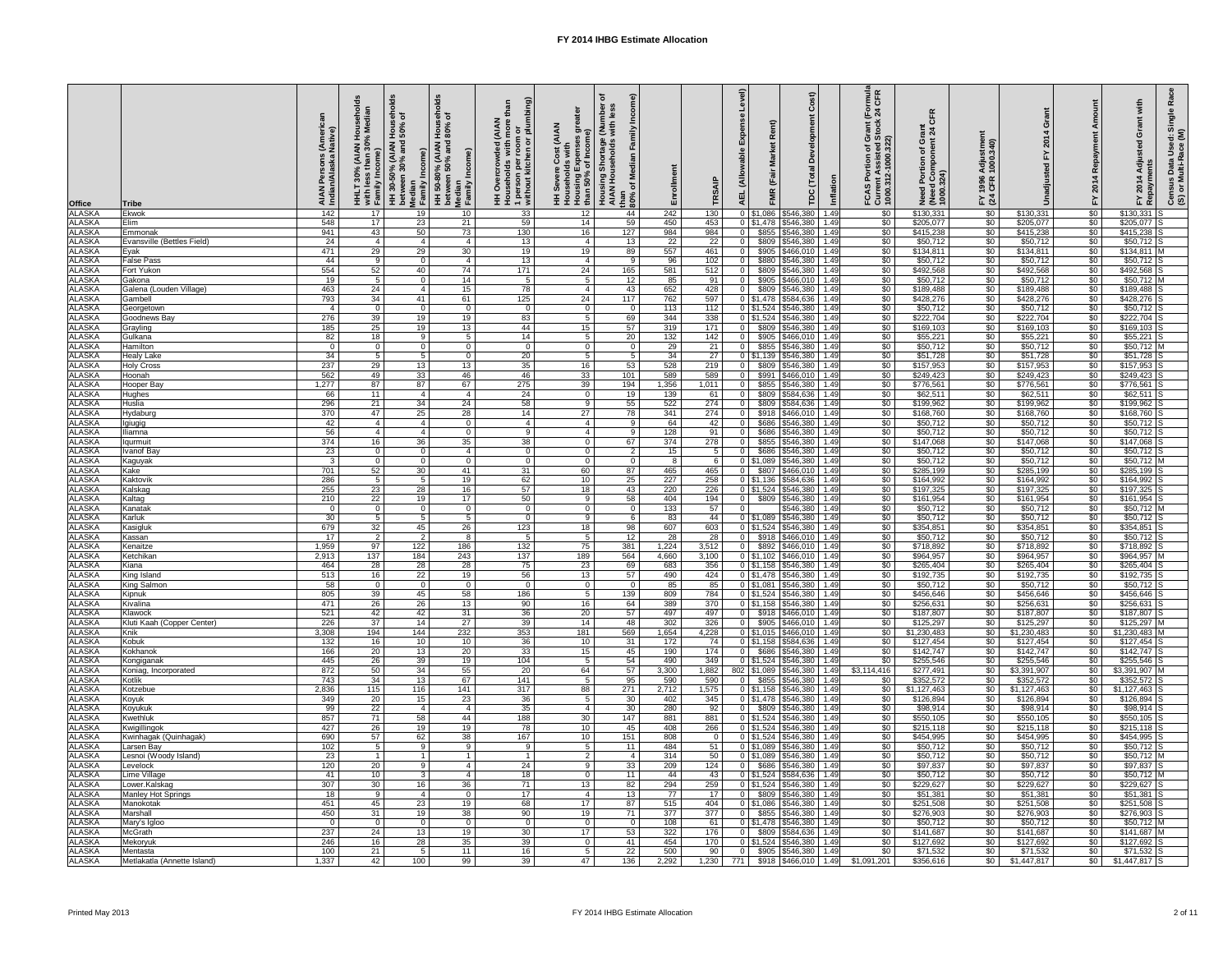|                                                                                                                                                    | Tribe                                   | i (Ameri<br>Native)<br>AIAN<br>Indian | ಕ<br>Media<br>AIAN Ho)<br>han 30% l<br><b>COM</b><br>÷.<br>with less<br>Family Ind<br>$\overline{30}$<br>로<br>도 | old<br>$\frac{2}{9}$ $\frac{1}{9}$<br>%0s<br>50%<br>HH 30-50% (AIAN <del>I</del><br>between 30% and <b>!</b><br>Income)<br>betwee<br>Median<br>Family | olds<br>Hou<br>HH 50-80% (AIAN H<br>between 50% and &<br>Median<br>Family Income) | ි<br>an<br>with more than<br>r room or<br>hen or plumbing<br>(AIAN<br>1 person per r<br>without kitche<br>$\overline{5}$<br>$\mathsf{o}$<br><b>토</b> 훈 | e<br>G<br>G<br><b>AIAN</b><br>ທ<br>Expenses<br>of Income<br>HH Severe<br>Household:<br>Housing E <sub>3</sub><br>than 50% o | ୕ୖ୕ୖ<br>: (Number<br>with less<br>$\frac{1}{2}$<br>Housing Shortage<br>AIAN Households<br>Media<br>ð<br>than<br>$80\%$ | Enrollment                                              |                       | evel)<br>$\widehat{a}$<br>Rent)<br>$\overline{\Phi}$<br>മ്<br>≥<br><b>Total</b><br>(Fair<br>(Alloy<br><b>FMR</b><br><b>AEL</b><br><b>POL</b> | Inflation    | FCAS Portion of Grant (Formul<br>Current Assisted Stock 24 CFR<br>1000.312-1000.322) | $\overline{\mathbf{o}}$<br>ပ<br>ð<br>Need Portion<br>(Need Comport)<br>1000.324) | stme<br>.340)<br><b>Adjus</b><br>1996<br>CFR<br>$F \times 3$ |                                   | Repay<br>$\overline{a}$<br>201<br>$\tilde{F}$ | with<br>$\propto$<br>$rac{e}{\sigma}$<br>Sin<br>$\ddot{\sigma}$<br>ි<br>Use<br>Adju<br>Data<br>ulti-R<br>$\blacktriangleleft$<br>Census<br>(S) or Mu<br>paym<br>201<br>$\mathsf{F}^{\mathsf{Y}}$<br>Re |
|----------------------------------------------------------------------------------------------------------------------------------------------------|-----------------------------------------|---------------------------------------|-----------------------------------------------------------------------------------------------------------------|-------------------------------------------------------------------------------------------------------------------------------------------------------|-----------------------------------------------------------------------------------|--------------------------------------------------------------------------------------------------------------------------------------------------------|-----------------------------------------------------------------------------------------------------------------------------|------------------------------------------------------------------------------------------------------------------------|---------------------------------------------------------|-----------------------|----------------------------------------------------------------------------------------------------------------------------------------------|--------------|--------------------------------------------------------------------------------------|----------------------------------------------------------------------------------|--------------------------------------------------------------|-----------------------------------|-----------------------------------------------|--------------------------------------------------------------------------------------------------------------------------------------------------------------------------------------------------------|
| <b>Office</b><br>ALASKA<br>ALASKA                                                                                                                  | Ekwok                                   | 142                                   | 17                                                                                                              | 19                                                                                                                                                    | 10                                                                                | 33                                                                                                                                                     | 12                                                                                                                          | 44                                                                                                                     | 242                                                     | 130                   | $0$ \$1,086<br>\$546,380                                                                                                                     | 1.49         | $\sqrt{6}$                                                                           | \$130,331                                                                        | $\sqrt{50}$                                                  | \$130,331                         | $\overline{50}$                               | $$130,331$ S                                                                                                                                                                                           |
| <b>ALASKA</b>                                                                                                                                      | Elim<br>Emmonak                         | 548<br>941                            | $\overline{17}$<br>43                                                                                           | 23<br>50                                                                                                                                              | 21<br>73                                                                          | 59<br>130                                                                                                                                              | 14<br>16                                                                                                                    | 59<br>127                                                                                                              | 450<br>984                                              | 453<br>984            | $0 \quad $1,478$<br>\$546,380<br>\$855<br>\$546,380                                                                                          | 1.49<br>1.49 | \$0<br>$\overline{50}$                                                               | \$205,077<br>\$415,238                                                           | $\sqrt{$0}$<br>$\sqrt{60}$                                   | \$205,077<br>\$415,238            | \$0<br>$\overline{50}$                        | $$205,077$ S<br>$$415,238$ S                                                                                                                                                                           |
| ALASKA<br>ALASKA                                                                                                                                   | Evansville (Bettles Field)              | 24                                    | $\overline{4}$                                                                                                  | - 4                                                                                                                                                   | $\overline{4}$                                                                    | 13                                                                                                                                                     | - 4                                                                                                                         | 13                                                                                                                     | 22                                                      | 22                    | \$809<br>\$546,380                                                                                                                           | .49          | \$0                                                                                  | \$50,712                                                                         | \$0                                                          | \$50,712                          | $\sqrt{6}$                                    | $$50,712$ S                                                                                                                                                                                            |
|                                                                                                                                                    | Eyak                                    | 471                                   | 29                                                                                                              | 29                                                                                                                                                    | 30                                                                                | 19                                                                                                                                                     | 19                                                                                                                          | 89                                                                                                                     | 557                                                     | 461                   | \$905 \$466,010                                                                                                                              | 1.49         | \$0                                                                                  | \$134,811                                                                        | \$0                                                          | \$134,811                         | $\sqrt[6]{30}$                                | $$134,811$ M                                                                                                                                                                                           |
| <b>ALASKA</b><br><b>ALASKA</b>                                                                                                                     | <b>False Pass</b><br>Fort Yukon         | 44<br>554                             | 9<br>52                                                                                                         | - 0<br>40                                                                                                                                             | -4<br>74                                                                          | 13<br>171                                                                                                                                              | - 4<br>24                                                                                                                   | - 9<br>165                                                                                                             | 96<br>581                                               | 102<br>512            | \$880<br>\$546,380<br>\$809 \$546,380                                                                                                        | 1.49<br>1.49 | $\sqrt{50}$<br>$\overline{50}$                                                       | \$50,712<br>\$492,568                                                            | \$0<br>$\sqrt{60}$                                           | \$50,712<br>\$492,568             | $\overline{60}$<br>$\sqrt{50}$                | $$50,712$ S<br>$$492,568$ S                                                                                                                                                                            |
| <b>ALASKA</b>                                                                                                                                      | Gakona                                  | 19                                    | $5\overline{5}$                                                                                                 | - 0                                                                                                                                                   | 14                                                                                | -5                                                                                                                                                     | - 5                                                                                                                         | 12                                                                                                                     | 85                                                      | 91                    | \$905   \$466,010                                                                                                                            | 1.49         | $\sqrt{60}$                                                                          | \$50,712                                                                         | \$0                                                          | \$50,712                          | $\sqrt[6]{30}$                                | \$50,712 M                                                                                                                                                                                             |
|                                                                                                                                                    | Galena (Louden Village)                 | 463                                   | 24                                                                                                              | - 4                                                                                                                                                   | 15                                                                                | 78                                                                                                                                                     | $\overline{4}$                                                                                                              | 43                                                                                                                     | 652                                                     | 428                   | \$809<br>\$546,380                                                                                                                           | 1.49         | \$0                                                                                  | \$189,488                                                                        | \$0                                                          | \$189,488                         | \$0                                           | $$189,488$ S                                                                                                                                                                                           |
| ALASKA<br>ALASKA<br>ALASKA<br>ALASKA<br>ALASKA<br>ALASKA<br>ALASKA<br>ALASKA<br>ALASKA<br>ALASKA<br>ALASKA<br>ALASKA<br>ALASKA<br>ALASKA<br>ALASKA | Gambell<br>Georgetown                   | 793<br>- 4                            | 34<br>$\overline{0}$                                                                                            | 41<br>- 0                                                                                                                                             | 61<br>- 0                                                                         | 125<br>- 0                                                                                                                                             | 24<br>- 0                                                                                                                   | 117<br>- 0                                                                                                             | 762<br>113                                              | 597<br>112            | \$584,636<br>$0$ \$1,478<br>0 \$1,524 \$546,380                                                                                              | 1.49<br>1.49 | $\overline{50}$<br>$\overline{50}$                                                   | \$428,276<br>\$50,712                                                            | \$0<br>$\sqrt{60}$                                           | \$428,276<br>\$50,712             | $\sqrt[6]{30}$<br>\$0                         | $$428,276$ S<br>$$50,712$ S                                                                                                                                                                            |
|                                                                                                                                                    | Goodnews Bay                            | 276                                   | 39                                                                                                              | 19                                                                                                                                                    | 19                                                                                | 83                                                                                                                                                     | - 5                                                                                                                         | 69                                                                                                                     | 344                                                     | 338                   | $0$ \$1,524<br>$\sqrt{5546,380}$                                                                                                             | 1.49         | $\overline{50}$                                                                      | \$222,704                                                                        | $\sqrt{60}$                                                  | \$222,704                         | $\overline{50}$                               | $$222,704$ S                                                                                                                                                                                           |
|                                                                                                                                                    | Grayling                                | 185                                   | 25                                                                                                              | 19                                                                                                                                                    | 13                                                                                | 44                                                                                                                                                     | 15                                                                                                                          | 57                                                                                                                     | 319                                                     | $171$                 | $\sqrt{$}546,380$<br>$\mathbf 0$<br>\$809                                                                                                    | 1.49         | $\overline{50}$                                                                      | \$169,103                                                                        | \$0                                                          | \$169,103                         | $\sqrt{50}$                                   | $$169,103$ S                                                                                                                                                                                           |
|                                                                                                                                                    | Gulkana<br>Hamilton                     | 82<br>$\overline{0}$                  | 18<br>$\overline{0}$                                                                                            | - 9<br>- 0                                                                                                                                            | 5<br>- 0                                                                          | 14<br>- 0                                                                                                                                              | -5<br>- 0                                                                                                                   | 20<br>- 0                                                                                                              | 132<br>29                                               | 142<br>21             | \$905 \$466,010<br>\$855<br>$\overline{0}$<br>\$546,380                                                                                      | 1.49<br>1.49 | $\overline{50}$<br>$\frac{1}{20}$                                                    | \$55,221<br>\$50,712                                                             | $\sqrt[6]{30}$<br>\$0                                        | \$55,221<br>\$50,712              | $\sqrt{50}$<br>\$0                            | $$55,221$ S<br>$$50,712$ M                                                                                                                                                                             |
|                                                                                                                                                    | <b>Healy Lake</b>                       | 34                                    | $5\overline{5}$                                                                                                 | - 5                                                                                                                                                   | -0                                                                                | 20                                                                                                                                                     | - 5                                                                                                                         |                                                                                                                        | 34                                                      | $\overline{27}$       | $0$ \$1,139 \$546,380                                                                                                                        | 1.49         | \$0                                                                                  | \$51,728                                                                         | \$0                                                          | \$51,728                          | \$0                                           | $$51,728$ S                                                                                                                                                                                            |
|                                                                                                                                                    | <b>Holy Cross</b>                       | 237                                   | 29                                                                                                              | 13                                                                                                                                                    | 13                                                                                | 35                                                                                                                                                     | 16                                                                                                                          | 53                                                                                                                     | 528                                                     | 219                   | $\overline{0}$<br>\$809<br>\$546,380                                                                                                         | 1.49         | \$0                                                                                  | \$157,953                                                                        | \$0                                                          | \$157,953                         | \$0                                           | $$157,953$ S                                                                                                                                                                                           |
|                                                                                                                                                    | Hoonah<br>Hooper Bay                    | 562<br>1,277                          | 49<br>87                                                                                                        | 33<br>87                                                                                                                                              | 46<br>67                                                                          | 46<br>275                                                                                                                                              | 33<br>39                                                                                                                    | 101<br>194                                                                                                             | 589<br>1,356                                            | 589<br>1,011          | \$991<br>\$466,010<br>\$855   \$546,380                                                                                                      | 1.49<br>1.49 | \$0<br>\$0                                                                           | \$249,423<br>\$776,561                                                           | \$0<br>\$0                                                   | \$249,423<br>\$776,561            | \$0<br>$\frac{1}{20}$                         | $$249,423$ S<br>$$776,561$ S                                                                                                                                                                           |
|                                                                                                                                                    | Hughes                                  | 66                                    | 11                                                                                                              | - 4                                                                                                                                                   |                                                                                   | 24                                                                                                                                                     | - 0                                                                                                                         | 19                                                                                                                     | 139                                                     | 61                    | \$584,636<br>\$809                                                                                                                           | 1.49         | $\overline{50}$                                                                      | \$62,511                                                                         | $\sqrt{60}$                                                  | \$62,511                          | $\sqrt{6}$                                    | $$62,511$ S                                                                                                                                                                                            |
|                                                                                                                                                    | Huslia                                  | 296                                   | 21                                                                                                              | 34                                                                                                                                                    | 24                                                                                | 58                                                                                                                                                     | - 9                                                                                                                         | 55                                                                                                                     | 522                                                     | 274                   | \$809<br>\$584,636                                                                                                                           | 1.49         | $\overline{50}$                                                                      | \$199,962                                                                        | \$0                                                          | \$199,962                         | $\sqrt{60}$                                   | $$199,962$ S                                                                                                                                                                                           |
|                                                                                                                                                    | Hydaburg<br>Igiugig                     | 370<br>42                             | 47<br>$\overline{\mathcal{A}}$                                                                                  | 25<br>-4                                                                                                                                              | $\overline{28}$<br>$\Omega$                                                       | 14<br>-4                                                                                                                                               | 27<br>- 4                                                                                                                   | 78<br>-9                                                                                                               | 341<br>64                                               | 274<br>42             | \$918 \$466,010<br>\$686 \$546,380                                                                                                           | 1.49<br>1.49 | $\overline{50}$<br>$\sqrt{60}$                                                       | \$168,760<br>\$50,712                                                            | \$0<br>\$0                                                   | \$168,760<br>$\overline{$}50,712$ | $\sqrt[6]{30}$<br>$\overline{50}$             | $$168,760$ S<br>$\sqrt{$50,712}$ S                                                                                                                                                                     |
| <b>ALASKA</b>                                                                                                                                      | Iliamna                                 | 56                                    |                                                                                                                 |                                                                                                                                                       |                                                                                   |                                                                                                                                                        |                                                                                                                             |                                                                                                                        | 128                                                     | 91                    | \$686 \$546,380                                                                                                                              | 1.49         | \$0                                                                                  | \$50,712                                                                         | \$0                                                          | \$50,712                          | $\sqrt{60}$                                   | $$50,712$ S                                                                                                                                                                                            |
| <b>ALASKA</b>                                                                                                                                      | Iqurmuit                                | $\overline{374}$                      | 16                                                                                                              | $\overline{36}$                                                                                                                                       | 35                                                                                | $\overline{38}$                                                                                                                                        |                                                                                                                             | 67                                                                                                                     | 374                                                     | 278                   | \$855   \$546,380                                                                                                                            | 1.49         | $\sqrt{50}$                                                                          | \$147,068                                                                        | $\sqrt{60}$                                                  | \$147,068                         | $\overline{50}$                               | $$147,068$ S                                                                                                                                                                                           |
| <b>ALASKA</b><br><b>ALASKA</b>                                                                                                                     | <b>Ivanof Bay</b><br>Kaguyak            | $\overline{23}$<br>$\mathbf{3}$       | $\overline{0}$<br>$\overline{0}$                                                                                | - 0                                                                                                                                                   |                                                                                   |                                                                                                                                                        | - 0                                                                                                                         |                                                                                                                        | 15<br>8                                                 | $5\overline{)}$       | \$686<br>\$546,380<br>0   \$1,089   \$546,380                                                                                                | 1.49<br>1.49 | $\sqrt{60}$<br>$\overline{50}$                                                       | \$50,712<br>\$50,712                                                             | $\sqrt{$0}$<br>$rac{1}{\sqrt{2}}$                            | \$50,712<br>\$50,712              | $\sqrt{$0}$<br>$\frac{1}{50}$                 | $$50,712$ S<br>$$50,712$ M                                                                                                                                                                             |
| <b>ALASKA</b>                                                                                                                                      | Kake                                    | 701                                   | 52                                                                                                              | 30                                                                                                                                                    | 41                                                                                | 31                                                                                                                                                     | 60                                                                                                                          | 87                                                                                                                     | 465                                                     | 465                   | \$807<br>\$466,010                                                                                                                           | 1.49         | $\sqrt{50}$                                                                          | \$285,199                                                                        | $\sqrt{60}$                                                  | \$285,199                         | $\sqrt{60}$                                   | $$285,199$ S                                                                                                                                                                                           |
| <b>ALASKA</b>                                                                                                                                      | Kaktovik                                | 286                                   | -5                                                                                                              |                                                                                                                                                       | 19                                                                                | 62                                                                                                                                                     | 10                                                                                                                          | 25                                                                                                                     | $\overline{227}$                                        | 258                   | $0$ \$1,136<br>\$584,636                                                                                                                     | 1.49         | \$0                                                                                  | \$164,992                                                                        | \$0                                                          | \$164,992                         | $\overline{60}$                               | $$164,992$ S                                                                                                                                                                                           |
| <b>ALASKA</b><br><b>ALASKA</b>                                                                                                                     | Kalskag<br>Kaltag                       | 255<br>210                            | $\overline{23}$<br>$\overline{22}$                                                                              | $\overline{28}$<br>19                                                                                                                                 | 16<br>17                                                                          | $\overline{57}$                                                                                                                                        | 18<br>-9                                                                                                                    | 43                                                                                                                     | 220<br>404                                              | 226<br>194            | 0 \$1,524 \$546,380                                                                                                                          | 1.49<br>1.49 | $\sqrt{50}$<br>$\sqrt{50}$                                                           | \$197,325<br>\$161,954                                                           | \$0<br>$\sqrt{60}$                                           | \$197,325<br>\$161,954            | $\overline{30}$<br>$\overline{50}$            | $$197,325$ S<br>$$161,954$ S                                                                                                                                                                           |
| <b>ALASKA</b>                                                                                                                                      | Kanatak                                 | $\Omega$                              | $\overline{0}$                                                                                                  | - റ                                                                                                                                                   | - 0                                                                               | 50<br>- റ                                                                                                                                              | $\Omega$                                                                                                                    | 58                                                                                                                     | 133                                                     | 57                    | $0$ \$809 \$546,380<br>\$546,380<br>$\Omega$                                                                                                 | 1.49         | $\sqrt{60}$                                                                          | \$50,712                                                                         | \$0                                                          | \$50,712                          | $\sqrt{$0}$                                   | $$50,712$ M                                                                                                                                                                                            |
| <b>ALASKA</b>                                                                                                                                      | Karluk                                  | 30                                    | 5                                                                                                               |                                                                                                                                                       |                                                                                   |                                                                                                                                                        | 9                                                                                                                           |                                                                                                                        | 83                                                      | 44                    | 0 \$1,089 \$546,380                                                                                                                          | 1.49         | $\sqrt{50}$                                                                          | \$50,712                                                                         | \$0                                                          | \$50,712                          | \$0                                           | $$50,712$ S                                                                                                                                                                                            |
| <b>ALASKA</b>                                                                                                                                      | Kasigluk                                | 679                                   | 32                                                                                                              | 45                                                                                                                                                    | 26                                                                                | 123                                                                                                                                                    | 18                                                                                                                          | 98                                                                                                                     | 607                                                     | 603                   | 0   \$1,524   \$546,380                                                                                                                      | 1.49         | \$0                                                                                  | \$354,851                                                                        | \$0                                                          | \$354,851                         | \$0                                           | $$354,851$ S                                                                                                                                                                                           |
| <b>ALASKA</b><br><b>ALASKA</b>                                                                                                                     | Kassan<br>Kenaitze                      | 17<br>1,959                           | $\overline{2}$<br>97                                                                                            | 122                                                                                                                                                   | -8<br>186                                                                         | 132                                                                                                                                                    | 75                                                                                                                          | 12<br>381                                                                                                              | 28<br>1,224                                             | 28<br>3,512           | \$918 \$466,010<br>\$892 \$466,010<br>$\Omega$                                                                                               | 1.49<br>1.49 | \$0<br>$\overline{50}$                                                               | \$50,712<br>\$718,892                                                            | \$0<br>$\sqrt{60}$                                           | \$50,712<br>\$718,892             | $\overline{60}$<br>$\overline{50}$            | $$50,712$ S<br>$$718,892$ S                                                                                                                                                                            |
| <b>ALASKA</b>                                                                                                                                      | Ketchikan                               | 2,913                                 | 137                                                                                                             | 184                                                                                                                                                   | 243                                                                               | 137                                                                                                                                                    | 189                                                                                                                         | 564                                                                                                                    | 4,660                                                   | 3,100                 | 0 \$1,102 \$466,010                                                                                                                          | 1.49         | $\sqrt{60}$                                                                          | \$964,957                                                                        | \$0                                                          | \$964,957                         | $\sqrt{50}$                                   | \$964,957 M                                                                                                                                                                                            |
| <b>ALASKA</b>                                                                                                                                      | Kiana                                   | 464                                   | 28                                                                                                              | 28                                                                                                                                                    | 28                                                                                | 75                                                                                                                                                     | 23                                                                                                                          | 69                                                                                                                     | 683                                                     | 356                   | $0$ \$1,158 \$546,380                                                                                                                        | 1.49         | $\sqrt{60}$                                                                          | \$265,404                                                                        | \$0                                                          | \$265,404                         | $\sqrt{$0}$                                   | $$265,404$ S                                                                                                                                                                                           |
| <b>ALASKA</b><br><b>ALASKA</b>                                                                                                                     | King Island<br><b>King Salmon</b>       | 513<br>58                             | 16<br>$\overline{0}$                                                                                            | 22                                                                                                                                                    | 19<br>- റ                                                                         | 56<br>- C                                                                                                                                              | 13<br>ി                                                                                                                     | 57                                                                                                                     | 490<br>85                                               | 424<br>85             | $0$ \$1,478 \$546,380<br>$0$ \$1,081<br>$\sqrt{5546,380}$                                                                                    | 1.49<br>1.49 | $\sqrt{60}$<br>\$0                                                                   | \$192,735<br>\$50,712                                                            | \$0<br>\$0                                                   | \$192,735<br>\$50,712             | $\sqrt{$0}$<br>$\sqrt{$0}$                    | $$192,735$ S<br>$$50,712$ S                                                                                                                                                                            |
| <b>ALASKA</b>                                                                                                                                      | Kipnuk                                  | 805                                   | 39                                                                                                              | 45                                                                                                                                                    | 58                                                                                | 186                                                                                                                                                    | - 5                                                                                                                         | 139                                                                                                                    | 809                                                     | 784                   | $0$ \$1,524 \$546,380                                                                                                                        | 1.49         | $\sqrt{50}$                                                                          | \$456,646                                                                        | \$0                                                          | \$456,646                         | $\sqrt{$0}$                                   | $$456,646$ S                                                                                                                                                                                           |
| <b>ALASKA</b>                                                                                                                                      | Kivalina                                | 471                                   | $\overline{26}$                                                                                                 | $\overline{26}$                                                                                                                                       | 13                                                                                | 90                                                                                                                                                     | 16                                                                                                                          | 64                                                                                                                     | 389                                                     | 370                   | $0$   \$1,158   \$546,380                                                                                                                    | 1.49         | $\sqrt[6]{30}$                                                                       | \$256,631                                                                        | \$0                                                          | \$256,631                         | $\sqrt{60}$                                   | $$256,631$ S                                                                                                                                                                                           |
| <b>ALASKA</b><br><b>ALASKA</b>                                                                                                                     | Klawock<br>Kluti Kaah (Copper Center)   | 521<br>226                            | 42<br>$\overline{37}$                                                                                           | 42<br>14                                                                                                                                              | 31<br>$\overline{27}$                                                             | 36<br>39                                                                                                                                               | 20<br>14                                                                                                                    | 57<br>48                                                                                                               | 497<br>302                                              | 497<br>326            | \$918 \$466,010<br>\$905 \$466,010                                                                                                           | 1.49<br>1.49 | \$0<br>$\sqrt{50}$                                                                   | \$187,807<br>\$125,297                                                           | \$0<br>\$0                                                   | \$187,807<br>\$125,297            | \$0<br>$\sqrt{50}$                            | $$187,807$ S<br>$$125,297$ M                                                                                                                                                                           |
| <b>ALASKA</b>                                                                                                                                      | Knik                                    | 3,308                                 | 194                                                                                                             | 144                                                                                                                                                   | 232                                                                               | $\overline{353}$                                                                                                                                       | 181                                                                                                                         | 569                                                                                                                    | 1,654                                                   | 4,228                 | $0$ \$1,015 \$466,010                                                                                                                        | 1.49         | $\sqrt{50}$                                                                          | \$1,230,483                                                                      | \$0                                                          | \$1,230,483                       | \$0                                           | $$1,230,483$ M                                                                                                                                                                                         |
| <b>ALASKA</b>                                                                                                                                      | Kobuk                                   | $\overline{132}$                      | 16                                                                                                              | 10                                                                                                                                                    | 10 <sup>°</sup>                                                                   | 36                                                                                                                                                     | 10                                                                                                                          | 31                                                                                                                     | $\overline{172}$                                        | 74                    | 0   \$1,158   \$584,636                                                                                                                      | 1.49         | \$0                                                                                  | \$127,454                                                                        | \$0                                                          | \$127,454                         | $\sqrt{50}$                                   | $$127,454$ S                                                                                                                                                                                           |
| <b>ALASKA</b><br><b>ALASKA</b>                                                                                                                     | Kokhanok<br>Kongiganak                  | 166<br>445                            | $\overline{20}$<br>$\overline{26}$                                                                              | 13<br>39                                                                                                                                              | 20<br>19                                                                          | $\overline{33}$<br>104                                                                                                                                 | 15<br>-5                                                                                                                    | 45<br>54                                                                                                               | 190<br>490                                              | 174<br>349            | \$686   \$546,380<br>$0$   \$1,524   \$546,380                                                                                               | 1.49<br>1.49 | $\sqrt{50}$<br>$\overline{50}$                                                       | \$142,747<br>\$255,546                                                           | \$0<br>\$0                                                   | \$142,747<br>\$255,546            | $\sqrt{$0}$<br>$\sqrt{60}$                    | $$142,747$ S<br>$$255,546$ S                                                                                                                                                                           |
| <b>ALASKA</b>                                                                                                                                      | Koniag, Incorporated                    | 872                                   | 50                                                                                                              | 34                                                                                                                                                    | 55                                                                                | 20                                                                                                                                                     | 64                                                                                                                          | 57                                                                                                                     | 3,300                                                   | 1,882                 | 802   \$1,089   \$546,380                                                                                                                    | 1.49         | \$3,114,416                                                                          | \$277,491                                                                        | \$0                                                          | \$3,391,907                       | $\sqrt{50}$                                   | $$3,391,907$ M                                                                                                                                                                                         |
| <b>ALASKA</b>                                                                                                                                      | Kotlik                                  | 743                                   | 34                                                                                                              | $\overline{13}$                                                                                                                                       | 67                                                                                | 141                                                                                                                                                    |                                                                                                                             | 95                                                                                                                     | 590                                                     | 590                   | \$855 \$546,380                                                                                                                              | 1.49         | \$0                                                                                  | \$352,572                                                                        | $\sqrt{60}$                                                  | \$352,572                         | $\overline{50}$                               | $$352,572$ S                                                                                                                                                                                           |
| <b>ALASKA</b><br><b>ALASKA</b>                                                                                                                     | Kotzebue<br>Koyuk                       | 2,836<br>349                          | 115<br>$\overline{20}$                                                                                          | 116<br>15                                                                                                                                             | 141<br>23                                                                         | 317<br>36                                                                                                                                              | 88<br>-5                                                                                                                    | 271<br>30                                                                                                              | 2,712<br>402                                            | 1,575<br>345          | $0$   \$1,158   \$546,380<br>0   \$1,478   \$546,380                                                                                         | 1.49<br>1.49 | $\sqrt{60}$<br>\$0                                                                   | \$1,127,463<br>\$126,894                                                         | \$0<br>\$0                                                   | \$1,127,463<br>\$126,894          | $\sqrt{$0}$<br>$\sqrt{$0}$                    | $$1,127,463$ S<br>$$126,894$ S                                                                                                                                                                         |
| <b>ALASKA</b>                                                                                                                                      | Koyukuk                                 | 99                                    | $\overline{22}$                                                                                                 | - 4                                                                                                                                                   |                                                                                   | 35                                                                                                                                                     | - 4                                                                                                                         | 30                                                                                                                     | 280                                                     | 92                    | $\Omega$<br>\$809   \$546,380                                                                                                                | 1.49         | $\sqrt{60}$                                                                          | \$98,914                                                                         | \$0                                                          | \$98,914                          | $\sqrt{$0}$                                   | $$98,914$ S                                                                                                                                                                                            |
| <b>ALASKA</b>                                                                                                                                      | Kwethluk                                | 857                                   | 71                                                                                                              | 58                                                                                                                                                    | 44                                                                                | 188                                                                                                                                                    | 30                                                                                                                          | 147                                                                                                                    | 881                                                     | 881                   | 0   \$1,524   \$546,380                                                                                                                      | 1.49         | \$0                                                                                  | \$550,105                                                                        | \$0                                                          | \$550,105                         | $\sqrt{50}$                                   | $$550,105$ S                                                                                                                                                                                           |
| <b>ALASKA</b><br><b>ALASKA</b>                                                                                                                     | Kwigillingok<br>Kwinhagak (Quinhagak)   | 427<br>690                            | $\overline{26}$<br>57                                                                                           | 19<br>62                                                                                                                                              | 19<br>38                                                                          | $\overline{78}$<br>167                                                                                                                                 | 10<br>10                                                                                                                    | 45<br>151                                                                                                              | 408<br>808                                              | 266<br>$\overline{0}$ | 0 \$1,524 \$546,380<br>$\boxed{0}$ \ $\boxed{31,524}$ \ $\boxed{546,380}$                                                                    | 1.49<br>1.49 | $\sqrt{50}$<br>$\overline{50}$                                                       | \$215,118<br>\$454,995                                                           | \$0<br>$\sqrt{$0}$                                           | \$215,118<br>\$454,995            | $\sqrt{60}$<br>$\sqrt{60}$                    | $$215,118$ S<br>$$454,995$ S                                                                                                                                                                           |
| <b>ALASKA</b>                                                                                                                                      | Larsen Bay                              | 102                                   | $5\overline{)}$                                                                                                 | - 9                                                                                                                                                   | -9                                                                                | - q                                                                                                                                                    | - 5                                                                                                                         | 11                                                                                                                     | 484                                                     | 51                    | 0 \$1,089 \$546,380                                                                                                                          | 1.49         | $\sqrt{60}$                                                                          | \$50,712                                                                         | \$0                                                          | \$50,712                          | \$0                                           | $$50,712$ S                                                                                                                                                                                            |
| <b>ALASKA</b>                                                                                                                                      | Lesnoi (Woody Island)                   | 23                                    |                                                                                                                 |                                                                                                                                                       |                                                                                   |                                                                                                                                                        | -2                                                                                                                          |                                                                                                                        | 314                                                     | 50                    | 0   \$1,089   \$546,380                                                                                                                      | 1.49         | \$0                                                                                  | \$50,712                                                                         | \$0                                                          | \$50,712                          | \$0                                           | $$50,712$ M                                                                                                                                                                                            |
| <b>ALASKA</b>                                                                                                                                      | Levelock                                | 120                                   | 20                                                                                                              | $\mathbf{r}$                                                                                                                                          |                                                                                   | 24                                                                                                                                                     |                                                                                                                             | 33                                                                                                                     | 209<br>$\boldsymbol{\varLambda}\boldsymbol{\varLambda}$ | 124                   | \$686   \$546,380                                                                                                                            | 1.49         | \$0<br>ፍ∩                                                                            | \$97,837                                                                         | \$0                                                          | \$97,837                          | $\sqrt{50}$                                   | $$97,837$ S                                                                                                                                                                                            |
| <b>ALASKA</b><br>ALASKA                                                                                                                            | Lime Village<br>Lower.Kalskag           | 41<br>307                             | 10<br>30                                                                                                        | 16                                                                                                                                                    | 36                                                                                | 18<br>$\overline{71}$                                                                                                                                  | 13                                                                                                                          | 11<br>82                                                                                                               | 294                                                     | 43<br>259             | $0$ \$1,524 \$584,636 1.49<br>$0$ \$1,524 \$546,380 1.49                                                                                     |              | - ΨΨ<br>$\overline{50}$                                                              | \$50,712<br>\$229,627                                                            | \$0<br>$\sqrt{$0}$                                           | \$50,712<br>\$229,627             | \$0<br>$\sqrt{50}$                            | \$50,712 M<br>$$229,627$ S                                                                                                                                                                             |
| <b>ALASKA</b>                                                                                                                                      | <b>Manley Hot Springs</b>               | 18                                    | 9                                                                                                               | $\overline{4}$                                                                                                                                        | $\Omega$                                                                          | 17                                                                                                                                                     | $\overline{4}$                                                                                                              | 13                                                                                                                     | 77                                                      | 17                    | $0$ \$809 \$546,380 1.49                                                                                                                     |              | $\sqrt[6]{30}$                                                                       | \$51,381                                                                         | $\frac{1}{6}$                                                | \$51,381                          | $\frac{1}{6}$                                 | $$51,381$ S                                                                                                                                                                                            |
| <b>ALASKA</b>                                                                                                                                      | Manokotak                               | 451                                   | 45                                                                                                              | 23                                                                                                                                                    | 19                                                                                | 68                                                                                                                                                     | 17                                                                                                                          | 87                                                                                                                     | 515                                                     | 404<br>377            | $0$ \$1,086 \$546,380 1.49                                                                                                                   |              | \$0                                                                                  | \$251,508                                                                        | \$0                                                          | \$251,508                         | \$0                                           | $$251,508$ S                                                                                                                                                                                           |
| <b>ALASKA</b><br><b>ALASKA</b>                                                                                                                     | Marshall<br>Mary's Igloo                | 450<br>$\overline{0}$                 | 31<br>$\overline{0}$                                                                                            | 19<br>- 0                                                                                                                                             | 38                                                                                | 90                                                                                                                                                     | 19<br>- 0                                                                                                                   | 71<br>- 0                                                                                                              | 377<br>108                                              | 61                    | $0$ \$855 \$546,380 1.49<br>0 \$1,478 \$546,380                                                                                              | 1.49         | \$0<br>\$0                                                                           | \$276,903<br>\$50,712                                                            | \$0<br>\$0                                                   | \$276,903<br>\$50,712             | \$0<br>\$0                                    | $$276,903$ S<br>$$50,712$ M                                                                                                                                                                            |
| <b>ALASKA</b>                                                                                                                                      | <b>McGrath</b>                          | 237                                   | 24                                                                                                              | 13                                                                                                                                                    | 19                                                                                | 30                                                                                                                                                     | 17                                                                                                                          | 53                                                                                                                     | 322                                                     | 176                   | $0$ \$809 \$584,636                                                                                                                          | 1.49         | \$0                                                                                  | \$141,687                                                                        | \$0                                                          | \$141,687                         | \$0                                           | $$141,687$ M                                                                                                                                                                                           |
| <b>ALASKA</b>                                                                                                                                      | Mekoryuk                                | 246                                   | 16                                                                                                              | 28                                                                                                                                                    | 35                                                                                | 39                                                                                                                                                     | - 0                                                                                                                         | 41                                                                                                                     | 454                                                     | 170                   | $0$   \$1,524   \$546,380                                                                                                                    | 1.49         | \$0                                                                                  | \$127,692                                                                        | \$0                                                          | \$127,692                         | \$0                                           | $$127,692$ S                                                                                                                                                                                           |
| <b>ALASKA</b><br><b>ALASKA</b>                                                                                                                     | Mentasta<br>Metlakatla (Annette Island) | 100<br>1,337                          | 21<br>42                                                                                                        | 100                                                                                                                                                   | 11<br>99                                                                          | 16<br>39                                                                                                                                               | - 5<br>47                                                                                                                   | 22<br>136                                                                                                              | 500<br>2,292                                            | 90<br>1,230           | 0 \$905 \$546,380<br>$$918$ $$466,010$<br>771                                                                                                | 1.49<br>1.49 | \$0<br>\$1,091,201                                                                   | \$71,532<br>\$356,616                                                            | \$0<br>\$0 <sub>1</sub>                                      | \$71,532<br>\$1,447,817           | \$0<br>\$0                                    | $$71,532$ S<br>$$1,447,817$ S                                                                                                                                                                          |
|                                                                                                                                                    |                                         |                                       |                                                                                                                 |                                                                                                                                                       |                                                                                   |                                                                                                                                                        |                                                                                                                             |                                                                                                                        |                                                         |                       |                                                                                                                                              |              |                                                                                      |                                                                                  |                                                              |                                   |                                               |                                                                                                                                                                                                        |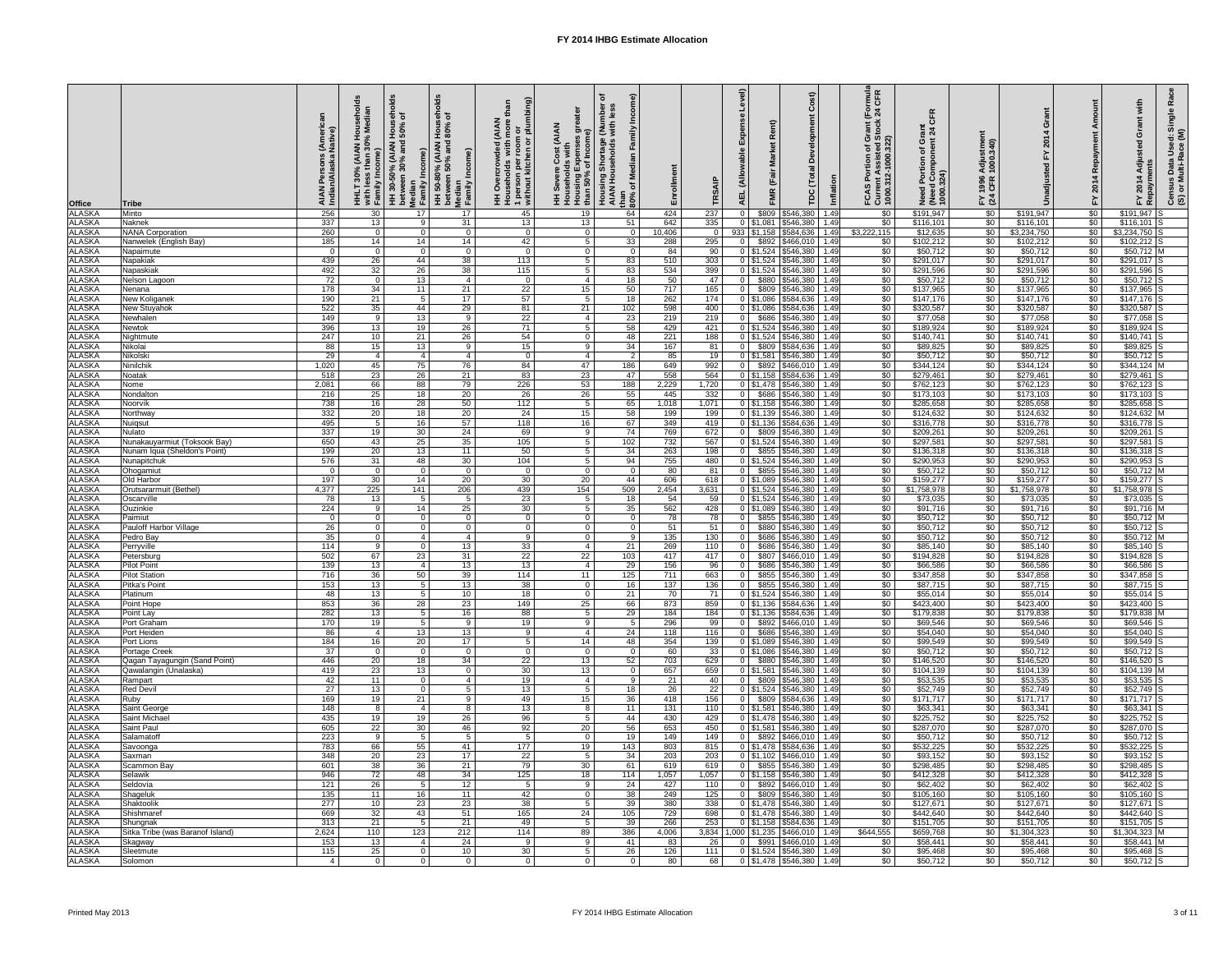| Office<br>ALASKA                                                                       | <b>Tribe</b><br>Minto                        | ∶ (Arne<br>Nati∨<br><b>AIAN</b><br>Indiar<br>256 | AIAN Househo<br>an 30% Mediaı<br>with less<br>Family In<br>30 | olds<br>seh<br>of<br>%09  <br>  50%<br>HH 30-50% (AIAN H<br>between 30% and <b>:</b><br>Median<br>  Family Income)<br>17 | olds<br>들 오<br>%08  <br>Non<br>pue %0g uəəm;əq<br>H NAI∀) %08-05 HH<br>Income)<br>Median<br>Family<br>17 | <b>AIAN</b><br>ded<br>$\circ$<br>45 | eater<br><b>(Numb)</b><br>with les<br><b>AIAN</b><br>ັ້ງ<br>ຈ<br><u>ვე</u><br>  Householus<br>  Housing Expenses<br>  than 50% of Income<br>  مصحة<br>Housing Shortage<br>AIAN Households<br>than<br>$80\%$<br>19 | edia<br>Enrollment<br>Ž<br>৳<br>424<br>64 | 237                     | $\widehat{\mathbf{e}}$<br><b>AEL</b> | $\widehat{a}$<br>$\alpha$<br>$\overline{\omega}$<br>൧ഀ<br>$\overline{\mathfrak{a}}$<br>$\frac{1}{a}$<br> T<br>E<br><b>FMR</b><br><b>TDC</b><br>\$809<br>\$546,380 | Inflation<br>1.49 | of Grant (Formula<br>ed Stock 24 CFR<br>FCAS Portion of<br>Current Assistee<br>1000.312-1000.3<br>\$0 | <b>CFR</b><br>rant $\frac{1}{2}$<br>Ō۱<br>ㅎ e<br>Need Portion (<br>(Need Compor)<br>1000.324)<br>\$191,947 | stment<br>.340)<br>Adjus<br>1000.<br>1996<br>CFR<br>$F \times 4$<br>$\sqrt{50}$ | \$191,947                | ě<br>201<br>上<br>\$0               | Singl<br>ਠ<br>Use<br>Adju<br>Data<br>ulti-R<br>2014<br>$\overline{a}$ is<br>mved<br>Census<br>(S) or M<br>Re<br>군<br>\$191,947 |
|----------------------------------------------------------------------------------------|----------------------------------------------|--------------------------------------------------|---------------------------------------------------------------|--------------------------------------------------------------------------------------------------------------------------|----------------------------------------------------------------------------------------------------------|-------------------------------------|-------------------------------------------------------------------------------------------------------------------------------------------------------------------------------------------------------------------|-------------------------------------------|-------------------------|--------------------------------------|-------------------------------------------------------------------------------------------------------------------------------------------------------------------|-------------------|-------------------------------------------------------------------------------------------------------|------------------------------------------------------------------------------------------------------------|---------------------------------------------------------------------------------|--------------------------|------------------------------------|--------------------------------------------------------------------------------------------------------------------------------|
| <b>ALASKA</b>                                                                          | Naknek                                       | 337                                              | 13                                                            | -9                                                                                                                       | 31                                                                                                       | 13                                  | 13                                                                                                                                                                                                                | 642<br>51                                 | 335                     |                                      | $0$ \$1,081<br>\$546,380                                                                                                                                          | 1.49              | $\overline{50}$                                                                                       | \$116,101                                                                                                  | $\sqrt{50}$                                                                     | \$116,101                | \$0                                | \$116,101                                                                                                                      |
| <b>ALASKA</b>                                                                          | <b>NANA Corporation</b>                      | 260                                              | $\overline{0}$                                                | $\Omega$                                                                                                                 | $\Omega$                                                                                                 | $\Omega$                            | $\Omega$                                                                                                                                                                                                          | 10,406<br>$\Omega$                        |                         |                                      | 933   \$1,158<br>\$584,636                                                                                                                                        | 1.49              | \$3,222,115                                                                                           | \$12,635                                                                                                   | $\sqrt{60}$                                                                     | \$3,234,750              | \$0                                | $$3,234,750$ S                                                                                                                 |
| <b>ALASKA</b>                                                                          | Nanwelek (English Bay)                       | 185                                              | 14                                                            | 14                                                                                                                       | 14                                                                                                       | 42                                  |                                                                                                                                                                                                                   | 33<br>288                                 | 295                     | $\Omega$                             | \$892<br>\$466,010                                                                                                                                                | 1.49              | \$0                                                                                                   | \$102,212                                                                                                  | \$0                                                                             | \$102,212                | $\sqrt{6}$                         | $$102,212$ S                                                                                                                   |
| ALASKA<br><b>ALASKA</b>                                                                | Napaimute<br>Napakiak                        | - റ<br>439                                       | - 0<br>$\overline{26}$                                        | $\Omega$<br>44                                                                                                           | $\Omega$<br>38                                                                                           | $\Omega$<br>113                     | $\Omega$<br>5                                                                                                                                                                                                     | 84<br>$\Omega$<br>83<br>510               | 90<br>303               |                                      | 0   \$1,524   \$546,380  <br>\$546,380<br>$0$ \$1,524                                                                                                             | 1.49<br>1.49      | $\sqrt[6]{30}$<br>$\sqrt{60}$                                                                         | \$50,712<br>\$291,017                                                                                      | $\sqrt[6]{30}$<br>$\sqrt{60}$                                                   | \$50,712<br>\$291,017    | $\sqrt[6]{30}$<br>$\overline{50}$  | $$50,712$ M<br>\$291,017                                                                                                       |
| <b>ALASKA</b>                                                                          | Napaskiak                                    | 492                                              | 32                                                            | 26                                                                                                                       | 38                                                                                                       | 115                                 | -5                                                                                                                                                                                                                | 534<br>83                                 | 399                     |                                      | $0$ \$1,524<br>$$546,380$ 1.49                                                                                                                                    |                   | $\sqrt{60}$                                                                                           | \$291,596                                                                                                  | $\sqrt{60}$                                                                     | \$291,596                | \$0                                | \$291,596                                                                                                                      |
| <b>ALASKA</b>                                                                          | Nelson Lagoon                                | 72                                               | $\overline{0}$                                                | 13                                                                                                                       | 4                                                                                                        | $\mathbf{0}$                        | -4                                                                                                                                                                                                                | 50<br>18                                  | 47                      | $\overline{0}$                       | \$880   \$546,380   1.49                                                                                                                                          |                   | $\overline{50}$                                                                                       | \$50,712                                                                                                   | $\overline{50}$                                                                 | \$50,712                 | $\overline{30}$                    | $$50,712$ S                                                                                                                    |
| <b>ALASKA</b>                                                                          | Nenana                                       | 178                                              | 34                                                            | 11                                                                                                                       | 21                                                                                                       | 22                                  | 15                                                                                                                                                                                                                | 717<br>50                                 | 165                     | $\Omega$                             | \$809 \$546,380 1.49                                                                                                                                              |                   | $\sqrt{60}$                                                                                           | \$137,965                                                                                                  | $\sqrt{60}$                                                                     | \$137,965                | \$0                                | $$137,965$ S                                                                                                                   |
| <b>ALASKA</b>                                                                          | New Koliganek                                | 190                                              | 21                                                            | 5                                                                                                                        | 17                                                                                                       | 57                                  | -5                                                                                                                                                                                                                | 262<br>18                                 | 174                     |                                      | $0$   \$1,086   \$584,636   1.49                                                                                                                                  |                   | $\sqrt[6]{30}$                                                                                        | \$147,176                                                                                                  | $\sqrt[6]{30}$                                                                  | \$147,176                | \$0                                | $$147,176$ S                                                                                                                   |
| ALASKA<br>ALASKA<br>ALASKA                                                             | <b>New Stuyahok</b>                          | 522                                              | 35                                                            | 44                                                                                                                       | 29                                                                                                       | 81                                  | 21<br>102                                                                                                                                                                                                         | 598                                       | 400                     |                                      | $0$ \$1,086<br>$$584,636$ 1.49                                                                                                                                    |                   | $\sqrt[6]{30}$                                                                                        | \$320,587                                                                                                  | $\sqrt{60}$                                                                     | \$320,587                | \$0                                | \$320,587                                                                                                                      |
|                                                                                        | Newhalen<br>Newtok                           | 149<br>396                                       | - 9<br>13                                                     | 13<br>19                                                                                                                 | 9<br>26                                                                                                  | 22<br>71                            | 4                                                                                                                                                                                                                 | 23<br>219<br>58<br>429                    | 219<br>421              | $\overline{0}$                       | \$686<br>\$546,380<br>$0 \mid $1,524$<br>\$546,380 1.49                                                                                                           | 1.49              | $\sqrt[6]{}$<br>$\sqrt{60}$                                                                           | \$77,058<br>\$189,924                                                                                      | $\sqrt{60}$<br>$\frac{1}{30}$                                                   | \$77,058<br>\$189,924    | \$0<br>\$0                         | \$77,058<br>\$189,924                                                                                                          |
| <b>ALASKA</b>                                                                          | Nightmute                                    | 247                                              | 10                                                            | 21                                                                                                                       | 26                                                                                                       | 54                                  | $\Omega$                                                                                                                                                                                                          | 221<br>48                                 | 188                     |                                      | $0$ \$1,524 \$546,380                                                                                                                                             | 1.49              | \$0                                                                                                   | \$140,741                                                                                                  | $\frac{6}{3}$                                                                   | \$140,741                | $\overline{50}$                    | $$140,741$ S                                                                                                                   |
|                                                                                        | Nikolai                                      | 88                                               | 15                                                            | 13                                                                                                                       | -9                                                                                                       | 15                                  | -9                                                                                                                                                                                                                | 167<br>34                                 | 81                      | $\overline{0}$                       | \$809<br>\$584,636                                                                                                                                                | 1.49              | \$0                                                                                                   | \$89,825                                                                                                   | \$0                                                                             | \$89,825                 | $\sqrt{6}$                         | $$89,825$ S                                                                                                                    |
| ALASKA<br>ALASKA<br>ALASKA<br>ALASKA<br>ALASKA<br>ALASKA<br>ALASKA<br>ALASKA<br>ALASKA | Nikolski                                     | 29                                               | -4                                                            |                                                                                                                          |                                                                                                          | $\mathbf{0}$                        | -4                                                                                                                                                                                                                | 85<br>2                                   | 19                      |                                      | $0$ \$1,581<br>\$546,380                                                                                                                                          | 1.49              | \$0                                                                                                   | \$50,712                                                                                                   | \$0                                                                             | \$50,712                 | $\overline{60}$                    | $$50,712$ S                                                                                                                    |
|                                                                                        | Ninilchik                                    | 1,020                                            | 45                                                            | 75                                                                                                                       | 76                                                                                                       | 84                                  | 47                                                                                                                                                                                                                | 186<br>649                                | 992                     | $\Omega$                             | $$466,010$ 1.49<br>\$892                                                                                                                                          |                   | $\sqrt[6]{30}$                                                                                        | \$344,124                                                                                                  | $\sqrt[6]{30}$                                                                  | \$344,124                | $\overline{60}$                    | \$344,124                                                                                                                      |
|                                                                                        | Noatak                                       | 518                                              | 23                                                            | 26                                                                                                                       | 21                                                                                                       | 83                                  | 23                                                                                                                                                                                                                | 558<br>47                                 | 564                     |                                      | \$584,636<br>$0$ \$1,158                                                                                                                                          | 1.49              | $\sqrt{60}$                                                                                           | \$279,461                                                                                                  | $\sqrt{60}$                                                                     | \$279,461                | $\sqrt{6}$                         | \$279,461                                                                                                                      |
|                                                                                        | Nome<br>Nondaltor                            | 2,081<br>216                                     | 66<br>25                                                      | 88<br>18                                                                                                                 | 79<br>20                                                                                                 | $\overline{226}$<br>26              | 53<br>188<br>26                                                                                                                                                                                                   | 2,229<br>55<br>445                        | 1,720<br>332            | $\Omega$                             | $0$ \$1,478 \$546,380 1.49<br>\$686<br>\$546,380 1.49                                                                                                             |                   | $\overline{50}$<br>$\overline{50}$                                                                    | \$762,123<br>\$173,103                                                                                     | $\sqrt{60}$<br>$\sqrt{60}$                                                      | \$762,123<br>\$173,103   | \$0<br>\$0                         | \$762,123<br>$$173,103$ S                                                                                                      |
|                                                                                        | Noorvik                                      | 738                                              | 16                                                            | 28                                                                                                                       | 50                                                                                                       | 112                                 | -5                                                                                                                                                                                                                | 65<br>1,018                               | 1,071                   |                                      | $0$ \$1,158<br>\$546,380                                                                                                                                          | 1.49              | \$0                                                                                                   | \$285,658                                                                                                  | \$0                                                                             | \$285,658                | \$0                                | \$285,658                                                                                                                      |
|                                                                                        | Northway                                     | 332                                              | 20                                                            | 18                                                                                                                       | 20                                                                                                       | 24                                  | 15                                                                                                                                                                                                                | 58<br>199                                 | 199                     |                                      | $0$ \$1,139 \$546,380                                                                                                                                             | 1.49              | \$0                                                                                                   | \$124,632                                                                                                  | \$0                                                                             | \$124,632                | $\sqrt[6]{30}$                     | \$124,632 M                                                                                                                    |
|                                                                                        | Nuiqsut                                      | 495                                              |                                                               | 16                                                                                                                       | 57                                                                                                       | 118                                 | 16                                                                                                                                                                                                                | 349<br>67                                 | 419                     |                                      | $0$ \$1,136 \$584,636 1.49                                                                                                                                        |                   | \$0                                                                                                   | \$316,778                                                                                                  | \$0                                                                             | \$316,778                | $\sqrt{6}$                         | $\sqrt{3316,778}$ S                                                                                                            |
| <b>ALASKA</b>                                                                          | Nulato                                       | 337                                              | 19                                                            | 30                                                                                                                       | 24                                                                                                       | 69                                  | q                                                                                                                                                                                                                 | 769<br>74                                 | 672                     | $\Omega$                             | \$809   \$546,380   1.49                                                                                                                                          |                   | \$0                                                                                                   | \$209,261                                                                                                  | \$0                                                                             | \$209,261                | $\sqrt{6}$                         | \$209,261                                                                                                                      |
| <b>ALASKA</b>                                                                          | Nunakauyarmiut (Toksook Bay)                 | 650                                              | 43                                                            | 25                                                                                                                       | 35                                                                                                       | 105                                 | 102                                                                                                                                                                                                               | 732                                       | 567                     |                                      | $0$   \$1,524   \$546,380   1.49                                                                                                                                  |                   | $\sqrt{50}$                                                                                           | \$297,581                                                                                                  | $\sqrt{60}$                                                                     | \$297,581                | $\overline{50}$                    | \$297,581                                                                                                                      |
| <b>ALASKA</b><br><b>ALASKA</b>                                                         | Nunam Iqua (Sheldon's Point)<br>Nunapitchuk  | 199<br>576                                       | $\overline{20}$<br>31                                         | 13<br>48                                                                                                                 | 11<br>30                                                                                                 | 50<br>104                           | $\overline{5}$                                                                                                                                                                                                    | 263<br>34<br>755<br>94                    | 198<br>480              | $\Omega$                             | \$855<br>\$546,380<br>0 \$1,524 \$546,380                                                                                                                         | 1.49<br>1.49      | $\overline{50}$<br>$\sqrt{50}$                                                                        | \$136,318<br>\$290,953                                                                                     | \$0<br>\$0                                                                      | \$136,318<br>\$290,953   | $\overline{50}$<br>$\overline{50}$ | $$136,318$ S<br>$$290,953$ S                                                                                                   |
| <b>ALASKA</b>                                                                          | Ohogamiut                                    |                                                  | - 0                                                           | $\Omega$                                                                                                                 | $\Omega$                                                                                                 | $\Omega$                            | $\Omega$                                                                                                                                                                                                          | 80<br>$\Omega$                            | 81                      | . O I                                | $$855$ $$546,380$                                                                                                                                                 | 1.49              | $\sqrt{50}$                                                                                           | \$50,712                                                                                                   | $\sqrt{60}$                                                                     | \$50,712                 | $\overline{50}$                    | $$50,712$ M                                                                                                                    |
| <b>ALASKA</b>                                                                          | Old Harbor                                   | 197                                              | 30                                                            | 14                                                                                                                       | 20                                                                                                       | 30                                  | 20                                                                                                                                                                                                                | 606<br>44                                 | 618                     |                                      | 0 \$1,089 \$546,380                                                                                                                                               | 1.49              | $\sqrt{60}$                                                                                           | \$159,277                                                                                                  | \$0                                                                             | \$159,277                | \$0                                | \$159,277                                                                                                                      |
| <b>ALASKA</b>                                                                          | Orutsararmuit (Bethel)                       | 4,377                                            | $\overline{225}$                                              | $\overline{141}$                                                                                                         | 206                                                                                                      | 439                                 | 154<br>509                                                                                                                                                                                                        | 2,454                                     | 3,631                   |                                      | 0   \$1,524   \$546,380   1.49                                                                                                                                    |                   | $\overline{50}$                                                                                       | \$1,758,978                                                                                                | \$0                                                                             | \$1,758,978              | $\sqrt{6}$                         | \$1,758,978                                                                                                                    |
| <b>ALASKA</b>                                                                          | Oscarville                                   | 78                                               | $\overline{13}$                                               |                                                                                                                          |                                                                                                          | 23                                  | .5                                                                                                                                                                                                                | 54<br>18                                  | 59                      |                                      | 0 \ \ \$1,524 \ \$546,380 \ 1.49                                                                                                                                  |                   | $\sqrt{60}$                                                                                           | \$73,035                                                                                                   | $\sqrt{60}$                                                                     | \$73,035                 | \$0                                | $$73,035$ S                                                                                                                    |
| <b>ALASKA</b><br><b>ALASKA</b>                                                         | Ouzinkie<br>Paimiut                          | 224                                              | - 9<br>$\bigcap$                                              | 14                                                                                                                       | 25                                                                                                       | 30                                  |                                                                                                                                                                                                                   | 562<br>35<br>78                           | 428<br>78               | $\Omega$                             | $0$   \$1,089   \$546,380   1.49<br>$$855$ $$546,380$ 1.49                                                                                                        |                   | \$0<br>$\sqrt{60}$                                                                                    | \$91,716<br>\$50,712                                                                                       | $\sqrt{60}$<br>$\sqrt{60}$                                                      | \$91,716<br>\$50,712     | $\overline{50}$<br>$\sqrt{50}$     | $$91,716$ M<br>$$50,712$ M                                                                                                     |
| <b>ALASKA</b>                                                                          | Pauloff Harbor Village                       | 26                                               | $\cap$                                                        |                                                                                                                          |                                                                                                          |                                     |                                                                                                                                                                                                                   | 51                                        | 51                      | $\Omega$                             | \$880   \$546,380   1.49                                                                                                                                          |                   | \$0                                                                                                   | \$50,712                                                                                                   | \$0                                                                             | \$50,712                 | $\overline{50}$                    | $$50,712$ S                                                                                                                    |
| <b>ALASKA</b>                                                                          | Pedro Bay                                    | 35                                               | - 0                                                           |                                                                                                                          |                                                                                                          | $\mathbf{Q}$                        | ം വ                                                                                                                                                                                                               | $\overline{135}$<br>Q                     | 130                     | $\Omega$                             | \$686<br>$5546,380$ 1.49                                                                                                                                          |                   | $\sqrt{60}$                                                                                           | \$50,712                                                                                                   | $\sqrt{60}$                                                                     | \$50,712                 | $\overline{50}$                    | $$50,712$ M                                                                                                                    |
| <b>ALASKA</b>                                                                          | Perryville                                   | 114                                              | -9                                                            | -0                                                                                                                       | 13 <sup>°</sup>                                                                                          | 33                                  |                                                                                                                                                                                                                   | 269<br>21                                 | 110                     | $\Omega$                             | \$686 \$546,380 1.49                                                                                                                                              |                   | $\overline{50}$                                                                                       | \$85,140                                                                                                   | $\overline{50}$                                                                 | \$85,140                 | \$0                                | $$85,140$ S                                                                                                                    |
| <b>ALASKA</b>                                                                          | Petersburg                                   | 502                                              | 67                                                            | 23                                                                                                                       | 31                                                                                                       | 22                                  | 103<br>22                                                                                                                                                                                                         | 417                                       | 417                     | $\Omega$                             | \$807<br>$$466,010$ 1.49                                                                                                                                          |                   | $\sqrt{60}$                                                                                           | \$194,828                                                                                                  | $\sqrt{$0}$                                                                     | \$194,828                | \$0                                | \$194,828                                                                                                                      |
| <b>ALASKA</b>                                                                          | <b>Pilot Point</b>                           | 139                                              | 13                                                            |                                                                                                                          | 13                                                                                                       | 13                                  |                                                                                                                                                                                                                   | 29<br>156                                 | 96                      | $\Omega$                             | \$686<br>\$546,380                                                                                                                                                | 1.49              | \$0                                                                                                   | \$66,586                                                                                                   | \$0                                                                             | \$66,586                 | \$0                                | $$66,586$ S                                                                                                                    |
| <b>ALASKA</b><br><b>ALASKA</b>                                                         | <b>Pilot Station</b><br>Pitka's Point        | 716<br>153                                       | $\overline{36}$<br>13                                         | 50                                                                                                                       | 39<br>13                                                                                                 | 114<br>38                           | 125<br>11<br>$\Omega$                                                                                                                                                                                             | 711<br>137<br>16                          | 663<br>136              | $\Omega$<br>$\Omega$                 | \$855<br>\$546,380<br>\$855<br>\$546,380                                                                                                                          | 1.49<br>1.49      | \$0<br>\$0                                                                                            | \$347,858<br>\$87,715                                                                                      | \$0<br>\$0                                                                      | \$347,858<br>\$87,715    | $\overline{50}$<br>\$0             | $$347,858$ S<br>\$87,715                                                                                                       |
| <b>ALASKA</b>                                                                          | Platinum                                     | 48                                               | $\overline{13}$                                               |                                                                                                                          | 10 <sup>°</sup>                                                                                          | 18                                  | $\Omega$                                                                                                                                                                                                          | 70<br>21                                  | 71                      |                                      | $0$   \$1,524   \$546,380                                                                                                                                         | 1.49              | $\sqrt{60}$                                                                                           | \$55,014                                                                                                   | $\sqrt{60}$                                                                     | \$55,014                 | $\overline{50}$                    | \$55,014                                                                                                                       |
| <b>ALASKA</b>                                                                          | Point Hope                                   | 853                                              | 36                                                            | $\overline{28}$                                                                                                          | $\overline{23}$                                                                                          | 149                                 | 25                                                                                                                                                                                                                | 66<br>873                                 | 859                     |                                      | 0 \$1,136 \$584,636 1.49                                                                                                                                          |                   | $\overline{50}$                                                                                       | \$423,400                                                                                                  | $\sqrt{50}$                                                                     | \$423,400                | $\overline{50}$                    | $$423,400$ S                                                                                                                   |
| <b>ALASKA</b>                                                                          | Point Lay                                    | 282                                              | $\overline{13}$                                               | 5                                                                                                                        | 16                                                                                                       | 88                                  | .5                                                                                                                                                                                                                | 29<br>184                                 | 184                     |                                      | 0   \$1,136   \$584,636   1.49                                                                                                                                    |                   | $\overline{50}$                                                                                       | \$179,838                                                                                                  | \$0                                                                             | \$179,838                | \$0                                | $$179,838$ M                                                                                                                   |
| <b>ALASKA</b>                                                                          | Port Graham                                  | 170                                              | 19                                                            |                                                                                                                          | Q                                                                                                        | 19                                  | 9                                                                                                                                                                                                                 | 296                                       | 99                      | $\Omega$                             | \$892   \$466,010   1.49                                                                                                                                          |                   | \$0                                                                                                   | \$69,546                                                                                                   | \$0                                                                             | \$69,546                 | $\overline{50}$                    | $$69,546$ S                                                                                                                    |
| <b>ALASKA</b><br><b>ALASKA</b>                                                         | Port Heiden<br>Port Lions                    | 86<br>184                                        | $\overline{A}$<br>16                                          | 13<br>20                                                                                                                 | 13<br>17                                                                                                 |                                     |                                                                                                                                                                                                                   | 24<br>118<br>354<br>48                    | 116<br>139              |                                      | \$686<br>\$546,380<br>$0$ \$1,089<br>\$546,380                                                                                                                    | 1.49<br>1.49      | \$0<br>\$0                                                                                            | \$54,040<br>\$99,549                                                                                       | \$0<br>\$0                                                                      | \$54,040<br>\$99,549     | $\overline{50}$<br>$\overline{50}$ | $$54,040$ S<br>$$99,549$ S                                                                                                     |
| <b>ALASKA</b>                                                                          | <b>Portage Creek</b>                         | $\overline{37}$                                  | $\overline{0}$                                                | - 0                                                                                                                      | $\Omega$                                                                                                 | $\Omega$                            | 14<br>- 0                                                                                                                                                                                                         | 60<br>$\Omega$                            | $\overline{33}$         |                                      | $0$ \$1,086 \$546,380 1.49                                                                                                                                        |                   | $\overline{50}$                                                                                       | \$50,712                                                                                                   | $\overline{50}$                                                                 | \$50,712                 | $\overline{50}$                    | $$50,712$ S                                                                                                                    |
| <b>ALASKA</b>                                                                          | Qagan Tayagungin (Sand Point)                | 446                                              | $\overline{20}$                                               | 18                                                                                                                       | 34                                                                                                       | 22                                  | 13                                                                                                                                                                                                                | 703<br>52                                 | 629                     | $\Omega$                             | \$546,380 1.49<br>\$880                                                                                                                                           |                   | $\overline{50}$                                                                                       | \$146,520                                                                                                  | $\sqrt{60}$                                                                     | \$146,520                | $\overline{50}$                    | $$146,520$ S                                                                                                                   |
| <b>ALASKA</b>                                                                          | Qawalangin (Unalaska)                        | 419                                              | 23                                                            | 13                                                                                                                       | $\Omega$                                                                                                 | 30                                  | 13                                                                                                                                                                                                                | 657<br>$\Omega$                           | 659                     |                                      | $0$ \$1,581<br>$$546,380$ 1.49                                                                                                                                    |                   | $\sqrt{60}$                                                                                           | \$104,139                                                                                                  | $\sqrt{60}$                                                                     | \$104,139                | \$0                                | $$104,139$ M                                                                                                                   |
| <b>ALASKA</b>                                                                          | Rampart                                      | 42                                               | $\overline{11}$                                               | $\Omega$                                                                                                                 |                                                                                                          | 19                                  |                                                                                                                                                                                                                   | 21<br>9                                   | 40                      | $\Omega$                             | \$809<br>$$546,380$ 1.49                                                                                                                                          |                   | $\sqrt{50}$                                                                                           | \$53,535                                                                                                   | \$0                                                                             | \$53,535                 | $\sqrt{50}$                        | $$53,535$ S                                                                                                                    |
| <b>ALASKA</b>                                                                          | <b>Red Devil</b>                             | $\overline{27}$                                  | 13                                                            | $\Omega$                                                                                                                 |                                                                                                          | 13                                  |                                                                                                                                                                                                                   | 26<br>18                                  | 22                      |                                      | 0   \$1,524   \$546,380                                                                                                                                           | 1.49              | \$0                                                                                                   | \$52,749                                                                                                   | \$0                                                                             | \$52,749                 | $\overline{50}$                    | $$52,749$ S<br>$$171,717$ S                                                                                                    |
| <b>ALASKA</b><br><b>ALASKA</b>                                                         | Ruby<br>Saint George                         | 169<br>148                                       | 19<br>- 8                                                     | 21                                                                                                                       |                                                                                                          | 49<br>13                            | 15<br>8                                                                                                                                                                                                           | 418<br>36<br>131<br>11                    | 156<br>110              | $\Omega$                             | \$809<br>\$584,636<br>$0$ \$1,581 \$546,380 1.49                                                                                                                  | 1.49              | \$0<br>$\sqrt{60}$                                                                                    | \$171,717<br>\$63,341                                                                                      | \$0<br>$\sqrt{60}$                                                              | \$171,717<br>\$63,341    | $\overline{50}$<br>$\overline{50}$ | \$63,341                                                                                                                       |
| <b>ALASKA</b>                                                                          | <b>Saint Michael</b>                         | 435                                              | 19                                                            | 19                                                                                                                       | 26                                                                                                       | 96                                  | -5                                                                                                                                                                                                                | 430<br>44                                 | 429                     |                                      | $0$ \$1,478 \$546,380 1.49                                                                                                                                        |                   | $\sqrt{60}$                                                                                           | \$225,752                                                                                                  | \$0                                                                             | \$225,752                | $\overline{30}$                    | $$225,752$ S                                                                                                                   |
| <b>ALASKA</b>                                                                          | Saint Paul                                   | 605                                              | $\overline{22}$                                               | 30                                                                                                                       | 46                                                                                                       | 92                                  | 20                                                                                                                                                                                                                | 56<br>653                                 | 450                     |                                      | 0   \$1,581   \$546,380   1.49                                                                                                                                    |                   | $\overline{50}$                                                                                       | \$287,070                                                                                                  | $\sqrt{60}$                                                                     | \$287,070                | $\overline{50}$                    | \$287,070 S                                                                                                                    |
| <b>ALASKA</b>                                                                          | Salamatoff                                   | 223                                              | - 9                                                           | 5                                                                                                                        | $5^{\circ}$                                                                                              |                                     | $\Omega$                                                                                                                                                                                                          | 149<br>19                                 | 149                     | $\Omega$                             | $$892$ $$466,010$ 1.49                                                                                                                                            |                   | $\sqrt{60}$                                                                                           | \$50,712                                                                                                   | $\sqrt{60}$                                                                     | \$50,712                 | $\overline{50}$                    | $$50,712$ S                                                                                                                    |
| <b>ALASKA</b>                                                                          | Savoonga                                     | 783                                              | 66                                                            | 55                                                                                                                       | 41                                                                                                       | 177                                 | 19<br>143                                                                                                                                                                                                         | 803                                       | 815                     |                                      | 0   \$1,478   \$584,636   1.49                                                                                                                                    |                   | \$0                                                                                                   | \$532,225                                                                                                  | \$0                                                                             | \$532,225                | \$0                                | $$532,225$ S                                                                                                                   |
| <b>ALASKA</b><br><b>ALASKA</b>                                                         | Saxman<br>Scammon Bay                        | 348<br>601                                       | $\overline{20}$<br>$\overline{38}$                            | 23<br>$\overline{36}$                                                                                                    | 17<br>21                                                                                                 | 22<br>$\overline{79}$               | 30                                                                                                                                                                                                                | 203<br>34<br>619<br>61                    | $\overline{203}$<br>619 | 0 <sup>1</sup>                       | $$466,010$ 1.49<br>0   \$1.102  <br>\$855 \$546,380 1.49                                                                                                          |                   | $\overline{50}$<br>$\sqrt{60}$                                                                        | \$93,152<br>\$298,485                                                                                      | \$0<br>$\sqrt{60}$                                                              | \$93,152<br>\$298,485    | $\overline{50}$<br>$\overline{50}$ | $$93,152$ S<br>$$298,485$ S                                                                                                    |
| <b>ALASKA</b>                                                                          | Selawik                                      | 946                                              | 72                                                            | 48                                                                                                                       | 34                                                                                                       | 125                                 | 18                                                                                                                                                                                                                | 114<br>1,057                              | 1,057                   |                                      | $0$ \$1,158 \$546,380 1.49                                                                                                                                        |                   | \$0                                                                                                   | \$412,328                                                                                                  | $\sqrt{50}$                                                                     | \$412,328                | $\overline{60}$                    | $$412,328$ S                                                                                                                   |
| <b>ALASKA</b>                                                                          | Seldovia                                     | 121                                              | $\overline{26}$                                               | 5 <sup>1</sup>                                                                                                           | 12                                                                                                       |                                     | 9                                                                                                                                                                                                                 | 24<br>427                                 | 110                     | $\overline{0}$                       | $$892$ $$466,010$ 1.49                                                                                                                                            |                   | $\sqrt{50}$                                                                                           | \$62,402                                                                                                   | $\frac{6}{3}$                                                                   | \$62,402                 | $\sqrt{60}$                        | $$62,402$ S                                                                                                                    |
| <b>ALASKA</b>                                                                          | Shageluk                                     | 135                                              | 11                                                            | 16                                                                                                                       | 11                                                                                                       | 42                                  | $\overline{0}$                                                                                                                                                                                                    | 38<br>249                                 | 125                     |                                      | $0$ \$809 \$546,380 1.49                                                                                                                                          |                   | \$0                                                                                                   | \$105,160                                                                                                  | $rac{6}{5}$                                                                     | \$105,160                | $\sqrt{50}$                        | $$105,160$ S                                                                                                                   |
| <b>ALASKA</b>                                                                          | Shaktoolik                                   | 277                                              | 10                                                            | 23                                                                                                                       | 23                                                                                                       | 38                                  | 5                                                                                                                                                                                                                 | 39<br>380                                 | 338                     |                                      | $0$ \$1,478 \$546,380 1.49                                                                                                                                        |                   | \$0                                                                                                   | \$127,671                                                                                                  | \$0                                                                             | \$127,671                | \$0                                | $$127,671$ S                                                                                                                   |
| <b>ALASKA</b>                                                                          | Shishmaref                                   | 669                                              | 32                                                            | 43                                                                                                                       | 51                                                                                                       | 165                                 | 24<br>105                                                                                                                                                                                                         | 729                                       | 698                     |                                      | $0$ \$1,478 \$546,380 1.49                                                                                                                                        |                   | $\frac{1}{50}$                                                                                        | \$442,640                                                                                                  | \$0                                                                             | \$442,640                | $\overline{60}$                    | $$442,640$ S                                                                                                                   |
| <b>ALASKA</b><br><b>ALASKA</b>                                                         | Shungnak<br>Sitka Tribe (was Baranof Island) | 313<br>2,624                                     | 21<br>110                                                     | 123                                                                                                                      | 21<br>212                                                                                                | 49<br>114                           | 386<br>89                                                                                                                                                                                                         | 39<br>266<br>4,006                        | 253                     |                                      | $0$ \$1,158 \$584,636 1.49<br>3,834 1,000 \$1,235 \$466,010 1.49                                                                                                  |                   | \$0<br>\$644,555                                                                                      | \$151,705<br>\$659,768                                                                                     | \$0<br>\$0                                                                      | \$151,705<br>\$1,304,323 | \$0<br>$\sqrt{60}$                 | $$151,705$ S<br>$$1,304,323$ M                                                                                                 |
| <b>ALASKA</b>                                                                          | Skagway                                      | 153                                              | 13                                                            |                                                                                                                          | 24                                                                                                       | -9                                  | -9                                                                                                                                                                                                                | 83<br>41                                  | 26                      | $\overline{0}$                       | $$991$ $$466,010$   1.49                                                                                                                                          |                   | \$0                                                                                                   | \$58,441                                                                                                   | \$0                                                                             | \$58,441                 | $\sqrt{50}$                        | $$58,441$ M                                                                                                                    |
| <b>ALASKA</b>                                                                          | Sleetmute                                    | 115                                              | $\overline{25}$                                               |                                                                                                                          | 10 <sup>°</sup>                                                                                          | 30 <sup>°</sup>                     | 5                                                                                                                                                                                                                 | 126<br>26                                 | 111                     |                                      | $0$ \$1,524 \$546,380 1.49                                                                                                                                        |                   | \$0                                                                                                   | \$95,468                                                                                                   | \$0                                                                             | \$95,468                 | \$0                                | $$95,468$ S                                                                                                                    |
| <b>ALASKA</b>                                                                          | Solomon                                      |                                                  | $\overline{0}$                                                |                                                                                                                          | $\overline{0}$                                                                                           | $\overline{0}$                      |                                                                                                                                                                                                                   | 80<br>$\overline{0}$                      | 68                      |                                      | $0$ \$1,478 \$546,380 1.49                                                                                                                                        |                   | \$0                                                                                                   | \$50,712                                                                                                   | \$0                                                                             | \$50,712                 | \$0                                | $$50,712$ S                                                                                                                    |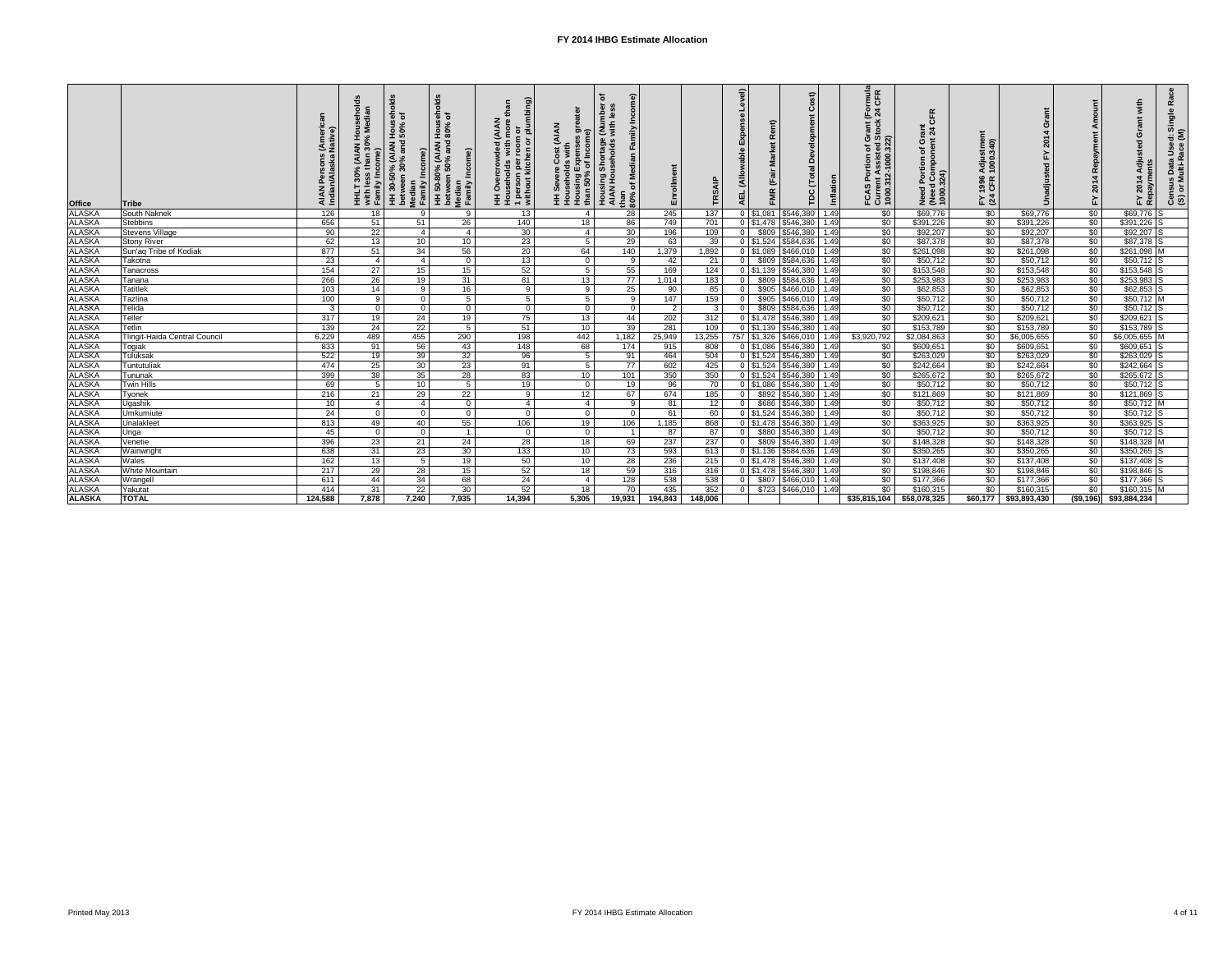|                                                                                                                   | Tribe                         | Persons (Ameri<br>∩/Alaska Native)<br><b>AIAN</b><br>Indiar | ಕೆ<br>AIAN Househo) ،<br>han 30% Mediar<br>÷<br>30%<br>with les<br>Family<br>보<br>도 | 등 오<br>Hou:<br>30-50% (AIAN I<br>ween 30% and<br>Income)<br>HH 30-50%<br>between 3<br>Median<br>Family Inc | ds<br>Nous<br>80%<br>HH 50-80% (AIAN F<br>between 50% and k<br>Median<br>Family Income) | with more than<br>r room or<br>hen or plumbing)<br>(AIAN<br>1 person per r<br>without kitche<br>blorl<br>$\delta$<br>H<br>H<br>H<br>H<br>H | <sup>95</sup> greater<br>me)<br>(AIAN<br>Households with<br>Housing Expenses<br>than 50% of Income<br>E | 흗<br>Nur)<br>with<br>$\frac{1}{2}$<br>Housing Shortage<br>AIAN Households<br>인<br>고<br>edian<br>৳<br>than<br>$80\%$ | Enrollment     | FŘ           | evel)<br>Exp<br>able<br>(Allow<br><b>AEL</b> | $\widehat{\mathbf{r}}$<br>$\Omega$<br>$\tilde{\mathbf{r}}$<br>$\circ$<br>$\bar{\mathbf{a}}$<br>മ്<br><b>Total</b><br>(Fair<br><b>FMR</b><br>TDC | Inflation | Grant (Formula<br>Stock 24 CFR<br><b>FCAS Portion of G<br/>Current Assisted S</b><br>1000.312-1000.322 | 丘<br>ပ<br><u>ចិ 4</u><br>ပ<br>ð<br>Need Portion<br>(Need Comport)<br>1000.324) | stme<br>340)<br>Adjus<br>1000.<br>1996<br>CFR<br>$E \times 3$ |              | ⋖<br>Repayr<br>$\overline{4}$<br>201<br>$\tilde{\mathbf{r}}$ | with<br>$\frac{e}{\sigma}$<br>$\frac{1}{5}$<br>ပ<br>$\ddot{\sigma}$<br>sted<br>Use<br>Data<br>Ulti-R<br>Adju<br>4<br>Census I<br>(S) or Mu<br>FY 2014<br>Repaym |
|-------------------------------------------------------------------------------------------------------------------|-------------------------------|-------------------------------------------------------------|-------------------------------------------------------------------------------------|------------------------------------------------------------------------------------------------------------|-----------------------------------------------------------------------------------------|--------------------------------------------------------------------------------------------------------------------------------------------|---------------------------------------------------------------------------------------------------------|---------------------------------------------------------------------------------------------------------------------|----------------|--------------|----------------------------------------------|-------------------------------------------------------------------------------------------------------------------------------------------------|-----------|--------------------------------------------------------------------------------------------------------|--------------------------------------------------------------------------------|---------------------------------------------------------------|--------------|--------------------------------------------------------------|-----------------------------------------------------------------------------------------------------------------------------------------------------------------|
| <b>Office</b><br>ALASKA<br>ALASKA<br>ALASKA<br>ALASKA<br>ALASKA<br>ALASKA<br>ALASKA<br>ALASKA<br>ALASKA<br>ALASKA | South Naknek                  | 126                                                         | 18                                                                                  |                                                                                                            | 9                                                                                       | 13                                                                                                                                         | - 4                                                                                                     | 28                                                                                                                  | 245            | 137          | $0$   \$1,081                                | \$546,380                                                                                                                                       | 1.49      | $\sqrt{50}$                                                                                            | \$69,776                                                                       | \$0                                                           | \$69,776     | \$0                                                          | \$69,776<br>IS                                                                                                                                                  |
|                                                                                                                   | Stebbins                      | 656                                                         | 51                                                                                  | 51                                                                                                         | 26                                                                                      | 140                                                                                                                                        | 18                                                                                                      | 86                                                                                                                  | 749            | 701          |                                              | 0 \$1,478 \$546,380                                                                                                                             | 1.49      | $\sqrt{60}$                                                                                            | \$391,226                                                                      | \$0                                                           | \$391,226    | $\sqrt{50}$                                                  | $$391,226$ S                                                                                                                                                    |
|                                                                                                                   | Stevens Village               | 90                                                          | 22                                                                                  | $\overline{4}$                                                                                             |                                                                                         | 30                                                                                                                                         | - 4                                                                                                     | 30                                                                                                                  | 196            | 109          | \$809                                        | \$546,380                                                                                                                                       | 1.49      | $\overline{50}$                                                                                        | \$92,207                                                                       | $\sqrt{60}$                                                   | \$92,207     | $\sqrt[6]{30}$                                               | $$92,207$ S                                                                                                                                                     |
|                                                                                                                   | <b>Stony River</b>            | 62                                                          | 13                                                                                  | 10                                                                                                         | 10                                                                                      | 23                                                                                                                                         | -5                                                                                                      | 29                                                                                                                  | 63             | 39           | $0$ \$1,524                                  | \$584,636                                                                                                                                       | 1.49      | $\overline{50}$                                                                                        | \$87,378                                                                       | $\sqrt{60}$                                                   | \$87,378     | $\sqrt[6]{30}$                                               | $$87,378$ S                                                                                                                                                     |
|                                                                                                                   | Sun'aq Tribe of Kodiak        | 877                                                         | 51                                                                                  | 34                                                                                                         | 56                                                                                      | 20                                                                                                                                         | 64                                                                                                      | 140                                                                                                                 | 1,379          | 1,892        | $0$ \$1,089                                  | \$466,010                                                                                                                                       | 1.49      | \$0                                                                                                    | \$261,098                                                                      | $\sqrt{50}$                                                   | \$261,098    | \$0                                                          | $$261,098$ M                                                                                                                                                    |
|                                                                                                                   | Takotna                       | 23                                                          | $\overline{4}$                                                                      | $\overline{4}$                                                                                             | $\overline{0}$                                                                          | 13                                                                                                                                         | - 0                                                                                                     | - 9                                                                                                                 | 42             | 21           | \$809<br>$\Omega$                            | \$584,636                                                                                                                                       | 1.49      | \$0                                                                                                    | \$50,712                                                                       | $\overline{50}$                                               | \$50,712     | \$0                                                          | $$50,712$ S                                                                                                                                                     |
|                                                                                                                   | <b>Tanacross</b>              | 154                                                         | $\overline{27}$                                                                     | 15                                                                                                         | 15 <sub>1</sub>                                                                         | 52                                                                                                                                         | - 5                                                                                                     | 55                                                                                                                  | 169            | 124          |                                              | $0$   \$1,139   \$546,380                                                                                                                       | 1.49      | $\overline{50}$                                                                                        | \$153,548                                                                      | $\sqrt{60}$                                                   | \$153,548    | $\overline{50}$                                              | \$153,548 S                                                                                                                                                     |
|                                                                                                                   | Tanana                        | 266                                                         | $\overline{26}$                                                                     | 19                                                                                                         | 31                                                                                      | 81                                                                                                                                         | 13                                                                                                      | 77                                                                                                                  | 1,014          | 183          | \$809                                        | \$584,636                                                                                                                                       | 1.49      | \$0                                                                                                    | \$253,983                                                                      | \$0                                                           | \$253,983    | $\sqrt{50}$                                                  | $$253,983$ S                                                                                                                                                    |
|                                                                                                                   | <b>Tatitlek</b>               | 103                                                         | 14                                                                                  | - 9                                                                                                        | 16                                                                                      | -9                                                                                                                                         | -9                                                                                                      | 25                                                                                                                  | 90             | 85           | \$905                                        | \$466,010                                                                                                                                       | 1.49      | $\sqrt[6]{30}$                                                                                         | \$62,853                                                                       | \$0                                                           | \$62,853     | $\sqrt{60}$                                                  | $$62,853$ S                                                                                                                                                     |
|                                                                                                                   | Tazlina                       | 100                                                         | - 9                                                                                 | - 0                                                                                                        | 5                                                                                       | -5                                                                                                                                         |                                                                                                         | 9                                                                                                                   | 147            | 159          | \$905                                        | \$466,010                                                                                                                                       | 1.49      | \$0                                                                                                    | \$50,712                                                                       | $\sqrt{60}$                                                   | \$50,712     | $\sqrt[6]{30}$                                               | \$50,712 M                                                                                                                                                      |
|                                                                                                                   | Telida                        | $\mathbf{3}$                                                | $\overline{0}$                                                                      | - 0                                                                                                        | $\overline{0}$                                                                          | - 0                                                                                                                                        | - 0                                                                                                     | $\Omega$                                                                                                            | $\overline{2}$ | $\mathbf{3}$ | \$809<br>$\Omega$                            | \$584,636                                                                                                                                       | 1.49      | $\overline{50}$                                                                                        | \$50,712                                                                       | $\sqrt[6]{30}$                                                | \$50,712     | $\sqrt{50}$                                                  | $$50,712$ S                                                                                                                                                     |
| <b>ALASKA</b>                                                                                                     | Teller                        | 317                                                         | 19                                                                                  | 24                                                                                                         | 19                                                                                      | 75                                                                                                                                         | 13                                                                                                      | 44                                                                                                                  | 202            | 312          |                                              | 0   \$1,478   \$546,380                                                                                                                         | 1.49      | $\overline{50}$                                                                                        | \$209,621                                                                      | $\sqrt{50}$                                                   | \$209,621    | $\sqrt{60}$                                                  | $$209,621$ S                                                                                                                                                    |
| <b>ALASKA</b>                                                                                                     | Tetlin                        | 139                                                         | $\overline{24}$                                                                     | $\overline{22}$                                                                                            | $5\overline{5}$                                                                         | 51                                                                                                                                         | 10                                                                                                      | 39                                                                                                                  | 281            | 109          |                                              | 0   \$1,139   \$546,380                                                                                                                         | 1.49      | $\sqrt[6]{30}$                                                                                         | \$153,789                                                                      | $\sqrt{60}$                                                   | \$153,789    | $\overline{60}$                                              | $$153,789$ S                                                                                                                                                    |
| ALASKA<br>ALASKA<br>ALASKA<br>ALASKA                                                                              | Tlingit-Haida Central Council | 6,229                                                       | 489                                                                                 | 455                                                                                                        | 290                                                                                     | 198                                                                                                                                        | 442                                                                                                     | 1,182                                                                                                               | 25,949         | 13,255       | 757   \$1,326                                | $\frac{1}{2}466,010$                                                                                                                            | 1.49      | \$3,920,792                                                                                            | \$2,084,863                                                                    | \$0                                                           | \$6,005,655  | $\overline{60}$                                              | \$6,005,655 M                                                                                                                                                   |
|                                                                                                                   | Togiak                        | 833                                                         | 91                                                                                  | 56                                                                                                         | 43                                                                                      | 148                                                                                                                                        | 68                                                                                                      | 174                                                                                                                 | 915            | 808          | $0$ \$1,086                                  | \$546,380                                                                                                                                       | 1.49      | \$0                                                                                                    | \$609,651                                                                      | \$0                                                           | \$609,651    | $\sqrt{60}$                                                  | $$609,651$ S                                                                                                                                                    |
|                                                                                                                   | Tuluksak                      | 522                                                         | 19                                                                                  | 39                                                                                                         | 32                                                                                      | 96                                                                                                                                         | -5                                                                                                      | 91                                                                                                                  | 464            | 504          | $0$ \$1,524                                  | \$546,380                                                                                                                                       | 1.49      | $\overline{50}$                                                                                        | \$263,029                                                                      | $\sqrt{60}$                                                   | \$263,029    | $\overline{60}$                                              | $$263,029$ S                                                                                                                                                    |
|                                                                                                                   | Tuntutuliak                   | 474                                                         | $\overline{25}$                                                                     | 30                                                                                                         | $\overline{23}$                                                                         | 91                                                                                                                                         | - 5                                                                                                     | 77                                                                                                                  | 602            | 425          |                                              | $\overline{0}$   \$1,524   \$546,380                                                                                                            | 1.49      | $\overline{50}$                                                                                        | \$242,664                                                                      | $\sqrt{60}$                                                   | \$242,664    | \$0                                                          | \$242,664                                                                                                                                                       |
| <b>ALASKA</b>                                                                                                     | Tununak                       | 399                                                         | 38                                                                                  | 35                                                                                                         | 28                                                                                      | 83                                                                                                                                         | 10                                                                                                      | 101                                                                                                                 | 350            | 350          |                                              | $0$   \$1,524   \$546,380                                                                                                                       | 1.49      | $\overline{50}$                                                                                        | \$265,672                                                                      | \$0                                                           | \$265,672    | $\overline{50}$                                              | $$265,672$ S                                                                                                                                                    |
| <b>ALASKA</b>                                                                                                     | <b>Twin Hills</b>             | 69                                                          | 5                                                                                   | 10 <sup>°</sup>                                                                                            | 5                                                                                       | 19                                                                                                                                         | - 0                                                                                                     | 19                                                                                                                  | 96             | 70           | $0$ \$1,086                                  | 5546,380                                                                                                                                        | 1.49      | \$0                                                                                                    | \$50,712                                                                       | \$0                                                           | \$50,712     | $\sqrt{50}$                                                  | $$50,712$ S                                                                                                                                                     |
|                                                                                                                   | Tyonek                        | 216                                                         | 21                                                                                  | 29                                                                                                         | 22                                                                                      | -9                                                                                                                                         | 12                                                                                                      | 67                                                                                                                  | 674            | 185          | $\mathbf 0$<br>\$892                         | \$546,380                                                                                                                                       | 1.49      | $\sqrt[6]{30}$                                                                                         | \$121,869                                                                      | $\sqrt{60}$                                                   | \$121,869    | \$0                                                          | $$121,869$ S                                                                                                                                                    |
|                                                                                                                   | Ugashik                       | 10                                                          | $\overline{4}$                                                                      | $\overline{4}$                                                                                             | $\Omega$                                                                                | $\overline{\mathcal{L}}$                                                                                                                   | -4                                                                                                      | 9                                                                                                                   | 81             | 12           | $\mathbf 0$<br>\$686                         | \$546,380                                                                                                                                       | 1.49      | \$0                                                                                                    | \$50,712                                                                       | \$0                                                           | \$50,712     | \$0                                                          | $$50,712$ M                                                                                                                                                     |
| ALASKA<br>ALASKA<br>ALASKA<br>ALASKA                                                                              | Umkumiute                     | 24                                                          | - 0                                                                                 | - 0                                                                                                        | $\overline{0}$                                                                          | - 0                                                                                                                                        | - 0                                                                                                     | $\Omega$                                                                                                            | 61             | 60           | $0$ \$1,524                                  | \$546,380                                                                                                                                       | 1.49      | \$0                                                                                                    | \$50,712                                                                       | \$0                                                           | \$50,712     | \$0                                                          | $$50,712$ S                                                                                                                                                     |
|                                                                                                                   | Unalakleet                    | 813                                                         | 49                                                                                  | 40                                                                                                         | 55                                                                                      | 106                                                                                                                                        | 19                                                                                                      | 106                                                                                                                 | 1,185          | 868          |                                              | 0   \$1,478   \$546,380                                                                                                                         | 1.491     | \$0                                                                                                    | \$363,925                                                                      | \$0                                                           | \$363,925    | \$0                                                          | $$363,925$ S                                                                                                                                                    |
| <b>ALASKA</b>                                                                                                     | Unga                          | 45                                                          | $\overline{0}$                                                                      | - 0                                                                                                        |                                                                                         | $\Omega$                                                                                                                                   | - 0                                                                                                     |                                                                                                                     | 87             | 87           | 0 <sup>1</sup>                               | \$880   \$546,380   1.49                                                                                                                        |           | \$0                                                                                                    | \$50,712                                                                       | \$0                                                           | \$50,712     | \$0                                                          | $$50,712$ S                                                                                                                                                     |
| <b>ALASKA</b><br><b>ALASKA</b>                                                                                    | Venetie                       | 396                                                         | 23                                                                                  | 21                                                                                                         | 24                                                                                      | $\overline{28}$                                                                                                                            | 18                                                                                                      | 69                                                                                                                  | 237            | 237          | $\overline{0}$                               | $$809$ $$546,380$ 1.49                                                                                                                          |           | $\frac{1}{20}$                                                                                         | \$148,328                                                                      | \$0                                                           | \$148,328    | \$0                                                          | $$148,328$ M                                                                                                                                                    |
| <b>ALASKA</b>                                                                                                     | Wainwright                    | 638                                                         | 31                                                                                  | $\overline{23}$                                                                                            | 30 <sup>°</sup>                                                                         | 133                                                                                                                                        | 10                                                                                                      | 73                                                                                                                  | 593            | 613          |                                              | $0$   \$1,136   \$584,636   1.49                                                                                                                |           | $\sqrt{60}$                                                                                            | \$350,265                                                                      | \$0                                                           | \$350,265    | \$0                                                          | $$350,265$ S                                                                                                                                                    |
| <b>ALASKA</b>                                                                                                     | Wales                         | 162                                                         | 13                                                                                  | - 5                                                                                                        | 19                                                                                      | 50                                                                                                                                         | 10 <sup>°</sup>                                                                                         | 28                                                                                                                  | 236            | 215          |                                              | $0$ \$1,478 \$546,380 1.49                                                                                                                      |           | $\sqrt{50}$                                                                                            | \$137,408                                                                      | $\sqrt[6]{30}$                                                | \$137,408    | \$0                                                          | $$137,408$ S                                                                                                                                                    |
|                                                                                                                   | <b>White Mountain</b>         | 217                                                         | 29                                                                                  | 28                                                                                                         | 15                                                                                      | 52                                                                                                                                         | 18                                                                                                      | 59                                                                                                                  | 316            | 316          |                                              | $0$ \$1,478 \$546,380 1.49                                                                                                                      |           | \$0                                                                                                    | \$198,846                                                                      | \$0                                                           | \$198,846    | $\sqrt{$0}$                                                  | $$198,846$ S                                                                                                                                                    |
| <b>ALASKA</b>                                                                                                     | Wrangell                      | 611                                                         | 44                                                                                  | 34                                                                                                         | 68                                                                                      | 24                                                                                                                                         | - 4                                                                                                     | 128                                                                                                                 | 538            | 538          |                                              | \$807   \$466,010   1.49                                                                                                                        |           | \$0                                                                                                    | \$177,366                                                                      | \$0                                                           | \$177,366    | \$0                                                          | $$177,366$ S                                                                                                                                                    |
| <b>ALASKA</b>                                                                                                     | Yakutat                       | 414                                                         | 31                                                                                  | 22                                                                                                         | 30                                                                                      | 52                                                                                                                                         | 18                                                                                                      | 70                                                                                                                  | 435            | 352          |                                              | $$723$ $$466,010$ 1.49                                                                                                                          |           | \$0                                                                                                    | \$160,315                                                                      | \$0                                                           | \$160,315    | $\sqrt{50}$                                                  | $$160,315$ M                                                                                                                                                    |
| <b>ALASKA</b>                                                                                                     | <b>TOTAL</b>                  | 124,588                                                     | 7,878                                                                               | 7,240                                                                                                      | 7,935                                                                                   | 14,394                                                                                                                                     | 5,305                                                                                                   | 19,931                                                                                                              | 194,843        | 148,006      |                                              |                                                                                                                                                 |           | \$35,815,104                                                                                           | \$58,078,325                                                                   | \$60,177                                                      | \$93,893,430 |                                                              | $($ \$9,196) \$93,884,234                                                                                                                                       |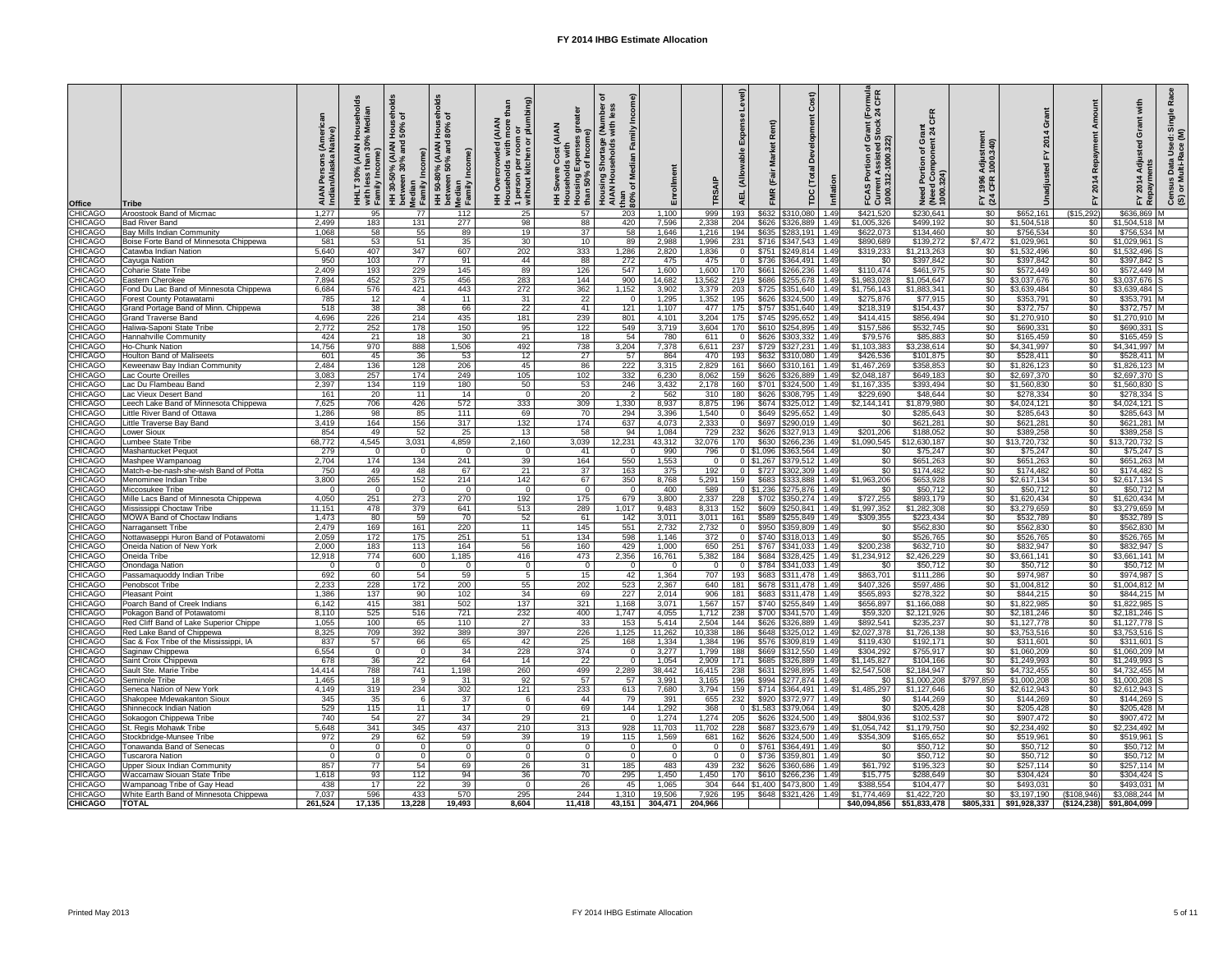| <b>Office</b>                    | Tribe                                                                       | AIAN<br>India  | with<br>Fami    | ਨ<br>ㅎ ㅎ<br>$\circ$<br>M<br>Median<br>Family<br>30<br>bet | ಕೆ<br>$\circ$<br>$\mathbf{I}$<br><sup>9%</sup> (AIAN<br>50% and<br>$\frac{5}{2}$<br>Median<br>Family<br>50-<br>王 | <b>AIAN</b><br>ၜႍ<br>$rac{1}{2}$<br>$\bar{a}$<br>roon<br>with<br>n per<br>kitch<br>1 person<br>without k | <b>AIAN</b><br>$\overline{a}$<br>$\frac{\overline{5}}{2}$<br>Housing<br>than 50% | Housing<br>AIAN Hou<br>than<br>80% | Enrollment                     |                 | $\widehat{\mathbf{e}}$<br>ਜ਼<br>$\alpha$<br>۵<br>$($ Tot<br>$\overline{4}$<br><u>ပ</u><br><b>AEL</b> | nflation     | rmula<br>CFR<br>$\overline{E}$<br>$\overline{24}$<br>rant (<br>tock<br>$\circ$<br>흐 흔<br>©<br>A<br>FCAS<br>Curre<br>1000. | $\circ$<br>24)<br>T000.<br>1000.<br><b>Bea</b><br>2<br>2 | ∄ ອີ<br>'ਰੂ 8<br>1996<br>CFR<br>$E \times 3$ |                                        | $\alpha$<br>$\blacktriangleleft$<br>201<br>े⊾<br>⊾ | ື້<br>$\Omega$<br>201<br><u>ငံ တ</u><br>$\alpha$          |
|----------------------------------|-----------------------------------------------------------------------------|----------------|-----------------|-----------------------------------------------------------|------------------------------------------------------------------------------------------------------------------|----------------------------------------------------------------------------------------------------------|----------------------------------------------------------------------------------|------------------------------------|--------------------------------|-----------------|------------------------------------------------------------------------------------------------------|--------------|---------------------------------------------------------------------------------------------------------------------------|----------------------------------------------------------|----------------------------------------------|----------------------------------------|----------------------------------------------------|-----------------------------------------------------------|
| <b>CHICAGO</b>                   | Aroostook Band of Micmac                                                    | 1,277          | 95              | 77                                                        | 112                                                                                                              | 25                                                                                                       | 57                                                                               | 203                                | 1,100                          | 999             | 193<br>\$632<br>\$310,080                                                                            | 1.49         | \$421,520                                                                                                                 | \$230,641                                                | \$0                                          | \$652,161                              | (\$15,292)                                         | \$636,869                                                 |
| <b>CHICAGO</b>                   | <b>Bad River Band</b>                                                       | 2,499<br>1,068 | 183             | 131                                                       | 277                                                                                                              | 98                                                                                                       | 88                                                                               | 420                                | 7,596                          | 2,338<br>1,216  | \$626<br>204<br>\$326,889                                                                            | 1.49         | \$1,005,326                                                                                                               | \$499,192                                                | \$0                                          | \$1,504,518                            | \$0                                                | \$1,504,518 M                                             |
| CHICAGO<br><b>CHICAGO</b>        | <b>Bay Mills Indian Community</b><br>Boise Forte Band of Minnesota Chippewa | 581            | 58<br>53        | 55<br>51                                                  | 89<br>35                                                                                                         | 19<br>30                                                                                                 | 37<br>10 <sup>°</sup>                                                            | 58<br>89                           | 1,646<br>2,988                 | 1,996           | \$635<br>194<br>\$283,191<br>\$716   \$347,543   1.49  <br>231                                       | 1.49         | \$622,073<br>\$890,689                                                                                                    | \$134,460<br>\$139,272                                   | \$0<br>\$7,472                               | \$756,534<br>\$1,029,961               | \$0<br>\$0                                         | \$756,534 M<br>$$1,029,961$ S                             |
| <b>CHICAGO</b>                   | Catawba Indian Nation                                                       | 5,640          | 407             | 347                                                       | 607                                                                                                              | 202                                                                                                      | 333                                                                              | 1,286                              | 2,820                          | 1,836           | \$751<br>$\frac{15249,814}{1.49}$<br>$\Omega$                                                        |              | \$319,233                                                                                                                 | \$1,213,263                                              | \$0                                          | \$1,532,496                            | $\sqrt[6]{30}$                                     | $$1,532,496$ S                                            |
| <b>CHICAGO</b>                   | Cayuga Nation                                                               | 950            | 103             | 77                                                        | 91                                                                                                               | 44                                                                                                       | 88                                                                               | 272                                | 475                            | 475             | \$736<br>$$364,491$ 1.49<br>$\overline{0}$                                                           |              | \$0                                                                                                                       | \$397,842                                                | \$0                                          | \$397,842                              | \$0                                                | $$397,842$ S                                              |
| CHICAGO                          | <b>Coharie State Tribe</b>                                                  | 2,409          | 193             | 229                                                       | 145                                                                                                              | 89                                                                                                       | 126                                                                              | 547                                | 1,600                          | 1,600           | \$661<br>170<br>\$266,236                                                                            | 1.49         | \$110,474                                                                                                                 | \$461,975                                                | \$0                                          | \$572,449                              | \$0                                                | \$572,449 M                                               |
| <b>CHICAGO</b><br><b>CHICAGO</b> | <b>Eastern Cherokee</b>                                                     | 7,894<br>6,684 | 452             | 375                                                       | 456                                                                                                              | 283<br>272                                                                                               | 144                                                                              | 900<br>1,152                       | 14,682                         | 13,562<br>3,379 | 219<br>\$686<br>\$255,678                                                                            | 1.49<br>1.49 | \$1,983,028<br>\$1,756,143                                                                                                | \$1,054,647<br>\$1,883,341                               | \$0                                          | \$3,037,676                            | \$0<br>\$0                                         | $$3,037,676$ S<br>$\sqrt{33,639,484}$                     |
| <b>CHICAGO</b>                   | Fond Du Lac Band of Minnesota Chippewa<br>Forest County Potawatami          | 785            | 576<br>12       | 421                                                       | 443<br>11                                                                                                        | 31                                                                                                       | 362<br>22                                                                        | $\Omega$                           | 3,902<br>1,295                 | 1,352           | 203<br>\$725<br>\$351,640<br>195<br>\$626 \$324,500                                                  | 1.49         | \$275,876                                                                                                                 | \$77,915                                                 | \$0<br>\$0                                   | \$3,639,484<br>\$353,791               | \$0                                                | \$353,791 M                                               |
| <b>CHICAGO</b>                   | Grand Portage Band of Minn. Chippewa                                        | 518            | $\overline{38}$ | 38                                                        | 66                                                                                                               | 22                                                                                                       | 41                                                                               | 121                                | 1,107                          | 477             | \$757 \$351,640<br>175                                                                               | 1.49         | \$218,319                                                                                                                 | \$154,437                                                | \$0                                          | \$372,757                              | $\sqrt{60}$                                        | $$372,757$ M                                              |
| <b>CHICAGO</b>                   | <b>Grand Traverse Band</b>                                                  | 4,696          | 226             | 214                                                       | 435                                                                                                              | 181                                                                                                      | 239                                                                              | 801                                | 4,101                          | 3,204           | $\sqrt{$745}$ $\sqrt{$295,652}$<br>175                                                               | 1.49         | \$414,415                                                                                                                 | \$856,494                                                | \$0                                          | \$1,270,910                            | \$0                                                | $$1,270,910$ M                                            |
| <b>CHICAGO</b>                   | Haliwa-Saponi State Tribe                                                   | 2,772          | 252             | 178                                                       | 150                                                                                                              | 95                                                                                                       | 122                                                                              | 549                                | 3,719                          | 3,604           | 170<br>\$610 \$254,895                                                                               | 1.49         | \$157,586                                                                                                                 | \$532,745                                                | \$0                                          | \$690,331                              | $\sqrt{50}$                                        | $$690,331$ S                                              |
| <b>CHICAGO</b><br><b>CHICAGO</b> | Hannahville Community                                                       | 424<br>14,756  | 21              | 18                                                        | 30                                                                                                               | 21                                                                                                       | 18                                                                               | 54                                 | 780                            | 611             | \$626<br>\$303,332                                                                                   | 1.49<br>1.49 | \$79,576                                                                                                                  | \$85,883<br>\$3,238,614                                  | \$0                                          | \$165,459                              | \$0                                                | $$165,459$ S                                              |
| <b>CHICAGO</b>                   | <b>Ho-Chunk Nation</b><br><b>Houlton Band of Maliseets</b>                  | 601            | 970<br>45       | 888<br>36                                                 | 1,506<br>53                                                                                                      | 492<br>12                                                                                                | 738<br>27                                                                        | 3,204<br>57                        | 7,378<br>864                   | 6,611<br>470    | 237<br>\$729<br>\$327,231<br>193<br>\$632<br>\$310,080                                               | 1.49         | \$1,103,383<br>\$426,536                                                                                                  | \$101,875                                                | \$0<br>$\sqrt{50}$                           | \$4,341,997<br>\$528,411               | \$0<br>$\sqrt{60}$                                 | $$4,341,997$ M<br>$$528,411$ M                            |
| <b>CHICAGO</b>                   | Keweenaw Bay Indian Community                                               | 2,484          | 136             | 128                                                       | 206                                                                                                              | 45                                                                                                       | 86                                                                               | 222                                | 3,315                          | 2,829           | 161<br>\$660<br>$ $310,161$   1.49                                                                   |              | \$1,467,269                                                                                                               | \$358,853                                                | $\sqrt{60}$                                  | \$1,826,123                            | $\overline{50}$                                    | $$1,826,123$ M                                            |
| <b>CHICAGO</b>                   | Lac Courte Oreilles                                                         | 3,083          | 257             | 174                                                       | 249                                                                                                              | 105                                                                                                      | 102                                                                              | 332                                | 6,230                          | 8,062           | 159<br>\$626<br>\$326,889                                                                            | 1.49         | \$2,048,187                                                                                                               | \$649,183                                                | \$0                                          | \$2,697,370                            | $\frac{1}{6}$                                      | $$2,697,370$ S                                            |
| <b>CHICAGO</b>                   | Lac Du Flambeau Band                                                        | 2,397          | 134             | 119                                                       | 180                                                                                                              | 50                                                                                                       | 53                                                                               | 246                                | 3,432                          | 2,178           | 160<br>\$701<br>5324,500                                                                             | 1.49         | \$1,167,335                                                                                                               | \$393,494                                                | \$0                                          | \$1,560,830                            | $\frac{1}{6}$                                      | $$1,560,830$ S                                            |
| CHICAGO                          | Lac Vieux Desert Band                                                       | 161            | 20              | 11                                                        | 14                                                                                                               | $\Omega$                                                                                                 | 20                                                                               | $\mathcal{D}$                      | 562                            | 310             | \$308,795<br>180<br>\$626                                                                            | 1.49         | \$229,690                                                                                                                 | \$48,644                                                 | \$0                                          | \$278,334                              | \$0                                                | $$278,334$ S                                              |
| <b>CHICAGC</b><br><b>CHICAGO</b> | Leech Lake Band of Minnesota Chippewa<br>Little River Band of Ottawa        | 7,625<br>1,286 | 706<br>98       | 426<br>85                                                 | 572<br>111                                                                                                       | 333<br>69                                                                                                | 309<br>70                                                                        | 1,330<br>294                       | 8,937<br>3,396                 | 8,875<br>1,540  | \$674<br>196<br>\$325,012<br>$$649$ $$295,652$<br>$\Omega$                                           | 1.49<br>1.49 | \$2,144,141<br>\$0                                                                                                        | \$1,879,980<br>\$285,643                                 | \$0<br>\$0                                   | \$4,024,121<br>\$285,643               | \$0<br>$\overline{50}$                             | $$4,024,121$ S<br>$$285,643$ M                            |
| <b>CHICAGO</b>                   | Little Traverse Bay Band                                                    | 3,419          | 164             | 156                                                       | 317                                                                                                              | 132                                                                                                      | 174                                                                              | 637                                | 4 0 7 3                        | 2,333           | $$697$ $$290,019$ 1.49<br>$\cap$                                                                     |              | .ፍስ                                                                                                                       | \$621,281                                                | SO <sub>1</sub>                              | \$621,281                              | \$0                                                | $$621,281$ M                                              |
| <b>CHICAGO</b>                   | Lower Sioux                                                                 | 854            | 49              | 52                                                        | 25                                                                                                               | 13                                                                                                       | 58                                                                               | 94                                 | 1,084                          | 729             | \$626<br>$$327,913$ 1.49<br>232                                                                      |              | \$201,206                                                                                                                 | \$188,052                                                | \$0                                          | \$389,258                              | \$0                                                | \$389,258                                                 |
| <b>CHICAGO</b>                   | Lumbee State Tribe                                                          | 68,772         | 4,545           | 3,031                                                     | 4,859                                                                                                            | 2,160                                                                                                    | 3,039                                                                            | 12,231                             | 43,312                         | 32,076          | 170<br>\$630 \$266,236                                                                               | 1.49         | \$1,090,545                                                                                                               | \$12,630,187                                             |                                              | $$0$ $$13,720,732$                     | \$0 <sub>1</sub>                                   | $$13,720,732$ S                                           |
| <b>CHICAGO</b>                   | <b>Mashantucket Pequot</b>                                                  | 279            |                 |                                                           |                                                                                                                  |                                                                                                          | 41                                                                               |                                    | 990                            | 796             | $0$ \$1,096<br>\$363,564                                                                             | 1.49         | \$0                                                                                                                       | \$75,247                                                 | \$0                                          | \$75,247                               | \$0                                                | $$75,247$ S                                               |
| <b>CHICAGO</b><br><b>CHICAGO</b> | Mashpee Wampanoag<br>Match-e-be-nash-she-wish Band of Potta                 | 2,704<br>750   | 174<br>49       | 134<br>48                                                 | 241<br>67                                                                                                        | 39<br>$\overline{21}$                                                                                    | 164<br>$\overline{37}$                                                           | 550<br>163                         | 1,553<br>375                   | $\Omega$<br>192 | $0 \mid $1,267$<br>$ $379,512$ 1.49<br>\$727<br>$$302,309$   1.49<br>$\Omega$                        |              | \$0<br>$\overline{50}$                                                                                                    | \$651,263<br>\$174,482                                   | \$0<br>$\sqrt{60}$                           | \$651,263<br>\$174,482                 | $\overline{50}$<br>$\overline{50}$                 | \$651,263<br>$$174,482$ S                                 |
| <b>CHICAGO</b>                   | Menominee Indian Tribe                                                      | 3,800          | 265             | 152                                                       | 214                                                                                                              | 142                                                                                                      | 67                                                                               | 350                                | 8,768                          | 5,291           | 159<br>\$683<br>\$333,888                                                                            | 1.49         | \$1,963,206                                                                                                               | \$653,928                                                | \$0                                          | \$2,617,134                            | $\overline{50}$                                    | $$2,617,134$ S                                            |
| <b>CHICAGO</b>                   | Miccosukee Tribe                                                            |                | $\overline{0}$  | $\Omega$                                                  | $\Omega$                                                                                                         | $\Omega$                                                                                                 | $\Omega$                                                                         | $\Omega$                           | 400                            | 589             | $0$ \$1,236<br>$$275,876$ 1.49                                                                       |              | \$0                                                                                                                       | \$50,712                                                 | $\sqrt{60}$                                  | \$50,712                               | $\overline{50}$                                    | $$50,712$ M                                               |
| <b>CHICAGO</b>                   | Mille Lacs Band of Minnesota Chippewa                                       | 4,050          | 251             | 273                                                       | 270                                                                                                              | 192                                                                                                      | 175                                                                              | 679                                | 3,800                          | 2,337           | 228<br>\$702   \$350,274                                                                             | 1.49         | \$727,255                                                                                                                 | \$893,179                                                | \$0                                          | \$1,620,434                            | \$0                                                | $$1,620,434$ M                                            |
| <b>CHICAGO</b>                   | Mississippi Choctaw Tribe                                                   | 11,151         | 478             | 379                                                       | 641                                                                                                              | 513                                                                                                      | 289                                                                              | 1,017                              | 9,483                          | 8,313           | 152<br>\$609<br>\$250,841                                                                            | 1.49         | \$1,997,352                                                                                                               | \$1,282,308                                              | \$0                                          | \$3,279,659                            | \$0                                                | $$3,279,659$ M                                            |
| <b>CHICAGO</b><br><b>CHICAGO</b> | <b>MOWA Band of Choctaw Indians</b><br>Narragansett Tribe                   | 1,473<br>2,479 | 80<br>169       | 59<br>161                                                 | 70<br>220                                                                                                        | 52<br>11                                                                                                 | 61<br>145                                                                        | 142<br>551                         | 3,011<br>2,732                 | 3,011<br>2,732  | 161<br>\$589<br>\$255,849<br>\$950<br>\$359,809<br>$\Omega$                                          | 1.49<br>1.49 | \$309,355<br>\$0                                                                                                          | \$223,434<br>\$562,830                                   | \$0<br>\$0                                   | \$532,789<br>\$562,830                 | \$0<br>\$0                                         | $$532,789$ S<br>\$562,830                                 |
| <b>CHICAGO</b>                   | Nottawaseppi Huron Band of Potawatomi                                       | 2,059          | 172             | 175                                                       | 251                                                                                                              | 51                                                                                                       | 134                                                                              | 598                                | 1,146                          | 372             | \$740   \$318,013   1.49<br>$\Omega$                                                                 |              | \$0                                                                                                                       | \$526,765                                                | \$0                                          | \$526,765                              | \$0                                                | \$526,765 M                                               |
| <b>CHICAGO</b>                   | Oneida Nation of New York                                                   | 2,000          | 183             | 113                                                       | 164                                                                                                              | 56                                                                                                       | 160                                                                              | 429                                | 1,000                          | 650             | 251<br>\$767 \$341,033                                                                               | 1.49         | \$200,238                                                                                                                 | \$632,710                                                | $\sqrt{60}$                                  | \$832,947                              | $\sqrt{60}$                                        | $$832,947$ S                                              |
| <b>CHICAGO</b>                   | Oneida Tribe                                                                | 12,918         | 774             | 600                                                       | 1,185                                                                                                            | 416                                                                                                      | 473                                                                              | 2,356                              | 16,761                         | 5,382           | 184<br>\$684<br>\$328,425                                                                            | 1.49         | \$1,234,912                                                                                                               | \$2,426,229                                              | \$0                                          | \$3,661,141                            | \$0                                                | $$3,661,141$ M                                            |
| <b>CHICAGO</b>                   | Onondaga Nation                                                             |                | - ೧             |                                                           |                                                                                                                  |                                                                                                          |                                                                                  |                                    |                                |                 | $\sqrt{$784}{$341,033}$                                                                              | 1.49         | \$0                                                                                                                       | \$50,712                                                 | \$0                                          | \$50,712                               | \$0                                                | \$50,712 M                                                |
| <b>CHICAGO</b><br><b>CHICAGO</b> | Passamaquoddy Indian Tribe<br>Penobscot Tribe                               | 692<br>2,233   | 60<br>228       | 54<br>172                                                 | 59<br>200                                                                                                        | 55                                                                                                       | 15<br>202                                                                        | 42<br>523                          | 1,364<br>2,367                 | 707<br>640      | \$683<br>\$311,478<br>\$678<br>\$311,478                                                             | 1.49<br>1.49 | \$863,701<br>\$407,326                                                                                                    | \$111,286<br>\$597,486                                   | \$0<br>\$0                                   | \$974,987<br>\$1,004,812               | $\sqrt{50}$<br>\$0                                 | $$974,987$ S<br>$$1,004,812$ M                            |
| <b>CHICAGO</b>                   | <b>Pleasant Point</b>                                                       | 1,386          | 137             | 90                                                        | 102                                                                                                              | 34                                                                                                       | 69                                                                               | 227                                | 2,014                          | 906             | \$683<br>$$311,478$ 1.49<br>181                                                                      |              | \$565,893                                                                                                                 | \$278,322                                                | $\sqrt{50}$                                  | \$844,215                              | $\overline{50}$                                    | $$844,215$ M                                              |
| <b>CHICAGO</b>                   | Poarch Band of Creek Indians                                                | 6,142          | 415             | 381                                                       | 502                                                                                                              | 137                                                                                                      | 321                                                                              | 1,168                              | 3,071                          | 1,567           | 157<br>\$740<br>$$255,849$ 1.49                                                                      |              | \$656,897                                                                                                                 | \$1,166,088                                              | $\sqrt{50}$                                  | \$1,822,985                            | $\sqrt{50}$                                        | $$1,822,985$ S                                            |
| <b>CHICAGO</b>                   | Pokagon Band of Potawatomi                                                  | 8,110          | 525             | 516                                                       | 721                                                                                                              | 232                                                                                                      | 400                                                                              | 1,747                              | 4,055                          | 1,712           | 238<br>\$341,570 1.49<br>\$700                                                                       |              | \$59,320                                                                                                                  | \$2,121,926                                              | \$0                                          | \$2,181,246                            | \$0                                                | $$2,181,246$ S                                            |
| <b>CHICAGO</b>                   | Red Cliff Band of Lake Superior Chippe                                      | 1,055<br>8,325 | 100<br>709      | 65<br>392                                                 | 110<br>389                                                                                                       | $\overline{27}$<br>397                                                                                   | 33<br>226                                                                        | 153<br>1,125                       | 5,414<br>11,262                | 2,504           | 144<br>\$626<br>\$326,889<br>\$648<br>\$325,012                                                      | 1.49<br>1.49 | \$892,541<br>\$2,027,378                                                                                                  | \$235,237<br>\$1,726,138                                 | \$0                                          | \$1,127,778<br>$\overline{33,753,516}$ | \$0                                                | $$1,127,778$ S<br>$$3,753,516$ S                          |
| <b>CHICAGO</b><br><b>CHICAGO</b> | Red Lake Band of Chippewa<br>Sac & Fox Tribe of the Mississippi, IA         | 837            | $\overline{57}$ | 66                                                        | 65                                                                                                               | 42                                                                                                       | $\overline{25}$                                                                  | 168                                | 1,334                          | 10,338<br>1,384 | 186<br>\$576<br>196<br>\$309,819                                                                     | 1.49         | \$119,430                                                                                                                 | \$192,171                                                | \$0<br>\$0                                   | \$311,601                              | \$0<br>\$0                                         | $$311,601$ S                                              |
| <b>CHICAGO</b>                   | Saginaw Chippewa                                                            | 6,554          | - 0             | $\Omega$                                                  | 34                                                                                                               | 228                                                                                                      | 374                                                                              |                                    | 3,277                          | 1,799           | 188<br>\$669<br>\$312,550                                                                            | 1.49         | \$304,292                                                                                                                 | \$755,917                                                | \$0                                          | \$1,060,209                            | $\overline{50}$                                    | $$1,060,209$ M                                            |
| <b>CHICAGO</b>                   | Saint Croix Chippewa                                                        | 678            | $\overline{36}$ | $\overline{22}$                                           | 64                                                                                                               | 14                                                                                                       | $\overline{22}$                                                                  |                                    | 1,054                          | 2,909           | \$685<br>\$326,889                                                                                   | 1.49         | \$1,145,827                                                                                                               | \$104,166                                                | \$0                                          | \$1,249,993                            | \$0                                                | \$1,249,993                                               |
| <b>CHICAGO</b>                   | Sault Ste. Marie Tribe                                                      | 14,414         | 788             | 741                                                       | ,198                                                                                                             | 260                                                                                                      | 499                                                                              | 2,289                              | 38,442                         | 16,415          | 238<br>\$631<br>\$298,895                                                                            | 1.49         | \$2,547,508                                                                                                               | \$2,184,947                                              | \$0                                          | \$4,732,455                            | \$0                                                | \$4,732,455 M                                             |
| <b>CHICAGO</b>                   | Seminole Tribe<br>Seneca Nation of New York                                 | 1,465<br>4,149 | 18              | -9                                                        | 31<br>302                                                                                                        | 92                                                                                                       | 57                                                                               | 57                                 | 3,991<br>7,680                 | 3,165           | 196<br>\$994<br>$\sqrt{3277,874}$<br>$\sqrt{$714}$ \ \$364,491                                       | 1.49<br>1.49 | \$0<br>\$1,485,297                                                                                                        | \$1,000,208                                              | \$797,859                                    | \$1,000,208<br>\$2,612,943             | \$0<br>\$0                                         | $$1,000,208$ S<br>$$2,612,943$ S                          |
| <b>CHICAGO</b><br><b>CHICAGO</b> | Shakopee Mdewakanton Sioux                                                  | 345            | 319<br>35       | 234                                                       | 37                                                                                                               | 121                                                                                                      | 233<br>44                                                                        | 613<br>79                          | 391                            | 3,794<br>655    | 159<br>232<br>\$920<br>$$372,977$   1.49                                                             |              | \$0                                                                                                                       | \$1,127,646<br>\$144,269                                 | \$0<br>\$0                                   | \$144,269                              | \$0                                                | $$144,269$ S                                              |
| <b>CHICAGO</b>                   | Shinnecock Indian Nation                                                    | 529            | 115             | 11                                                        | 17                                                                                                               | $\Omega$                                                                                                 | 69                                                                               | 144                                | 1,292                          | 368             | 0   \$1,583   \$379,064   1.49                                                                       |              | $\overline{50}$                                                                                                           | \$205,428                                                | $\sqrt{60}$                                  | \$205,428                              | $\overline{50}$                                    | $$205,428$ M                                              |
| <b>CHICAGO</b>                   | Sokaogon Chippewa Tribe                                                     | 740            | 54              | $\overline{27}$                                           | 34                                                                                                               | 29                                                                                                       | $\overline{21}$                                                                  | $\Omega$                           | 1,274                          | 1,274           | 205<br>\$626<br>\$324,500                                                                            | 1.49         | \$804,936                                                                                                                 | \$102,537                                                | \$0                                          | \$907,472                              | $\sqrt{60}$                                        | \$907,472 M                                               |
| <b>CHICAGO</b>                   | St. Regis Mohawk Tribe                                                      | 5,648          | 341             | $\overline{345}$                                          | 437                                                                                                              | 210                                                                                                      | 313                                                                              | 928                                | 11,703                         | 11,702          | 228<br>\$687<br>$$323,679$   1.49                                                                    |              | \$1,054,742                                                                                                               | \$1,179,750                                              | \$0                                          | \$2,234,492                            | $\overline{50}$                                    | $$2,234,492$ M                                            |
| <b>CHICAGO</b>                   | Stockbridge-Munsee Tribe                                                    | 972            | $\overline{29}$ | 62                                                        | 59<br>$\cap$                                                                                                     | 39                                                                                                       | 19                                                                               | 115                                | 1,569                          | 681             | 162<br>\$626<br>\$324,500                                                                            | 1.49         | \$354,309                                                                                                                 | \$165,652                                                | \$0                                          | \$519,961                              | $\sqrt{$0}$                                        | $$519,961$ S                                              |
| <b>CHICAGO</b><br><b>CHICAGO</b> | Tonawanda Band of Senecas<br><b>Tuscarora Nation</b>                        |                | - 0<br>- 0      |                                                           |                                                                                                                  | $\Omega$                                                                                                 | $\Omega$<br>$\Omega$                                                             | $\Omega$<br>$\Omega$               | $\mathbf{0}$<br>$\overline{0}$ | $\Omega$        | \$761<br>$\Omega$<br>\$364,491<br>\$736<br>\$359,801<br>$\Omega$                                     | 1.49<br>1.49 | \$0<br>$\overline{50}$                                                                                                    | \$50,712<br>\$50,712                                     | \$0<br>\$0                                   | \$50,712<br>\$50,712                   | $\sqrt{$0}$<br>$\overline{50}$                     | $$50,712$ M<br>$$50,712$ M                                |
| <b>CHICAGO</b>                   | <b>Upper Sioux Indian Community</b>                                         | 857            | $\overline{77}$ | 54                                                        | 69                                                                                                               | 26                                                                                                       | 31                                                                               | 185                                | 483                            | 439             | 232<br>\$626<br>\$360,686                                                                            | 1.49         | \$61,792                                                                                                                  | \$195,323                                                | \$0                                          | \$257,114                              | $\overline{50}$                                    | $$257,114$ M                                              |
| <b>CHICAGO</b>                   | Waccamaw Siouan State Tribe                                                 | 1,618          | $\overline{93}$ | $\overline{112}$                                          | 94                                                                                                               | 36                                                                                                       | 70                                                                               | 295                                | 1,450                          |                 | 1,450   170   \$610   \$266,236   1.49                                                               |              | \$15,775                                                                                                                  | \$288,649                                                | \$0                                          | \$304,424                              | \$0                                                | $$304,424$ S                                              |
| <b>CHICAGO</b>                   | Wampanoag Tribe of Gay Head                                                 | 438            | $\overline{17}$ | 22                                                        | 39                                                                                                               | $\overline{0}$                                                                                           | $\overline{26}$                                                                  | 45                                 | 1,065                          |                 | 304 644 \$1,400 \$473,800 1.49                                                                       |              | \$388,554                                                                                                                 | \$104,477                                                | \$0                                          | \$493,031                              | \$0                                                | $$493,031$ M                                              |
| <b>CHICAGO</b>                   | White Earth Band of Minnesota Chippewa                                      | 7,037          | 596             | 433                                                       | 570                                                                                                              | 295                                                                                                      | 244                                                                              | 1,310                              | 19,506                         | 7,926           | 195   \$648   \$321,426   1.49                                                                       |              | \$1,774,469                                                                                                               | \$1,422,720                                              | —\$0 ∣                                       |                                        |                                                    | $$3,197,190$ (\$108,946) \$3,088,244 M                    |
| <b>CHICAGO</b>                   | <b>TOTAL</b>                                                                | 261,524        | 17,135          | 13,228                                                    | 19,493                                                                                                           | 8,604                                                                                                    | 11,418                                                                           | 43,151                             | 304,471                        | 204,966         |                                                                                                      |              |                                                                                                                           | $$40,094,856$ $$51,833,478$                              |                                              |                                        |                                                    | $$805,331$   $$91,928,337$   $($124,238)$   $$91,804,099$ |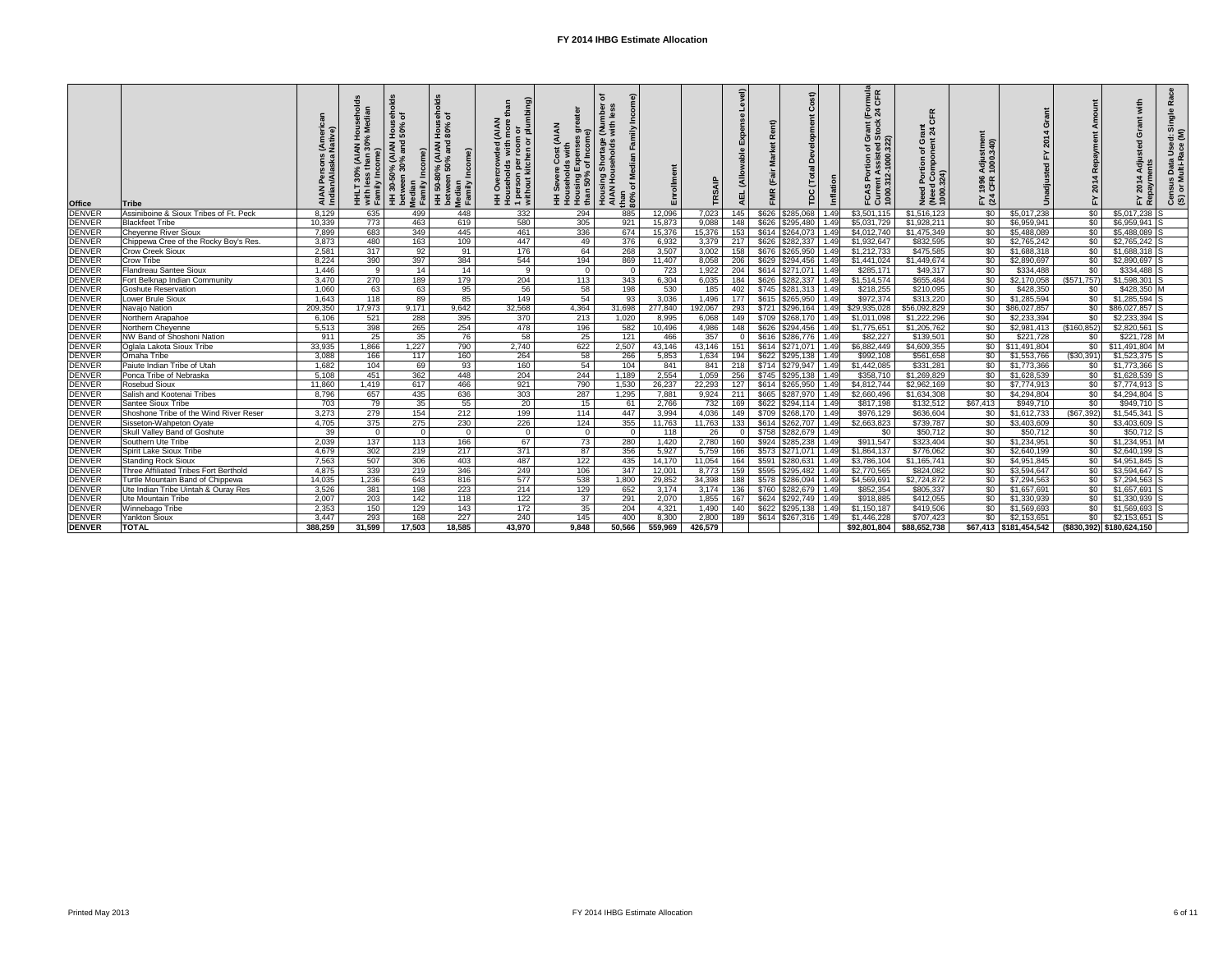| <b>Office</b> | Tribe                                  | <b>AIAN</b><br>Indian | $\%$<br>with les<br>Family | <b>UOH</b><br><b>AIAN</b><br>$\circ$<br>Median<br>Family<br>30<br>王<br>ق<br>م | $\epsilon$<br>AIAN)<br><sup>9%</sup> and<br><b>9% (A)</b><br>50%<br>50-80<br>$\epsilon$<br>Median<br>Family | <b>AIAN</b><br>g<br>ᄒᆯ<br>$\circ$<br>1 person per i<br>without kitch<br>0 | <b>AIAN</b><br><u>ම ල</u><br>Exper<br>of In<br>Housing <b>E</b><br>than 50%<br>오 | with<br>Housing S<br>AIAN Hous<br>than<br>$80\%$ | Enrollment |         | $\widehat{\mathbf{e}}$<br><b>AEL</b> | し                         | $\widehat{\mathbf{H}}$<br>ᄇ    | rmula<br>CFR<br>$\overline{C}$<br>$\overline{C}$<br>$\overline{C}$<br>rant (<br>tock<br>$5\overline{8}$<br>g<br>٠ë<br>FCAS<br>Curren<br>1000.31 | 또<br>$\mathbf C$<br>$\frac{2}{9}$ $\frac{2}{9}$<br>ပ<br>Need Port<br>(Need Cor<br>1000.324) | stme<br>.340)<br><b>Adju</b><br>1000<br>1996<br>CFR<br>$F \times 3$ |                                          | 201             | 201                                  | $\frac{5}{5}$<br>na<br>C<br><u> ၉၈</u> |
|---------------|----------------------------------------|-----------------------|----------------------------|-------------------------------------------------------------------------------|-------------------------------------------------------------------------------------------------------------|---------------------------------------------------------------------------|----------------------------------------------------------------------------------|--------------------------------------------------|------------|---------|--------------------------------------|---------------------------|--------------------------------|-------------------------------------------------------------------------------------------------------------------------------------------------|---------------------------------------------------------------------------------------------|---------------------------------------------------------------------|------------------------------------------|-----------------|--------------------------------------|----------------------------------------|
| <b>DENVER</b> | Assiniboine & Sioux Tribes of Ft. Peck | 8,129                 | 635                        | 499                                                                           | 448                                                                                                         | 332                                                                       | 294                                                                              | 885                                              | 12,096     | 7,023   | 145                                  | \$626                     | \$285,068<br>1.49              | \$3,501,115                                                                                                                                     | \$1,516,123                                                                                 | \$0                                                                 | \$5,017,238                              | $\sqrt{6}$      | $$5,017,238$ S                       |                                        |
| <b>DENVER</b> | <b>Blackfeet Tribe</b>                 | 10,339                | 773                        | 463                                                                           | 619                                                                                                         | 580                                                                       | 305                                                                              | 921                                              | 15,873     | 9,088   | 148                                  | \$626                     | \$295,480<br>1.49              | \$5,031,729                                                                                                                                     | \$1,928,211                                                                                 | \$0                                                                 | \$6,959,941                              | $\sqrt[6]{30}$  | \$6,959,941                          |                                        |
| <b>DENVER</b> | <b>Cheyenne River Sioux</b>            | 7,899                 | 683                        | 349                                                                           | 445                                                                                                         | 461                                                                       | 336                                                                              | 674                                              | 15,376     | 15,376  | 153                                  | \$614                     | \$264,073<br>1.49              | \$4,012,740                                                                                                                                     | \$1,475,349                                                                                 | \$0                                                                 | \$5,488,089                              | \$0             | \$5,488,089                          |                                        |
| <b>DENVER</b> | Chippewa Cree of the Rocky Boy's Res.  | 3,873                 | 480                        | 163                                                                           | 109                                                                                                         | 447                                                                       | 49                                                                               | 376                                              | 6,932      | 3,379   | 217                                  | \$626                     | \$282,337<br>1.49              | \$1,932,647                                                                                                                                     | \$832,595                                                                                   | \$0                                                                 | \$2,765,242                              | \$0             | \$2,765,242                          |                                        |
| <b>DENVER</b> | <b>Crow Creek Sioux</b>                | 2,581                 | 317                        | 92                                                                            | 91                                                                                                          | 176                                                                       | 64                                                                               | 268                                              | 3,507      | 3,002   | 158                                  | \$676                     | \$265,950<br>1.49              | \$1,212,733                                                                                                                                     | \$475,585                                                                                   | $\sqrt{60}$                                                         | \$1,688,318                              | \$0             | \$1,688,318                          |                                        |
| <b>DENVER</b> | Crow Tribe                             | 8,224                 | 390                        | 397                                                                           | 384                                                                                                         | 544                                                                       | 194                                                                              | 869                                              | 11,407     | 8,058   | 206                                  | \$629                     | \$294,456<br>1.49              | \$1,441,024                                                                                                                                     | \$1,449,674                                                                                 | $\sqrt{60}$                                                         | \$2,890,697                              | \$0             | \$2,890,697                          |                                        |
| <b>DENVER</b> | <b>Flandreau Santee Sioux</b>          | 1,446                 | 9                          | 14                                                                            | 14                                                                                                          | 9                                                                         | - 0                                                                              | $\Omega$                                         | 723        | 1,922   | 204                                  | \$614                     | $$271,071$ 1.49                | \$285,171                                                                                                                                       | \$49,317                                                                                    | \$0                                                                 | \$334,488                                | \$0             | $$334,488$ S                         |                                        |
| <b>DENVER</b> | Fort Belknap Indian Community          | 3,470                 | 270                        | 189                                                                           | 179                                                                                                         | 204                                                                       | 113                                                                              | $\overline{343}$                                 | 6,304      | 6,035   |                                      | \$626                     | \$282,337<br>1.49              | \$1,514,574                                                                                                                                     | \$655,484                                                                                   | \$0                                                                 | \$2,170,058                              | $($ \$571,757)  | $$1,598,301$ S                       |                                        |
| <b>DENVER</b> | <b>Goshute Reservation</b>             | 1,060                 | 63                         | 63                                                                            | 95                                                                                                          | 56                                                                        | 58                                                                               | 198                                              | 530        | 185     |                                      | \$745                     | \$281,313<br>1.49              | \$218,255                                                                                                                                       | \$210,095                                                                                   | \$0                                                                 | \$428,350                                | \$0             | $$428,350$ M                         |                                        |
| <b>DENVER</b> | Lower Brule Sioux                      | 1,643                 | 118                        | 89                                                                            | 85                                                                                                          | 149                                                                       | 54                                                                               | 93                                               | 3,036      | 1,496   |                                      | \$615 \$265,950           | 1.49                           | \$972,374                                                                                                                                       | \$313,220                                                                                   | \$0                                                                 | \$1,285,594                              | $\sqrt{6}$      | \$1,285,594                          |                                        |
| <b>DENVER</b> | Navajo Nation                          | 209,350               | 17,973                     | 9,171                                                                         | 9,642                                                                                                       | 32,568                                                                    | 4,364                                                                            | 31,698                                           | 277,840    | 192,067 | 293                                  | \$721                     | 1.49<br>\$296,164              | \$29,935,028                                                                                                                                    | \$56,092,829                                                                                | \$0                                                                 | \$86,027,857                             | \$0             | \$86,027,857                         |                                        |
| <b>DENVER</b> | Northern Arapahoe                      | 6,106                 | 521                        | 288                                                                           | 395                                                                                                         | 370                                                                       | 213                                                                              | 1,020                                            | 8,995      | 6,068   | 149                                  | \$709                     | \$268,170<br>1.49              | \$1,011,098                                                                                                                                     | \$1,222,296                                                                                 | \$0                                                                 | \$2,233,394                              | \$0             | \$2,233,394                          |                                        |
| <b>DENVER</b> | Northern Cheyenne                      | 5,513                 | 398                        | 265                                                                           | 254                                                                                                         | 478                                                                       | 196                                                                              | 582                                              | 10,496     | 4,986   | 148                                  | \$626   \$294,456         | 1.49                           | \$1,775,651                                                                                                                                     | \$1,205,762                                                                                 | \$0                                                                 | \$2,981,413                              | (\$160, 852)    | \$2,820,561                          |                                        |
| <b>DENVER</b> | NW Band of Shoshoni Nation             | 911                   | $\overline{25}$            | 35                                                                            | 76                                                                                                          | 58                                                                        | 25                                                                               | 121                                              | 466        | 357     |                                      | \$616                     | \$286,776<br>1.49              | \$82,227                                                                                                                                        | \$139,501                                                                                   | \$0                                                                 | \$221,728                                | \$0             | $$221,728$ M                         |                                        |
| <b>DENVER</b> | Oglala Lakota Sioux Tribe              | 33,935                | 1,866                      | 1,227                                                                         | 790                                                                                                         | 2,740                                                                     | 622                                                                              | 2,507                                            | 43,146     | 43,146  |                                      | \$614<br>\$271.071        | 1.49                           | \$6,882,449                                                                                                                                     | \$4,609,355                                                                                 |                                                                     | $\overline{30}$ $\overline{311,491,804}$ | \$0             | \$11,491,804                         |                                        |
| <b>DENVER</b> | Omaha Tribe                            | 3,088                 |                            |                                                                               | 160                                                                                                         |                                                                           |                                                                                  |                                                  |            |         | 151                                  | \$622                     |                                | \$992,108                                                                                                                                       | \$561,658                                                                                   | \$0                                                                 |                                          | ( \$30, 391)    | $$1,523,375$ S                       |                                        |
|               |                                        |                       | 166                        | 117                                                                           |                                                                                                             | 264                                                                       | 58                                                                               | 266                                              | 5,853      | 1,634   |                                      |                           | $$295,138$ 1.49                |                                                                                                                                                 |                                                                                             |                                                                     | \$1,553,766                              |                 |                                      |                                        |
| <b>DENVER</b> | Paiute Indian Tribe of Utah            | 1,682                 | 104                        | 69                                                                            | 93                                                                                                          | 160                                                                       | 54                                                                               | 104                                              | 841        | 841     | 218                                  | \$714                     | $$279,947$   1.49              | \$1,442,085                                                                                                                                     | \$331,281                                                                                   | $\sqrt{60}$                                                         | \$1,773,366                              | $\sqrt{50}$     | \$1,773,366 S                        |                                        |
| <b>DENVER</b> | Ponca Tribe of Nebraska                | 5,108                 | 451                        | 362                                                                           | 448                                                                                                         | 204                                                                       | 244                                                                              | 1,189                                            | 2,554      | 1,059   | 256                                  | \$745                     | $$295,138$ 1.49                | \$358,710                                                                                                                                       | \$1,269,829                                                                                 | \$0                                                                 | \$1,628,539                              | $\sqrt{6}$      | $$1,628,539$ S                       |                                        |
| <b>DENVER</b> | <b>Rosebud Sioux</b>                   | 11,860                | 1,419                      | 617                                                                           | 466                                                                                                         | 921                                                                       | 790                                                                              | 1,530                                            | 26,237     | 22,293  | 127                                  | \$614                     | $\frac{1}{2}$ \$265,950   1.49 | \$4,812,744                                                                                                                                     | \$2,962,169                                                                                 | \$0                                                                 | \$7,774,913                              | $\sqrt[6]{30}$  | $$7,774,913$ S                       |                                        |
| <b>DENVER</b> | Salish and Kootenai Tribes             | 8,796                 | 657                        | 435                                                                           | 636                                                                                                         | 303                                                                       | 287                                                                              | 1,295                                            | 7,881      | 9,924   | 211                                  | \$665                     | 1.49<br>\$287,970              | \$2,660,496                                                                                                                                     | \$1,634,308                                                                                 | \$0                                                                 | \$4,294,804                              | $\sqrt{6}$      | \$4,294,804                          |                                        |
| <b>DENVER</b> | <b>Santee Sioux Tribe</b>              | 703                   | 79                         | 35                                                                            | 55                                                                                                          | 20                                                                        | 15                                                                               | 61                                               | 2,766      | 732     | 169                                  | \$622                     | \$294,114<br>1.49              | \$817,198                                                                                                                                       | \$132,512                                                                                   | \$67,413                                                            | \$949,710                                | $\overline{50}$ | \$949,710 S                          |                                        |
| <b>DENVER</b> | Shoshone Tribe of the Wind River Reser | 3,273                 | 279                        | 154                                                                           | 212                                                                                                         | 199                                                                       | 114                                                                              | 447                                              | 3,994      | 4,036   | 149                                  | \$709                     | $$268,170$ 1.49                | \$976,129                                                                                                                                       | \$636,604                                                                                   | \$0                                                                 | \$1,612,733                              | $($ \$67,392)   | \$1,545,341                          |                                        |
| <b>DENVER</b> | Sisseton-Wahpeton Oyate                | 4,705                 | 375                        | 275                                                                           | 230                                                                                                         | 226                                                                       | 124                                                                              | 355                                              | 11,763     | 11,763  | 133                                  | \$614<br>\$262,707        | 1.49                           | \$2,663,823                                                                                                                                     | \$739,787                                                                                   | \$0                                                                 | \$3,403,609                              | \$0             | $$3,403,609$ S                       |                                        |
| <b>DENVER</b> | Skull Valley Band of Goshute           | 39                    | - 0                        | $\overline{0}$                                                                | $\overline{0}$                                                                                              | 0 <sup>1</sup>                                                            | $\Omega$                                                                         | 0 I                                              | 118        | 26      | $\overline{0}$                       | $$758$ $$282,679$   1.49  |                                | \$0                                                                                                                                             | \$50,712                                                                                    | \$0                                                                 | \$50,712                                 | \$0             | $$50,712$ S                          |                                        |
| <b>DENVER</b> | Southern Ute Tribe                     | 2,039                 | 137                        | 113                                                                           | 166                                                                                                         | 67                                                                        | 73                                                                               | 280                                              | 1,420      | 2,780   | 160                                  | $$924$ $$285,238$ 1.49    |                                | \$911,547                                                                                                                                       | \$323,404                                                                                   | $\frac{6}{3}$                                                       | \$1,234,951                              | $\sqrt{50}$     | $$1,234,951$ M                       |                                        |
| <b>DENVER</b> | Spirit Lake Sioux Tribe                | 4,679                 | 302                        | 219                                                                           | 217                                                                                                         | 371                                                                       | 87                                                                               | 356                                              | 5,927      | 5,759   | 166                                  | $$573$ $$271,071$ 1.49    |                                | \$1,864,137                                                                                                                                     | \$776,062                                                                                   | \$0                                                                 | \$2,640,199                              | \$0             | $$2,640,199$ S                       |                                        |
| <b>DENVER</b> | <b>Standing Rock Sioux</b>             | 7,563                 | 507                        | 306                                                                           | 403                                                                                                         | 487                                                                       | 122                                                                              | 435                                              | 14,170     | 11,054  | 164                                  | $$591$ $$280,631$   1.49  |                                | \$3,786,104                                                                                                                                     | \$1,165,741                                                                                 | $\sqrt{60}$                                                         | \$4,951,845                              | $\overline{60}$ | $$4,951,845$ S                       |                                        |
| <b>DENVER</b> | Three Affiliated Tribes Fort Berthold  | 4,875                 | 339                        | 219                                                                           | 346                                                                                                         | 249                                                                       | 106                                                                              | 347                                              | 12,001     | 8,773   | 159                                  | \$595   \$295,482   1.49] |                                | \$2,770,565                                                                                                                                     | \$824,082                                                                                   | \$0                                                                 | \$3,594,647                              | $\frac{1}{3}$   | $$3,594,647$ S                       |                                        |
| <b>DENVER</b> | Turtle Mountain Band of Chippewa       | 14,035                | 1,236                      | 643                                                                           | 816                                                                                                         | 577                                                                       | 538                                                                              | 1,800                                            | 29,852     | 34,398  | 188                                  | $$578$ $$286,094$ 1.49    |                                | \$4,569,691                                                                                                                                     | \$2,724,872                                                                                 | \$0                                                                 | \$7,294,563                              | $\frac{1}{6}$   | \$7,294,563 S                        |                                        |
| <b>DENVER</b> | Ute Indian Tribe Uintah & Ouray Res    | 3,526                 | 381                        | 198                                                                           | 223                                                                                                         | 214                                                                       | 129                                                                              | 652                                              | 3,174      | 3,174   | 136                                  | $$760$ $$282,679$ 1.49    |                                | \$852,354                                                                                                                                       | \$805,337                                                                                   | $\sqrt{60}$                                                         | \$1,657,691                              | $\frac{1}{3}$   | $$1,657,691$ S                       |                                        |
| <b>DENVER</b> | <b>Ute Mountain Tribe</b>              | 2,007                 | 203                        | 142                                                                           | 118                                                                                                         | 122                                                                       | $\overline{37}$                                                                  | 291                                              | 2,070      | 1,855   | 167                                  | $$624$ $$292,749$ 1.49    |                                | \$918,885                                                                                                                                       | \$412,055                                                                                   | $\sqrt{60}$                                                         | \$1,330,939                              | $\sqrt{50}$     | $$1,330,939$ S                       |                                        |
| <b>DENVER</b> | Winnebago Tribe                        | 2,353                 | 150                        | 129                                                                           | 143                                                                                                         | 172                                                                       | 35                                                                               | 204                                              | 4,321      | 1,490   | 140                                  | $$622$ $$295,138$   1.49  |                                | \$1,150,187                                                                                                                                     | \$419,506                                                                                   | \$0                                                                 | \$1,569,693                              | $\sqrt{50}$     | $$1,569,693$ S                       |                                        |
| <b>DENVER</b> | <b>Yankton Sioux</b>                   | 3,447                 | 293                        | 168                                                                           | 227                                                                                                         | 240                                                                       | 145                                                                              | 400                                              | 8,300      | 2,800   | 189                                  | $$614$ $$267,316$ 1.49    |                                | \$1,446,228                                                                                                                                     | \$707,423                                                                                   | \$0                                                                 | \$2,153,651                              | $\frac{1}{20}$  | $$2,153,651$ S                       |                                        |
| <b>DENVER</b> | <b>TOTAL</b>                           | 388,259               | 31,599                     | 17,503                                                                        | 18,585                                                                                                      | 43,970                                                                    | 9,848                                                                            | 50,566                                           | 559,969    | 426,579 |                                      |                           |                                | \$92,801,804                                                                                                                                    | \$88,652,738                                                                                |                                                                     | $$67,413$ $$181,454,542$                 |                 | $($ \$830,392) $ $ \$180,624,150 $ $ |                                        |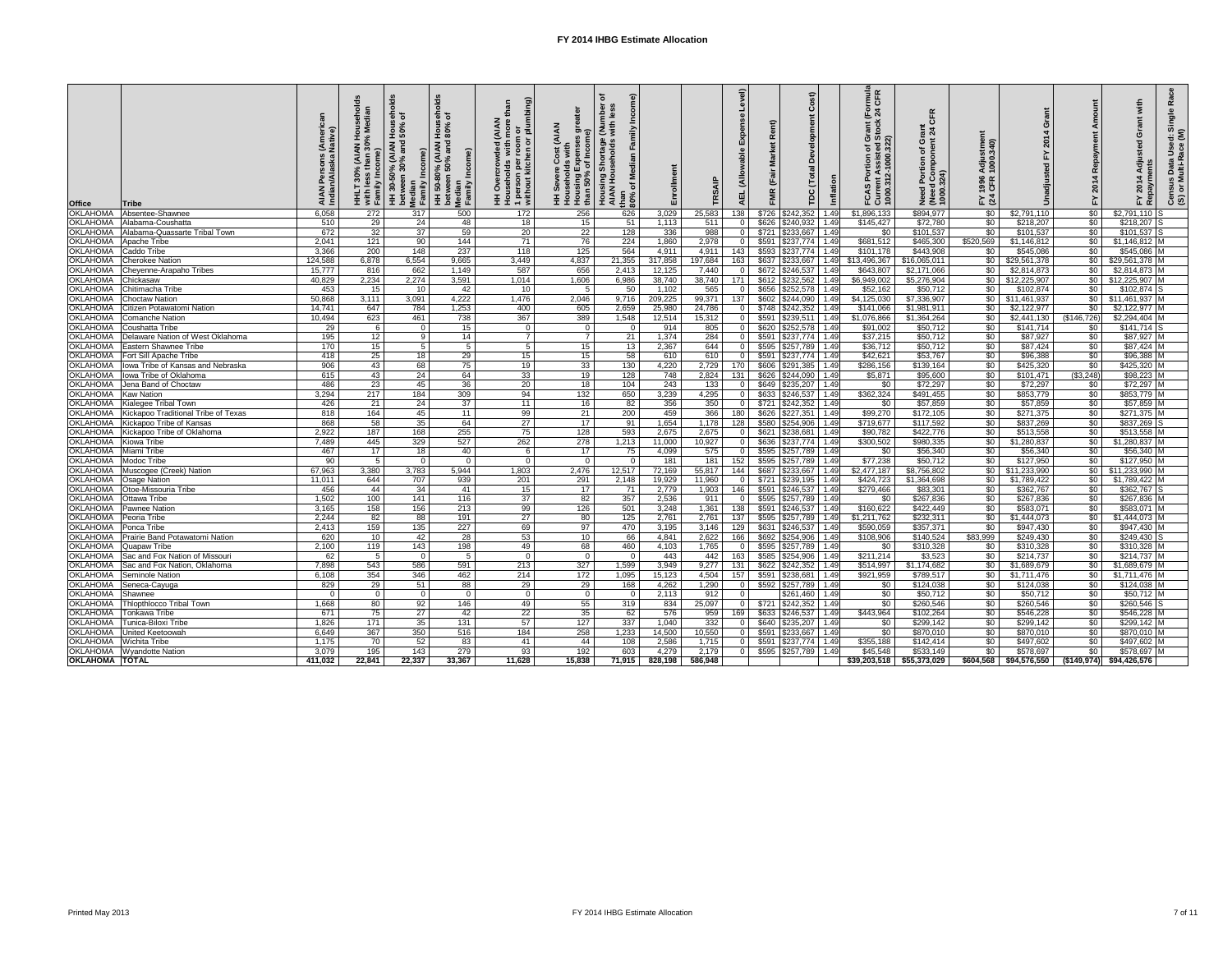| <b>Office</b>                      | <b>Tribe</b>                            | <b>AIAN</b><br>Indiar | $\aleph$        | $\circ \circ$<br>)% (AIAN<br>30% an<br>30-50<br>Median<br>Family<br>$E$ is | ಕ<br>X <sub>80</sub><br>Hou<br>% (AIAN<br>50% and<br>50-80<br>$\epsilon$<br>Median<br>Family<br>$\boldsymbol{\ddot{\pm}}$ | ÷<br>ء<br>(AlA<br>$\overline{\sigma}$<br>$\bar{a}$<br>room<br>$\overline{\mathsf{o}}$<br>n per<br>kitch<br>1 person<br>without k<br>生立 | <b>ZAIAN</b><br>$\bar{a}$<br>e<br>50%<br>e<br>Housin<br>than 5<br>than 5 | <b>Z</b><br>Sith<br>ortage<br>holds<br>Housing<br>AIAN Hou<br>than<br>80% | Enrollment   |         | $\widehat{e}$<br>디<br>4 |       | £<br>≏                    | <b>oilation</b> | rmula<br>CFR<br>$\overline{FQ}$<br>Grant (<br>Stock<br>$\overline{5}$ $\overline{8}$<br>$\bullet$<br>8<br>$\frac{1}{2}$<br>$\rho$ =<br><b>FCAS F<br/>Curren:<br/>1000.31</b> | $\frac{1}{6}$ $\frac{4}{1}$<br>Need Port<br>(Need Cor)<br>1000.324) | stme<br>.340)<br><b>Adju</b><br>1000<br>1996<br>CFR<br>$E \times 2$ |                                    | $\overline{a}$<br>े⊾<br>⊾ | ທ.<br>Use<br>$\overline{A}$<br>i⊭i<br>G<br>201<br><u>ငံ (၁</u><br>⊥ ≃ |
|------------------------------------|-----------------------------------------|-----------------------|-----------------|----------------------------------------------------------------------------|---------------------------------------------------------------------------------------------------------------------------|----------------------------------------------------------------------------------------------------------------------------------------|--------------------------------------------------------------------------|---------------------------------------------------------------------------|--------------|---------|-------------------------|-------|---------------------------|-----------------|------------------------------------------------------------------------------------------------------------------------------------------------------------------------------|---------------------------------------------------------------------|---------------------------------------------------------------------|------------------------------------|---------------------------|-----------------------------------------------------------------------|
| <b>OKLAHOMA</b>                    | Absentee-Shawnee                        | 6,058                 | 272             | 317                                                                        | 500                                                                                                                       | 172                                                                                                                                    | 256                                                                      | 626                                                                       | 3,029        | 25,583  | 138                     | \$726 | \$242,352                 | 1.49            | \$1,896,133                                                                                                                                                                  | \$894,977                                                           | \$0                                                                 | \$2,791,110                        | \$0                       | $$2,791,110$ S                                                        |
| <b>OKLAHOMA</b>                    | Alabama-Coushatta                       | 510                   | $\overline{29}$ | 24                                                                         | 48                                                                                                                        | 18                                                                                                                                     | 15                                                                       | 51                                                                        | 1,113        | 511     |                         | \$626 | 1.49<br>\$240,932         |                 | \$145,427                                                                                                                                                                    | \$72,780                                                            | $\sqrt{60}$                                                         | \$218,207                          | $\overline{50}$           | $$218,207$ S                                                          |
| <b>OKLAHOMA</b>                    | Alabama-Quassarte Tribal Town           | 672                   | 32              | 37                                                                         | 59                                                                                                                        | 20                                                                                                                                     | 22                                                                       | 128                                                                       | 336          | 988     |                         | \$721 | 1.49<br>\$233,667         |                 | \$0                                                                                                                                                                          | \$101,537                                                           | $\overline{50}$                                                     | \$101,537                          | \$0                       | $$101,537$ S                                                          |
| <b>OKLAHOMA</b>                    | Apache Tribe                            | 2,041                 | 121             | 90                                                                         | 144                                                                                                                       | $\overline{71}$                                                                                                                        | 76                                                                       | 224                                                                       | 1,860        | 2,978   |                         | \$591 | \$237,774                 | 1.49            | \$681,512                                                                                                                                                                    | \$465,300                                                           | \$520,569                                                           | \$1,146,812                        | $\sqrt{60}$               | $$1,146,812$ M                                                        |
| <b>OKLAHOMA</b>                    | <b>Caddo Tribe</b>                      | 3,366                 | 200             | 148                                                                        | 237                                                                                                                       | 118                                                                                                                                    | 125                                                                      | 564                                                                       | 4,911        | 4,911   | 143                     | \$593 | \$237,774                 | 1.49            | \$101,178                                                                                                                                                                    | \$443,908                                                           | \$0                                                                 | \$545,086                          | $\sqrt{60}$               | \$545,086 M                                                           |
| OKLAHOMA                           | <b>Cherokee Nation</b>                  | 124,588               | 6,878           | 6,554                                                                      | 9,665                                                                                                                     | 3,449                                                                                                                                  | 4,837                                                                    | 21,355                                                                    | 317,858      | 197,684 | 163                     | \$637 | \$233,667                 | 1.49            | \$13,496,367                                                                                                                                                                 | \$16,065,011                                                        | \$0                                                                 | \$29,561,378                       | \$0                       | \$29,561,378 M                                                        |
| <b>OKLAHOMA</b>                    | Cheyenne-Arapaho Tribes                 | 15,777                | 816             | 662                                                                        | 1,149                                                                                                                     | 587                                                                                                                                    | 656                                                                      | 2,413                                                                     | 12,125       | 7,440   |                         |       | \$672 \$246,537<br>1.49   |                 | \$643,807                                                                                                                                                                    | \$2,171,066                                                         | \$0                                                                 | \$2,814,873                        | \$0                       | \$2,814,873 M                                                         |
| <b>OKLAHOMA</b>                    | Chickasaw                               | 40,829                | 2,234           | 2,274                                                                      | 3,591                                                                                                                     | 1,014                                                                                                                                  | 1,606                                                                    | 6,986                                                                     | 38,740       | 38,740  |                         |       | \$612 \$232,562<br>1.49   |                 | \$6,949,002                                                                                                                                                                  | \$5,276,904                                                         |                                                                     | $$0 \mid $12,225,907$              | $\sqrt{50}$               | \$12,225,907 M                                                        |
| <b>OKLAHOMA</b>                    | Chitimacha Tribe                        | 453                   | 15              | 10                                                                         | 42                                                                                                                        | 10 <sup>°</sup>                                                                                                                        |                                                                          | 50                                                                        | 1,102        | 565     |                         | \$656 | $$252,578$ 1.49           |                 | \$52,162                                                                                                                                                                     | \$50,712                                                            | \$0                                                                 | \$102,874                          | \$0                       | $$102,874$ S                                                          |
| <b>OKLAHOMA</b>                    | <b>Choctaw Nation</b>                   | 50,868                | 3,111           | 3,091                                                                      | 4,222                                                                                                                     | 1,476                                                                                                                                  | 2,046                                                                    | 9,716                                                                     | 209,225      | 99,371  |                         |       | \$602 \$244,090           | 1.49            | \$4,125,030                                                                                                                                                                  | \$7,336,907                                                         |                                                                     | $\overline{\$0 \quad $11,461,937}$ | \$0                       | \$11,461,937 M                                                        |
| <b>OKLAHOMA</b>                    | Citizen Potawatomi Nation               | 14,741                | 647             | 784                                                                        | 1,253                                                                                                                     | 400                                                                                                                                    | 605                                                                      | 2,659                                                                     | 25,980       | 24,786  |                         | \$748 | $\sqrt{242,352}$<br>1.49  |                 | \$141,066                                                                                                                                                                    | \$1,981,911                                                         | \$0                                                                 | \$2,122,977                        | \$0                       | \$2,122,977 M                                                         |
| <b>OKLAHOMA</b>                    | <b>Comanche Nation</b>                  | 10,494                | 623             | 461                                                                        | 738                                                                                                                       | 367                                                                                                                                    | 389                                                                      | 1,548                                                                     | 12,514       | 15,312  |                         | \$591 | \$239,511                 | 1.49            | \$1,076,866                                                                                                                                                                  | \$1,364,264                                                         | \$0                                                                 | \$2,441,130                        | (\$146,726)               | \$2,294,404 M                                                         |
| <b>OKLAHOMA</b>                    | <b>Coushatta Tribe</b>                  | 29                    | - 6             | $\Omega$                                                                   | 15                                                                                                                        | $\Omega$                                                                                                                               | $\Omega$                                                                 | - 0                                                                       | 914          | 805     |                         | \$620 | $$252,578$ 1.49           |                 | \$91,002                                                                                                                                                                     | \$50,712                                                            | \$0                                                                 | \$141,714                          | \$0                       | $$141,714$ S                                                          |
| <b>OKLAHOMA</b>                    | Delaware Nation of West Oklahoma        | 195                   |                 | -91                                                                        | 14                                                                                                                        |                                                                                                                                        |                                                                          | 21                                                                        | 1,374        | 284     |                         | \$591 | $$237,774$ 1.49           |                 | \$37,215                                                                                                                                                                     | \$50,712                                                            | $\sqrt{60}$                                                         | \$87,927                           | $\sqrt{50}$               | \$87,927 M                                                            |
|                                    |                                         | 170                   | 12              |                                                                            |                                                                                                                           |                                                                                                                                        |                                                                          | 13                                                                        |              | 644     |                         | \$595 | \$257,789 1.49            |                 | \$36,712                                                                                                                                                                     | \$50,712                                                            |                                                                     | \$87,424                           | \$0                       |                                                                       |
| <b>OKLAHOMA</b><br><b>OKLAHOMA</b> | Eastern Shawnee Tribe                   |                       | 15              |                                                                            |                                                                                                                           |                                                                                                                                        | 15 <sup>1</sup>                                                          |                                                                           | 2,367<br>610 | 610     |                         |       |                           |                 | \$42,621                                                                                                                                                                     | \$53,767                                                            | \$0                                                                 |                                    | $\overline{50}$           | \$87,424 M                                                            |
| <b>OKLAHOMA</b>                    | Fort Sill Apache Tribe                  | 418                   | 25              | 18                                                                         | 29                                                                                                                        | 15 <sub>1</sub>                                                                                                                        | 15 <sup>1</sup>                                                          | 58                                                                        |              |         |                         | \$591 | $$237,774$ 1.49           |                 |                                                                                                                                                                              |                                                                     | $\sqrt{60}$                                                         | \$96,388                           | $\overline{50}$           | \$96,388 M                                                            |
|                                    | Iowa Tribe of Kansas and Nebraska       | 906                   | 43              | 68                                                                         | 75                                                                                                                        | 19                                                                                                                                     | 33                                                                       | 130                                                                       | 4,220        | 2,729   | 170                     | \$606 | $$291,385$ 1.49           |                 | \$286,156                                                                                                                                                                    | \$139,164                                                           | $\sqrt{60}$                                                         | \$425,320                          |                           | $$425,320$ M                                                          |
| <b>OKLAHOMA</b>                    | Iowa Tribe of Oklahoma                  | 615                   | 43              | 24                                                                         | 64                                                                                                                        | 33                                                                                                                                     | 19 <sup>°</sup>                                                          | 128                                                                       | 748          | 2,824   | 131                     | \$626 | \$244,090<br>$\vert$ 1.49 |                 | \$5,871                                                                                                                                                                      | \$95,600                                                            | \$0                                                                 | \$101,471                          | (\$3,248)                 | $$98,223$ M                                                           |
| <b>OKLAHOMA</b>                    | Jena Band of Choctaw                    | 486                   | 23              | 45                                                                         | 36                                                                                                                        | 20                                                                                                                                     | 18                                                                       | 104                                                                       | 243          | 133     | $\Omega$                | \$649 | $$235,207$ 1.49           |                 | \$0                                                                                                                                                                          | \$72,297                                                            | \$0                                                                 | \$72,297                           | \$0                       | $$72,297$ M                                                           |
| <b>OKLAHOMA</b>                    | <b>Kaw Nation</b>                       | 3,294                 | 217             | 184                                                                        | 309                                                                                                                       | 94                                                                                                                                     | 132                                                                      | 650                                                                       | 3,239        | 4,295   |                         | \$633 | \$246,537<br>1.49         |                 | \$362,324                                                                                                                                                                    | \$491,455                                                           | \$0                                                                 | \$853,779                          | \$0                       | \$853,779 M                                                           |
| <b>OKLAHOMA</b>                    | Kialegee Tribal Town                    | 426                   | 21              | 24                                                                         | 37                                                                                                                        | 11                                                                                                                                     | 16                                                                       | 82                                                                        | 356          | 350     |                         | \$721 | \$242,352                 | 1.49            | \$0                                                                                                                                                                          | \$57,859                                                            | \$0                                                                 | \$57,859                           | \$0                       | \$57,859 M                                                            |
| <b>OKLAHOMA</b>                    | Kickapoo Traditional Tribe of Texas     | 818                   | 164             | 45                                                                         | 11                                                                                                                        | 99                                                                                                                                     | 21                                                                       | 200                                                                       | 459          | 366     | 180                     | \$626 | $\sqrt{$227,351}$         | 1.49            | \$99,270                                                                                                                                                                     | \$172,105                                                           | \$0                                                                 | \$271,375                          | \$0                       | \$271,375 M                                                           |
| <b>OKLAHOMA</b>                    | Kickapoo Tribe of Kansas                | 868                   | 58              | 35                                                                         | 64                                                                                                                        | 27                                                                                                                                     | 17                                                                       | 91                                                                        | 1,654        | 1,178   | 128                     | \$580 | \$254,906                 | 1.49            | \$719,677                                                                                                                                                                    | \$117,592                                                           | \$0                                                                 | \$837,269                          | \$0                       | $$837,269$ S                                                          |
|                                    | OKLAHOMA Kickapoo Tribe of Oklahoma     | 2,922                 | 187             | 168                                                                        | 255                                                                                                                       | 75                                                                                                                                     | 128                                                                      | 593                                                                       | 2,675        | 2,675   |                         |       | $$621$ $$238,681$ 1.49    |                 | \$90,782                                                                                                                                                                     | \$422,776                                                           | \$0 <sub>1</sub>                                                    | \$513,558                          | \$0                       | \$513,558 M                                                           |
| OKLAHOMA Kiowa Tribe               |                                         | 7,489                 | 445             | 329                                                                        | 527                                                                                                                       | 262                                                                                                                                    | 278                                                                      | 1,213                                                                     | 11,000       | 10,927  | $\Omega$                |       | $$636$ $$237,774$ 1.49    |                 | \$300,502                                                                                                                                                                    | \$980,335                                                           | \$0                                                                 | \$1,280,837                        | \$0 <sub>1</sub>          | $$1,280,837$ M                                                        |
| <b>OKLAHOMA</b> Miami Tribe        |                                         | 467                   | 17              | 18                                                                         | 40                                                                                                                        |                                                                                                                                        | 17                                                                       | 75                                                                        | 4,099        | 575     | $\cap$                  |       | \$595   \$257,789   1.49  |                 | \$0                                                                                                                                                                          | \$56,340                                                            | \$0                                                                 | \$56,340                           | \$0                       | \$56,340 M                                                            |
| OKLAHOMA   Modoc Tribe             |                                         | 90                    | -5              | $\Omega$                                                                   |                                                                                                                           | $\Omega$                                                                                                                               | $\Omega$                                                                 |                                                                           | 181          | 181     | 152                     |       | \$595   \$257,789   1.49  |                 | \$77,238                                                                                                                                                                     | \$50,712                                                            | \$0                                                                 | \$127,950                          | $\sqrt{50}$               | $$127,950$ M                                                          |
|                                    | OKLAHOMA Muscogee (Creek) Nation        | 67,963                | 3,380           | 3,783                                                                      | 5,944                                                                                                                     | 1,803                                                                                                                                  | 2,476                                                                    | 12,517                                                                    | 72,169       | 55,817  | 144                     |       | $$687$ $$233,667$ 1.49    |                 | \$2,477,187                                                                                                                                                                  | \$8,756,802                                                         |                                                                     | $$0 \mid $11,233,990$              | $\sqrt{60}$               | $$11,233,990$ M                                                       |
|                                    | OKLAHOMA   Osage Nation                 | 11,011                | 644             | 707                                                                        | 939                                                                                                                       | 201                                                                                                                                    | 291                                                                      | 2,148                                                                     | 19,929       | 11,960  |                         |       | $$721$ $$239,195$ 1.49    |                 | \$424,723                                                                                                                                                                    | \$1,364,698                                                         | \$0                                                                 | \$1,789,422                        | \$0                       | \$1,789,422 M                                                         |
|                                    | OKLAHOMA Otoe-Missouria Tribe           | 456                   | 44              | 34                                                                         | 41                                                                                                                        | 15                                                                                                                                     | 17                                                                       | 71                                                                        | 2,779        | 1,903   | 146                     |       | $$591$ $$246,537$ 1.49    |                 | \$279,466                                                                                                                                                                    | \$83,301                                                            | $\sqrt{60}$                                                         | \$362,767                          | $\sqrt{$0}$               | $$362,767$ S                                                          |
| OKLAHOMA Ottawa Tribe              |                                         | 1,502                 | 100             | 141                                                                        | 116                                                                                                                       | 37                                                                                                                                     | 82                                                                       | 357                                                                       | 2,536        | 911     | $\Omega$                |       | $$595$ $$257,789$ 1.49    |                 | \$0                                                                                                                                                                          | \$267,836                                                           | \$0                                                                 | \$267,836                          | $\sqrt{$0}$               | \$267,836 M                                                           |
|                                    | OKLAHOMA   Pawnee Nation                | 3,165                 | 158             | 156                                                                        | 213                                                                                                                       | 99                                                                                                                                     | 126                                                                      | 501                                                                       | 3,248        | 1,361   | 138                     |       | \$591   \$246,537   1.49  |                 | \$160,622                                                                                                                                                                    | \$422,449                                                           | \$0                                                                 | \$583,071                          | \$0                       | \$583,071 M                                                           |
| OKLAHOMA Peoria Tribe              |                                         | 2,244                 | 82              | 88                                                                         | 191                                                                                                                       | 27                                                                                                                                     | 80                                                                       | 125                                                                       | 2,761        | 2,761   | 137                     |       | \$595   \$257,789   1.49  |                 | \$1,211,762                                                                                                                                                                  | \$232,311                                                           | \$0                                                                 | \$1,444,073                        | \$0                       | $$1,444,073$ M                                                        |
| <b>OKLAHOMA</b> Ponca Tribe        |                                         | 2,413                 | 159             | $\overline{135}$                                                           | 227                                                                                                                       | 69                                                                                                                                     | 97                                                                       | 470                                                                       | 3,195        | 3,146   | 129                     |       | \$631   \$246,537   1.49  |                 | \$590,059                                                                                                                                                                    | \$357,371                                                           | \$0                                                                 | \$947,430                          | \$0                       | \$947,430 M                                                           |
|                                    | OKLAHOMA Prairie Band Potawatomi Nation | 620                   | 10 <sup>°</sup> | 42                                                                         | 28                                                                                                                        | 53                                                                                                                                     | 10                                                                       | 66                                                                        | 4,841        | 2,622   | 166                     |       | \$692   \$254,906   1.49  |                 | \$108,906                                                                                                                                                                    | \$140,524                                                           | \$83,999                                                            | \$249,430                          | \$0                       | $$249,430$ S                                                          |
|                                    | OKLAHOMA Quapaw Tribe                   | 2,100                 | 119             | 143                                                                        | 198                                                                                                                       | 49                                                                                                                                     | 68                                                                       | 460                                                                       | 4,103        | 1,765   | $\overline{0}$          |       | $$595$ $$257,789$ 1.49    |                 | \$0                                                                                                                                                                          | \$310,328                                                           | \$0                                                                 | \$310,328                          | $\sqrt{30}$               | $$310,328$ M                                                          |
|                                    | OKLAHOMA Sac and Fox Nation of Missouri | 62                    | - 5             | $\overline{0}$                                                             |                                                                                                                           | $\Omega$                                                                                                                               | $\Omega$                                                                 | $\Omega$                                                                  | 443          | 442     | 163                     |       | \$585   \$254,906   1.49  |                 | \$211,214                                                                                                                                                                    | \$3,523                                                             | \$0                                                                 | \$214,737                          | \$0                       | \$214,737 M                                                           |
|                                    | OKLAHOMA Sac and Fox Nation, Oklahoma   | 7,898                 | 543             | 586                                                                        | 591                                                                                                                       | 213                                                                                                                                    | 327                                                                      | 1,599                                                                     | 3,949        | 9,277   | 131                     |       | \$622   \$242,352   1.49] |                 | \$514,997                                                                                                                                                                    | \$1,174,682                                                         | \$0                                                                 | \$1,689,679                        | \$0                       | \$1,689,679 M                                                         |
|                                    | <b>OKLAHOMA</b> Seminole Nation         | 6,108                 | 354             | 346                                                                        | 462                                                                                                                       | 214                                                                                                                                    | 172                                                                      | 1,095                                                                     | 15,123       | 4,504   | 157                     |       | \$591   \$238,681   1.49  |                 | \$921,959                                                                                                                                                                    | \$789,517                                                           | \$0                                                                 | \$1,711,476                        | \$0                       | \$1,711,476 M                                                         |
|                                    | OKLAHOMA Seneca-Cayuga                  | 829                   | 29              | 51                                                                         | 88                                                                                                                        | 29                                                                                                                                     | 29                                                                       | 168                                                                       | 4,262        | 1,290   | $\Omega$                |       | \$592   \$257,789   1.49  |                 | \$0                                                                                                                                                                          | \$124,038                                                           | \$0                                                                 | \$124,038                          | \$0                       | $$124,038$ M                                                          |
| OKLAHOMA Shawnee                   |                                         |                       | - 0             | $\Omega$                                                                   |                                                                                                                           | $\Omega$                                                                                                                               | $\Omega$                                                                 |                                                                           | 2,113        | 912     | $\overline{0}$          |       | $$261,460$ 1.49           |                 | $\sqrt{50}$                                                                                                                                                                  | \$50,712                                                            | $rac{1}{\sqrt{2}}$                                                  | \$50,712                           | $\sqrt[6]{30}$            | $$50,712$ M                                                           |
|                                    | OKLAHOMA   Thlopthlocco Tribal Town     | 1,668                 | 80              | 92                                                                         | 146                                                                                                                       | 49                                                                                                                                     | 55                                                                       | 319                                                                       | 834          | 25,097  | $\overline{0}$          |       | $$721$ $$242,352$   1.49  |                 | \$0 <sub>1</sub>                                                                                                                                                             | \$260,546                                                           | \$0                                                                 | \$260,546                          | $\sqrt{$0}$               | $$260,546$ S                                                          |
| <b>OKLAHOMA</b>                    | Tonkawa Tribe                           | 671                   | 75              | 27                                                                         | 42                                                                                                                        | 22                                                                                                                                     | 35                                                                       | 62                                                                        | 576          | 959     | 169                     |       | $$633$ $$246,537$ 1.49    |                 | \$443,964                                                                                                                                                                    | \$102,264                                                           | \$0                                                                 | \$546,228                          | \$0                       | \$546,228 M                                                           |
| <b>OKLAHOMA</b>                    | Tunica-Biloxi Tribe                     | 1,826                 | 171             | 35                                                                         | 131                                                                                                                       | 57                                                                                                                                     | 127                                                                      | 337                                                                       | 1,040        | 332     | $\overline{0}$          |       | $$640$ $$235,207$ 1.49    |                 | \$0                                                                                                                                                                          | \$299,142                                                           | \$0                                                                 | \$299,142                          | \$0                       | $$299,142$ M                                                          |
| <b>OKLAHOMA</b>                    | United Keetoowah                        | 6,649                 | 367             | 350                                                                        | 516                                                                                                                       | 184                                                                                                                                    | 258                                                                      | 1,233                                                                     | 14,500       | 10,550  | $\Omega$                |       | \$591   \$233,667   1.49  |                 | \$0                                                                                                                                                                          | \$870,010                                                           | \$0                                                                 | \$870,010                          | \$0                       | \$870,010 M                                                           |
| OKLAHOMA Wichita Tribe             |                                         | 1,175                 | 70              | 52                                                                         | 83                                                                                                                        | 41                                                                                                                                     | 44                                                                       | 108                                                                       | 2,586        | 1,715   | $\Omega$                |       | \$591   \$237,774   1.49  |                 | \$355,188                                                                                                                                                                    | \$142,414                                                           | \$0                                                                 | \$497,602                          | \$0                       | \$497,602 M                                                           |
|                                    | OKLAHOMA Wyandotte Nation               | 3,079                 | 195             | 143                                                                        | 279                                                                                                                       | 93                                                                                                                                     | 192                                                                      | 603                                                                       | 4,279        | 2,179   | $\overline{0}$          |       | $$595$ $$257,789$ 1.49    |                 | \$45,548                                                                                                                                                                     | \$533,149                                                           | \$0                                                                 | \$578,697                          | \$0                       | \$578,697 M                                                           |
| <b>OKLAHOMA  TOTAL</b>             |                                         | 411,032               | 22,841          | 22,337                                                                     | 33,367                                                                                                                    | 11,628                                                                                                                                 | 15,838                                                                   | 71,915                                                                    | 828,198      | 586,948 |                         |       |                           |                 | \$39,203,518                                                                                                                                                                 | \$55,373,029                                                        | \$604,568                                                           | \$94,576,550                       |                           |                                                                       |
|                                    |                                         |                       |                 |                                                                            |                                                                                                                           |                                                                                                                                        |                                                                          |                                                                           |              |         |                         |       |                           |                 |                                                                                                                                                                              |                                                                     |                                                                     |                                    |                           |                                                                       |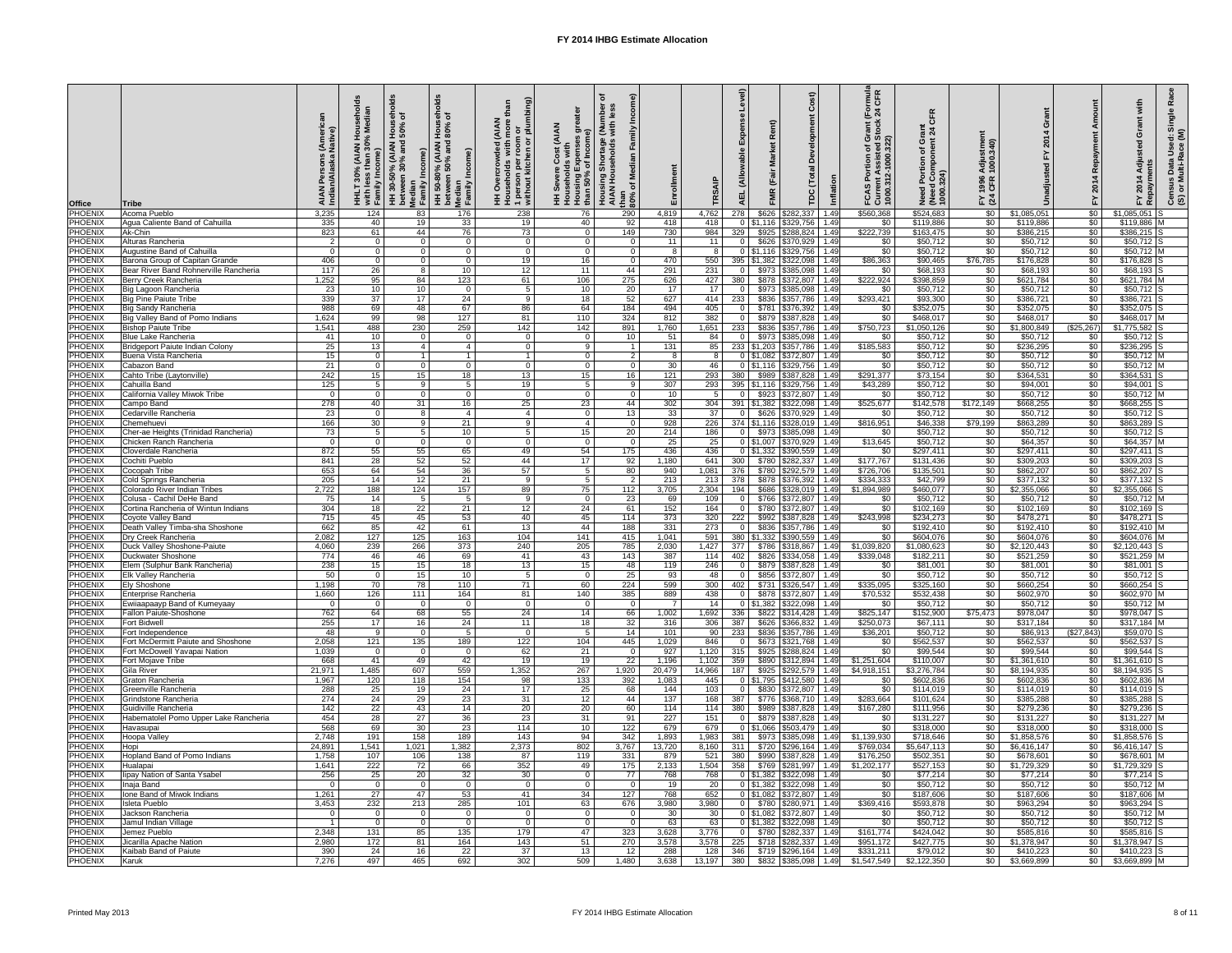| <b>Office</b><br><b>PHOENIX</b>  | <b>Tribe</b>                                                    | aiai<br>Indi            | $\mathcal{S}_{\mathbf{c}}$<br>$\circ$<br>with le:<br>Family | ಕ<br>ㅎㅎ<br><b>AIAN</b><br>Median<br>Family<br>$30^{\circ}$<br>$\overline{\mathbf{H}}$ | ಕೆ<br>ā<br>Ι.<br>AIAN)<br>% (A<br>50%<br>အို<br>between<br>Median<br>Family In<br>50 <sup>°</sup><br>$\boldsymbol{\ddot{\pm}}$ | ස<br>$\mathbf{a}$<br><b>AIAN</b><br>ᅙᅙ<br>$\circ$<br>n per<br>kitch<br>1 persor<br>without<br>O<br>$\circ$ | <b>AIAN</b><br><del>ာ်</del> ခ<br>유<br>25<br>פֵּי<br>ှိန္တိ<br>Housir<br>than 5 | င်္တ<br>몰로<br><b>Housi</b><br>AIAN<br>than<br>$80\%$ | Enrollment                |                          | $\widehat{e}$<br>ā<br>$\tilde{a}$<br>핒 | $\widehat{\mathbf{r}}$<br>$\alpha$<br>$\circ$<br>۵<br>$\vec{\mathsf{C}}$<br>し<br><b>MR</b><br><b>PC</b> | Inflation    | <b>rmula</b><br>CFR<br>$\overline{E}$ 24<br>Grant (<br>Stock<br>$\overline{\sigma}$<br>৳<br>$\epsilon$<br>ធ្លី ខ្លី<br>$\overline{5}$<br>FCAS F<br>Curren<br>1000.31 | $\frac{2}{9}$ $\frac{2}{9}$<br>ပ<br>$\tilde{\epsilon}$<br>Need Port<br>(Need Con<br>1000.324) | stme<br>.340)<br><b>Adjus</b><br>1000<br>1996<br>CFR<br>$E \times 3$ |                            | $\alpha$<br>201<br>े⊾<br>⊾         | $\frac{5}{5}$<br>Ädji<br>$\Omega$<br>$\blacktriangleleft$<br>ulƙec<br><u>ក្ត</u><br><u>ีรี อี</u><br><u>င်္ဗ</u><br>(၁<br>≻<br>$\tilde{\alpha}$ |
|----------------------------------|-----------------------------------------------------------------|-------------------------|-------------------------------------------------------------|---------------------------------------------------------------------------------------|--------------------------------------------------------------------------------------------------------------------------------|------------------------------------------------------------------------------------------------------------|---------------------------------------------------------------------------------|------------------------------------------------------|---------------------------|--------------------------|----------------------------------------|---------------------------------------------------------------------------------------------------------|--------------|----------------------------------------------------------------------------------------------------------------------------------------------------------------------|-----------------------------------------------------------------------------------------------|----------------------------------------------------------------------|----------------------------|------------------------------------|-------------------------------------------------------------------------------------------------------------------------------------------------|
| <b>PHOENIX</b>                   | Acoma Pueblo<br>Agua Caliente Band of Cahuilla                  | 3,235<br>335            | 124<br>40                                                   | 83<br>19                                                                              | 176<br>33                                                                                                                      | 238<br>19                                                                                                  | 76<br>40                                                                        | 290<br>92                                            | 4,819<br>418              | 4,762<br>418             | 278                                    | \$626<br>\$282,337<br>$0$   \$1,116   \$329,756                                                         | 1.49<br>1.49 | \$560,368<br>\$0                                                                                                                                                     | \$524,683<br>\$119,886                                                                        | \$0<br>\$0                                                           | \$1,085,051<br>\$119,886   | \$0<br>$\overline{50}$             | \$1,085,051<br>\$119,886                                                                                                                        |
| <b>PHOENIX</b>                   | Ak-Chin                                                         | 823                     | 61                                                          | 44                                                                                    | 76                                                                                                                             | 73                                                                                                         | - 0                                                                             | 149                                                  | 730                       | 984                      | 329                                    | \$925 \$288,824                                                                                         | 1.49         | \$222,739                                                                                                                                                            | \$163,475                                                                                     | \$0                                                                  | \$386,215                  | $\overline{50}$                    | $$386,215$ S                                                                                                                                    |
| PHOENIX<br>PHOENIX               | Alturas Rancheria<br><b>Augustine Band of Cahuilla</b>          | 2<br>$\Omega$           | $\overline{0}$<br>$\Omega$                                  | - റ<br>- 0                                                                            | $\Omega$<br>$\Omega$                                                                                                           | -0<br>-0                                                                                                   | - 0<br>$\Omega$                                                                 | $\Omega$<br>$\Omega$                                 | 11<br>8                   | 11<br>8                  | $\overline{0}$                         | \$626 \$370,929<br>$0$   \$1,116   \$329,756                                                            | 1.49<br>1.49 | \$0<br>\$0                                                                                                                                                           | \$50,712<br>\$50,712                                                                          | \$0<br>\$0                                                           | \$50,712<br>\$50,712       | $\overline{50}$<br>$\sqrt{60}$     | $$50,712$ S<br>$$50,712$ M                                                                                                                      |
| PHOENIX                          | Barona Group of Capitan Grande                                  | 406                     | $\overline{0}$                                              | - റ                                                                                   | $\Omega$                                                                                                                       | 19                                                                                                         | 16                                                                              | $\Omega$                                             | 470                       | 550                      |                                        | 395   \$1,382   \$322,098                                                                               | 1.49         | \$86,363                                                                                                                                                             | \$90,465                                                                                      | \$76,785                                                             | \$176,828                  | \$0                                | \$176,828                                                                                                                                       |
| PHOENIX                          | Bear River Band Rohnerville Rancheria                           | 117                     | 26                                                          | - 8                                                                                   | 10                                                                                                                             | 12                                                                                                         | 11                                                                              | 44                                                   | 291                       | 231                      |                                        | \$973<br>\$385,098                                                                                      | 1.49         | \$0                                                                                                                                                                  | \$68,193                                                                                      | \$0                                                                  | \$68,193                   | \$0                                | $$68,193$ S                                                                                                                                     |
| <b>PHOENIX</b>                   | Berry Creek Rancheria                                           | 1,252                   | 95                                                          | 84                                                                                    | 123                                                                                                                            | 61                                                                                                         | 106                                                                             | 275                                                  | 626                       | 427                      | 380                                    | \$878 \$372,807                                                                                         | 1.49         | \$222,924                                                                                                                                                            | \$398,859                                                                                     | $\sqrt{50}$                                                          | \$621,784                  | \$0                                | \$621,784 M                                                                                                                                     |
| PHOENIX<br><b>PHOENIX</b>        | Big Lagoon Rancheria<br><b>Big Pine Paiute Tribe</b>            | 23<br>339               | 10<br>$\overline{37}$                                       | 10<br>17                                                                              | 0<br>24                                                                                                                        | -9                                                                                                         | 10<br>18                                                                        | 20<br>52                                             | 17<br>627                 | 17<br>414                | $\Omega$<br>233                        | \$973<br>$\frac{1}{2}$ \$385,098<br>\$836 \$357,786                                                     | 1.49<br>1.49 | \$0<br>\$293,421                                                                                                                                                     | \$50,712<br>\$93,300                                                                          | $\sqrt{60}$<br>$\sqrt[6]{30}$                                        | \$50,712<br>\$386,721      | \$0<br>\$0                         | $$50,712$ S<br>$$386,721$ S                                                                                                                     |
| PHOENIX                          | <b>Big Sandy Rancheria</b>                                      | 988                     | 69                                                          | 48                                                                                    | 67                                                                                                                             | 86                                                                                                         | 64                                                                              | 184                                                  | 494                       | 405                      | $\Omega$                               | \$781<br>\$376,392                                                                                      | 1.49         | \$0                                                                                                                                                                  | \$352,075                                                                                     | \$0                                                                  | \$352,075                  | $\sqrt[6]{30}$                     | $$352,075$ S                                                                                                                                    |
| <b>PHOENIX</b>                   | Big Valley Band of Pomo Indians                                 | 1,624                   | 99                                                          | 98                                                                                    | 127                                                                                                                            | 81                                                                                                         | 110                                                                             | 324                                                  | 812                       | 382                      | $\Omega$                               | \$879<br>\$387,828                                                                                      | 1.49         | \$0                                                                                                                                                                  | \$468,017                                                                                     | \$0                                                                  | \$468,017                  | \$0                                | \$468,017                                                                                                                                       |
| <b>PHOENIX</b>                   | <b>Bishop Paiute Tribe</b>                                      | 1,541                   | 488                                                         | 230                                                                                   | 259                                                                                                                            | 142                                                                                                        | 142                                                                             | 891                                                  | 1,760                     | 1,651                    | 233                                    | \$836<br>\$357,786                                                                                      | 1.49         | \$750,723                                                                                                                                                            | \$1,050,126                                                                                   | \$0                                                                  | \$1,800,849                | (\$25,267)                         | $$1,775,582$ S                                                                                                                                  |
| <b>PHOENIX</b><br>PHOENIX        | <b>Blue Lake Rancheria</b><br>Bridgeport Paiute Indian Colony   | -41<br>25               | 10<br>13                                                    | - 0<br>- 4                                                                            | - 0                                                                                                                            | - 0<br>-0                                                                                                  | - 0<br>-9                                                                       | 10                                                   | 51<br>131                 | 84<br>85                 | $\overline{0}$                         | \$973 \$385,098<br>233   \$1,203   \$357,786                                                            | 1.49<br>1.49 | \$0<br>\$185,583                                                                                                                                                     | \$50,712<br>\$50,712                                                                          | \$0<br>\$0                                                           | \$50,712<br>\$236,295      | \$0<br>\$0                         | $$50,712$ S<br>$$236,295$ S                                                                                                                     |
| PHOENIX                          | <b>Buena Vista Rancheria</b>                                    | 15                      | $\overline{0}$                                              |                                                                                       |                                                                                                                                |                                                                                                            | - 0                                                                             | 2                                                    | 8                         | -8                       |                                        | $0$   \$1,082   \$372,807                                                                               | 1.49         | \$0                                                                                                                                                                  | \$50,712                                                                                      | $\sqrt[6]{30}$                                                       | \$50,712                   | $\sqrt[6]{30}$                     | $$50,712$ M                                                                                                                                     |
| PHOENIX                          | Cabazon Band                                                    | 21                      | $\overline{0}$                                              | - 0                                                                                   | $\Omega$                                                                                                                       | - 0                                                                                                        | - 0                                                                             | $\Omega$                                             | 30                        | 46                       |                                        | \$329,756<br>$0$   \$1,116                                                                              | 1.49         | $\overline{50}$                                                                                                                                                      | \$50,712                                                                                      | $\sqrt{60}$                                                          | \$50,712                   | $\overline{50}$                    | $$50,712$ M                                                                                                                                     |
| <b>PHOENIX</b>                   | Cahto Tribe (Laytonville)                                       | $\overline{242}$        | 15                                                          | 15                                                                                    | 18                                                                                                                             | 13                                                                                                         | 15                                                                              | 16                                                   | 121                       | 293                      | 380                                    | \$989<br>\$387,828                                                                                      | 1.49         | \$291,377                                                                                                                                                            | \$73,154                                                                                      | $\sqrt{60}$                                                          | \$364,531                  | $\overline{50}$                    | $$364,531$ S                                                                                                                                    |
| PHOENIX<br>PHOENIX               | Cahuilla Band<br>California Valley Miwok Tribe                  | 125<br>$\Omega$         | 5<br>$\overline{0}$                                         | - 9<br>- 0                                                                            | 5<br>$\Omega$                                                                                                                  | 19<br>- 0                                                                                                  | -5<br>- റ                                                                       | -9<br>$\Omega$                                       | 307<br>10                 | 293                      | 395 \$1,116                            | \$329,756<br>\$923<br>\$372,807                                                                         | 1.49<br>1.49 | \$43,289<br>\$0                                                                                                                                                      | \$50,712<br>\$50,712                                                                          | $\sqrt{30}$<br>\$0                                                   | \$94,001<br>\$50,712       | $\overline{50}$<br>$\overline{50}$ | \$94,001<br>\$50,712 M                                                                                                                          |
| PHOENIX                          | Campo Band                                                      | 278                     | 40                                                          | 31                                                                                    | 16                                                                                                                             | 25                                                                                                         | 23                                                                              | 44                                                   | 302                       | 304                      |                                        | 391   \$1,382   \$322,098                                                                               | 1.49         | \$525,677                                                                                                                                                            | \$142,578                                                                                     | \$172,149                                                            | \$668,255                  | \$0                                | $$668,255$ S                                                                                                                                    |
| <b>PHOENIX</b>                   | Cedarville Rancheria                                            | $\overline{23}$         | - റ                                                         |                                                                                       | 4                                                                                                                              | $\overline{4}$                                                                                             | - 0                                                                             | 13                                                   | 33                        | 37                       |                                        | \$626   \$370,929                                                                                       | 1.49         | \$0                                                                                                                                                                  | \$50,712                                                                                      | \$0                                                                  | \$50,712                   | $\sqrt{6}$                         | $$50,712$ S                                                                                                                                     |
| <b>PHOENIX</b>                   | Chemehuevi                                                      | 166                     | 30                                                          | ۰q                                                                                    | 21                                                                                                                             | <b>Q</b>                                                                                                   | 4                                                                               | $\Omega$                                             | 928                       | 226                      |                                        | 374   \$1,116   \$328,019                                                                               | 1.49         | \$816,951                                                                                                                                                            | $\overline{$}46,338$                                                                          | \$79,199                                                             | \$863,289                  | $\overline{50}$                    | $$863,289$ S                                                                                                                                    |
| <b>PHOENIX</b><br><b>PHOENIX</b> | Cher-ae Heights (Trinidad Rancheria)<br>Chicken Ranch Rancheria | 73<br>$\Omega$          | $\Omega$                                                    |                                                                                       | 10<br>$\Omega$                                                                                                                 |                                                                                                            | 15<br>- റ                                                                       | 20<br>$\Omega$                                       | 214<br>25                 | 186<br>25                |                                        | \$385,098<br>\$973<br>$0 \mid $1,007$<br>\$370,929                                                      | 1.49<br>1.49 | \$0<br>\$13,645                                                                                                                                                      | \$50,712<br>\$50,712                                                                          | \$0<br>\$0                                                           | \$50,712<br>\$64,357       | \$0<br>$\sqrt{50}$                 | \$50,712<br>\$64,357                                                                                                                            |
| PHOENIX                          | Cloverdale Rancheria                                            | 872                     | 55                                                          | 55                                                                                    | 65                                                                                                                             | 49                                                                                                         | 54                                                                              | 175                                                  | 436                       | 436                      |                                        | \$390,559<br>0   \$1,332                                                                                | 1.49         | \$0                                                                                                                                                                  | \$297,411                                                                                     | \$0                                                                  | \$297,411                  | \$0                                | \$297,411                                                                                                                                       |
| PHOENIX                          | Cochiti Pueblo                                                  | 841                     | $\overline{28}$                                             | 52                                                                                    | 52                                                                                                                             | 44                                                                                                         | 17                                                                              | 92                                                   | 1,180                     | 641                      | 300                                    | \$282,337<br>\$780                                                                                      | 1.49         | \$177,767                                                                                                                                                            | \$131,436                                                                                     | \$0                                                                  | \$309,203                  | $\overline{50}$                    | \$309,203                                                                                                                                       |
| PHOENIX                          | Cocopah Tribe                                                   | 653                     | 64                                                          | 54                                                                                    | 36                                                                                                                             | 57                                                                                                         |                                                                                 | 80<br>ົາ                                             | 940                       | 1,081                    | 376                                    | \$780 \$292,579                                                                                         | 1.49         | \$726,706                                                                                                                                                            | \$135,501                                                                                     | $\sqrt{60}$                                                          | \$862,207                  | $\overline{50}$                    | \$862,207                                                                                                                                       |
| PHOENIX<br>PHOENIX               | Cold Springs Rancheria<br><b>Colorado River Indian Tribes</b>   | 205<br>2,722            | $\overline{14}$<br>188                                      | 12<br>124                                                                             | 21<br>157                                                                                                                      | - 9<br>89                                                                                                  | -5<br>75                                                                        | 112                                                  | 213<br>3,705              | 213<br>2,304             | 378                                    | \$878 \$376,392<br>\$686<br>\$328,019                                                                   | 1.49<br>1.49 | \$334,333<br>\$1,894,989                                                                                                                                             | \$42,799<br>\$460,077                                                                         | \$0<br>\$0                                                           | \$377,132<br>\$2,355,066   | $\overline{50}$<br>\$0             | $$377,132$ S<br>\$2,355,066                                                                                                                     |
| PHOENIX                          | Colusa - Cachil DeHe Band                                       | 75                      | 14                                                          |                                                                                       |                                                                                                                                |                                                                                                            | - C                                                                             | 23                                                   | 69                        | 109                      |                                        | \$766<br>\$372,807                                                                                      | 1.49         | \$0                                                                                                                                                                  | \$50,712                                                                                      | \$0                                                                  | \$50,712                   | \$0                                | \$50,712                                                                                                                                        |
| PHOENIX                          | Cortina Rancheria of Wintun Indians                             | 304                     | 18                                                          | 22                                                                                    | 21                                                                                                                             | 12                                                                                                         | 24                                                                              | 61                                                   | 152                       | 164                      |                                        | \$780<br>\$372,807                                                                                      | 1.49         | \$0                                                                                                                                                                  | \$102,169                                                                                     | \$0                                                                  | \$102,169                  | $\overline{50}$                    | \$102,169                                                                                                                                       |
| <b>PHOENIX</b>                   | Coyote Valley Band                                              | 715                     | 45                                                          | 45                                                                                    | 53                                                                                                                             | 40                                                                                                         | 45                                                                              | 114                                                  | $\overline{373}$          | 320                      | 222                                    | \$992 \$387,828                                                                                         | 1.49         | \$243,998                                                                                                                                                            | \$234,273                                                                                     | $\sqrt{60}$                                                          | \$478,271                  | $\overline{50}$                    | \$478,271                                                                                                                                       |
| PHOENIX<br>PHOENIX               | Death Valley Timba-sha Shoshone<br>Dry Creek Rancheria          | 662<br>2,082            | 85<br>127                                                   | 42<br>125                                                                             | 61<br>163                                                                                                                      | 13<br>104                                                                                                  | 44<br>141                                                                       | 188<br>415                                           | $\overline{331}$<br>1,041 | 273<br>591               | $\Omega$                               | \$836<br>\$357,786<br>380   \$1,332   \$390,559                                                         | 1.49<br>1.49 | \$0<br>\$0                                                                                                                                                           | \$192,410<br>\$604,076                                                                        | \$0<br>\$0                                                           | \$192,410<br>\$604,076     | \$0<br>$\overline{50}$             | \$192,410 M<br>\$604,076 M                                                                                                                      |
| <b>PHOENIX</b>                   | Duck Valley Shoshone-Paiute                                     | 4,060                   | 239                                                         | 266                                                                                   | 373                                                                                                                            | 240                                                                                                        | 205                                                                             | 785                                                  | 2,030                     | 1,427                    | 377                                    | \$786<br>$\frac{1}{3}318,867$                                                                           | 1.49         | \$1,039,820                                                                                                                                                          | \$1,080,623                                                                                   | \$0                                                                  | \$2,120,443                | $\overline{50}$                    | $$2,120,443$ S                                                                                                                                  |
| PHOENIX                          | Duckwater Shoshone                                              | 774                     | 46                                                          | 46                                                                                    | 69                                                                                                                             | 41                                                                                                         | 43                                                                              | 143                                                  | 387                       | 114                      | 402                                    | \$826<br>\$334,058                                                                                      | 1.49         | \$339,048                                                                                                                                                            | \$182,211                                                                                     | \$0                                                                  | \$521,259                  | \$0                                | \$521,259                                                                                                                                       |
| PHOENIX                          | Elem (Sulphur Bank Rancheria)                                   | 238                     | 15                                                          | 15                                                                                    | 18                                                                                                                             | 13                                                                                                         | 15                                                                              | 48                                                   | 119                       | 246                      | $\Omega$                               | \$879<br>\$387,828                                                                                      | 1.49         | \$0                                                                                                                                                                  | \$81,001                                                                                      | \$0                                                                  | \$81,001                   | $\overline{60}$                    | \$81,001                                                                                                                                        |
| <b>PHOENIX</b><br><b>PHOENIX</b> | <b>Elk Valley Rancheria</b><br><b>Ely Shoshone</b>              | 50<br>,198              | $\overline{0}$<br>70                                        | 15<br>$\overline{78}$                                                                 | 10<br>110                                                                                                                      | 71                                                                                                         | - 0<br>60                                                                       | $\overline{25}$<br>224                               | 93<br>599                 | $\overline{48}$<br>300   | $\Omega$<br>402                        | \$856<br>$\frac{1}{2}$ \$372,807<br>\$731<br>\$326,547                                                  | 1.49<br>1.49 | $\overline{50}$<br>\$335,095                                                                                                                                         | \$50,712<br>\$325,160                                                                         | $\sqrt{60}$<br>\$0                                                   | \$50,712<br>\$660,254      | $\overline{50}$<br>$\sqrt{6}$      | $$50,712$ S<br>\$660,254                                                                                                                        |
| PHOENIX                          | <b>Enterprise Rancheria</b>                                     | 1,660                   | 126                                                         | 111                                                                                   | 164                                                                                                                            | 81                                                                                                         | 140                                                                             | 385                                                  | 889                       | 438                      |                                        | \$878 \$372,807                                                                                         | 1.49         | \$70,532                                                                                                                                                             | \$532,438                                                                                     | $\sqrt{60}$                                                          | \$602,970                  | $\overline{50}$                    | \$602,970 M                                                                                                                                     |
| <b>PHOENIX</b>                   | Ewiiaapaayp Band of Kumeyaay                                    | - 0                     | - 0                                                         |                                                                                       |                                                                                                                                |                                                                                                            | - 0                                                                             |                                                      |                           | 14                       |                                        | $0$   \$1,382   \$322,098                                                                               | 1.49         | \$0                                                                                                                                                                  | \$50,712                                                                                      | $\sqrt{30}$                                                          | \$50,712                   | $\overline{50}$                    | $$50,712$ M                                                                                                                                     |
| PHOENIX                          | <b>Fallon Paiute-Shoshone</b>                                   | 762                     | 64                                                          | 68                                                                                    | 55                                                                                                                             | 24                                                                                                         | 14                                                                              | 66                                                   | 1,002                     | 1,692                    | 336                                    | \$822<br>\$314,428                                                                                      | 1.49         | \$825,147                                                                                                                                                            | \$152,900                                                                                     | \$75,473                                                             | \$978,047                  | $\overline{50}$                    | \$978,047                                                                                                                                       |
| PHOENIX<br>PHOENIX               | <b>Fort Bidwell</b><br>Fort Independence                        | 255<br>48               | $\overline{17}$<br>-9                                       | 16<br>- റ                                                                             | 24                                                                                                                             | 11<br>- 0                                                                                                  | 18                                                                              | 32<br>14                                             | 316<br>101                | 306<br>90                | 387<br>233                             | \$366,832<br>\$626<br>\$836<br>\$357,786                                                                | 1.49<br>1.49 | \$250,073<br>\$36,201                                                                                                                                                | \$67,111<br>\$50,712                                                                          | \$0<br>\$0                                                           | \$317,184<br>\$86,913      | $\overline{50}$<br>(\$27,843)      | \$317,184<br>$$59,070$ S                                                                                                                        |
| PHOENIX                          | Fort McDermitt Paiute and Shoshone                              | 2,058                   | 121                                                         | 135                                                                                   | 189                                                                                                                            | 122                                                                                                        | 104                                                                             | 445                                                  | ,029                      | 846                      |                                        | \$673<br>\$321,768                                                                                      | 1.49         | \$0                                                                                                                                                                  | \$562,537                                                                                     | \$0                                                                  | \$562,537                  | \$0                                | \$562,537                                                                                                                                       |
| PHOENIX                          | Fort McDowell Yavapai Nation                                    | 1,039                   | $\overline{0}$                                              | - 0                                                                                   |                                                                                                                                | 62                                                                                                         | $\overline{21}$                                                                 |                                                      | 927                       | 1,120                    | 315                                    | \$925<br>\$288,824                                                                                      | 1.49         | $\overline{50}$                                                                                                                                                      | \$99,544                                                                                      | $\sqrt{60}$                                                          | \$99,544                   | \$0                                | \$99,544                                                                                                                                        |
| PHOENIX<br>PHOENIX               | Fort Mojave Tribe<br><b>Gila River</b>                          | 668<br>21,971           | 41<br>1,485                                                 | 49<br>607                                                                             | 42<br>559                                                                                                                      | 19<br>1,352                                                                                                | 19<br>267                                                                       | 22<br>1,920                                          | 1,196<br>20,479           | 1,102<br>14,966          | 359<br>187                             | \$890<br>\$312,894<br>\$925<br>\$292,579                                                                | 1.49<br>1.49 | \$1,251,604<br>\$4,918,151                                                                                                                                           | \$110,007<br>\$3,276,784                                                                      | $\sqrt{60}$<br>\$0                                                   | \$1,361,610<br>\$8,194,935 | $\overline{50}$<br>\$0             | $$1,361,610$ S<br>\$8,194,935 S                                                                                                                 |
| <b>PHOENIX</b>                   | Graton Rancheria                                                | 1,967                   | 120                                                         | 118                                                                                   | 154                                                                                                                            | 98                                                                                                         | 133                                                                             | 392                                                  | 1,083                     | 445                      |                                        | $0$ \ \$1,795<br>\$412,580                                                                              | 1.49         | \$0                                                                                                                                                                  | \$602,836                                                                                     | \$0                                                                  | \$602,836                  | $\overline{50}$                    | \$602,836                                                                                                                                       |
| PHOENIX                          | Greenville Rancheria                                            | 288                     | $\overline{25}$                                             | 19                                                                                    | 24                                                                                                                             | 17                                                                                                         | 25                                                                              | 68                                                   | 144                       | 103                      |                                        | \$830<br>\$372,807                                                                                      | 1.49         | \$0                                                                                                                                                                  | \$114,019                                                                                     | \$0                                                                  | \$114,019                  | \$0                                | \$114,019                                                                                                                                       |
| PHOENIX                          | Grindstone Rancheria                                            | 274                     | $\overline{24}$                                             | 29                                                                                    | 23                                                                                                                             | 31                                                                                                         | 12                                                                              | 44                                                   | 137                       | 168                      | 387                                    | \$776 \$368,710                                                                                         | 1.49         | \$283,664                                                                                                                                                            | \$101,624                                                                                     | \$0                                                                  | \$385,288                  | $\overline{50}$                    | \$385,288                                                                                                                                       |
| PHOENIX<br>PHOENIX               | Guidiville Rancheria<br>Habematolel Pomo Upper Lake Rancheria   | 142<br>454              | $\overline{22}$<br>$\overline{28}$                          | 43<br>$\overline{27}$                                                                 | 14<br>36                                                                                                                       | 20<br>23                                                                                                   | $\overline{20}$<br>31                                                           | 60<br>91                                             | 114<br>227                | 114<br>151               | 380                                    | \$989 \$387,828<br>\$879 \$387,828                                                                      | 1.49<br>1.49 | \$167,280<br>\$0                                                                                                                                                     | \$111,956<br>\$131,227                                                                        | $\sqrt{60}$<br>\$0                                                   | \$279,236<br>\$131,227     | $\overline{50}$<br>$\overline{50}$ | \$279,236<br>\$131,227                                                                                                                          |
| PHOENIX                          | Havasupai                                                       | 568                     | 69                                                          | 30                                                                                    | 23                                                                                                                             | 114                                                                                                        | 10                                                                              | 122                                                  | 679                       | 679                      |                                        | $0$ \$1,066<br>$\frac{1}{503,479}$                                                                      | 1.49         | \$0                                                                                                                                                                  | \$318,000                                                                                     | \$0                                                                  | \$318,000                  | \$0                                | $$318,000$ S                                                                                                                                    |
| PHOENIX                          | Hoopa Valley                                                    | 2,748                   | 191                                                         | 158                                                                                   | 189                                                                                                                            | 143                                                                                                        | 94                                                                              | 342                                                  | ,893                      | 1,983                    | 381                                    | \$973<br>\$385,098                                                                                      | 1.49         | \$1,139,930                                                                                                                                                          | \$718,646                                                                                     | \$0                                                                  | \$1,858,576                | \$0                                | $$1,858,576$ S                                                                                                                                  |
| PHOENIX<br><b>PHOENIX</b>        | Hopi                                                            | 24,891                  | 1,541                                                       | 1,021                                                                                 | 1,382                                                                                                                          | 2,373                                                                                                      | 802                                                                             | 3,767                                                | 13,720<br>879             | 8,160                    | 311                                    | \$720<br>\$296,164                                                                                      | 1.49         | \$769,034                                                                                                                                                            | \$5,647,113                                                                                   | \$0<br>$\sqrt{60}$                                                   | \$6,416,147                | \$0<br>$\overline{50}$             | \$6,416,147                                                                                                                                     |
| <b>PHOENIX</b>                   | <b>Hopland Band of Pomo Indians</b><br>Hualapai                 | 1,758<br>1,641          | 107<br>222                                                  | 106<br>72                                                                             | 138<br>66                                                                                                                      | 87<br>$\overline{352}$                                                                                     | 119<br>49                                                                       | 331<br>175                                           | 2,133                     | 521<br>1,504             | 380<br>358                             | \$990<br>\$387,828<br>\$769 \$281,997                                                                   | 1.49<br>1.49 | \$176,250<br>\$1,202,177                                                                                                                                             | \$502,351<br>\$527,153                                                                        | \$0                                                                  | \$678,601<br>\$1,729,329   | \$0                                | $\overline{$678,601}$<br>$$1,729,329$ S                                                                                                         |
|                                  | PHOENIX lipay Nation of Santa Ysabel                            | 256                     | 25                                                          | $\overline{20}$                                                                       | 32                                                                                                                             | 30                                                                                                         | $\overline{0}$                                                                  | 77                                                   | 768                       | 768                      |                                        | $0$ \$1,382 \$322,098 1.49                                                                              |              | \$0                                                                                                                                                                  | \$77,214                                                                                      | $\sqrt{50}$                                                          | \$77,214                   | \$0                                | $$77,214$ S                                                                                                                                     |
| <b>PHOENIX</b>                   | Inaja Band                                                      | $\overline{0}$          | $\overline{0}$                                              | - 0                                                                                   | $\Omega$                                                                                                                       | - 0                                                                                                        | - 0                                                                             | $\overline{0}$                                       | 19                        | 20 <sub>1</sub>          |                                        | $0$ \$1,382 \$322,098 1.49                                                                              |              | \$0                                                                                                                                                                  | \$50,712                                                                                      | \$0                                                                  | \$50,712                   | \$0                                | $$50,712$ M                                                                                                                                     |
| <b>PHOENIX</b><br><b>PHOENIX</b> | Ione Band of Miwok Indians                                      | 1,261<br>3,453          | 27                                                          | 47                                                                                    | 53                                                                                                                             | -41                                                                                                        | 34                                                                              | 127                                                  | 768                       | 652                      |                                        | $0$ \$1,082 \$372,807 1.49<br>0 \$780 \$280,971 1.49                                                    |              | \$0<br>\$369,416                                                                                                                                                     | \$187,606                                                                                     | \$0                                                                  | \$187,606<br>\$963,294     | $\sqrt[6]{30}$                     | \$187,606 M<br>$$963,294$ S                                                                                                                     |
| <b>PHOENIX</b>                   | Isleta Pueblo<br>Jackson Rancheria                              | $\overline{0}$          | 232<br>$\overline{0}$                                       | 213<br>- 0                                                                            | 285<br>$\Omega$                                                                                                                | 101                                                                                                        | 63<br>- 0                                                                       | 676<br>$\overline{0}$                                | 3,980<br>30 <sup>°</sup>  | 3,980<br>30 <sup>1</sup> |                                        | $0$ \$1,082 \$372,807 1.49                                                                              |              | \$0                                                                                                                                                                  | \$593,878<br>\$50,712                                                                         | \$0<br>\$0                                                           | \$50,712                   | \$0<br>$\frac{1}{20}$              | \$50,712 M                                                                                                                                      |
| <b>PHOENIX</b>                   | Jamul Indian Village                                            | $\overline{\mathbf{1}}$ | $\overline{0}$                                              | - 0                                                                                   | $\overline{0}$                                                                                                                 |                                                                                                            | $\overline{0}$                                                                  | $\overline{0}$                                       | 63                        | 63                       |                                        | $0$   \$1,382   \$322,098   1.49                                                                        |              | \$0                                                                                                                                                                  | \$50,712                                                                                      | \$0                                                                  | \$50,712                   | \$0                                | $$50,712$ S                                                                                                                                     |
| <b>PHOENIX</b>                   | Jemez Pueblo                                                    | 2,348                   | 131                                                         | 85                                                                                    | $\overline{135}$                                                                                                               | 179                                                                                                        | 47                                                                              | 323                                                  | 3,628                     | 3,776                    |                                        | $0$ \$780 \$282,337 1.49                                                                                |              | \$161,774                                                                                                                                                            | \$424,042                                                                                     | \$0                                                                  | \$585,816                  | \$0                                | $$585,816$ S                                                                                                                                    |
| <b>PHOENIX</b><br><b>PHOENIX</b> | Jicarilla Apache Nation<br>Kaibab Band of Paiute                | 2,980<br>390            | 172<br>24                                                   | 81<br>16                                                                              | 164<br>22                                                                                                                      | 143<br>37                                                                                                  | 51<br>13                                                                        | 270<br>12                                            | 3,578<br>288              | 3,578<br>128             | 346                                    | 225   \$718   \$282,337   1.49<br>\$719   \$296,164   1.49                                              |              | \$951,172<br>\$331,211                                                                                                                                               | \$427,775<br>\$79,012                                                                         | \$0<br>\$0                                                           | \$1,378,947<br>\$410,223   | \$0<br>\$0                         | $$1,378,947$ S<br>$$410,223$ S                                                                                                                  |
| <b>PHOENIX</b>                   | Karuk                                                           | 7,276                   | 497                                                         | 465                                                                                   | 692                                                                                                                            | 302                                                                                                        | 509                                                                             | 1,480                                                | 3,638                     |                          |                                        | 13,197 380 \$832 \$385,098 1.49 \$1,547,549                                                             |              |                                                                                                                                                                      | \$2,122,350                                                                                   | $$0$                                                                 | \$3,669,899                |                                    | $$0$ $$3,669,899$ M                                                                                                                             |
|                                  |                                                                 |                         |                                                             |                                                                                       |                                                                                                                                |                                                                                                            |                                                                                 |                                                      |                           |                          |                                        |                                                                                                         |              |                                                                                                                                                                      |                                                                                               |                                                                      |                            |                                    |                                                                                                                                                 |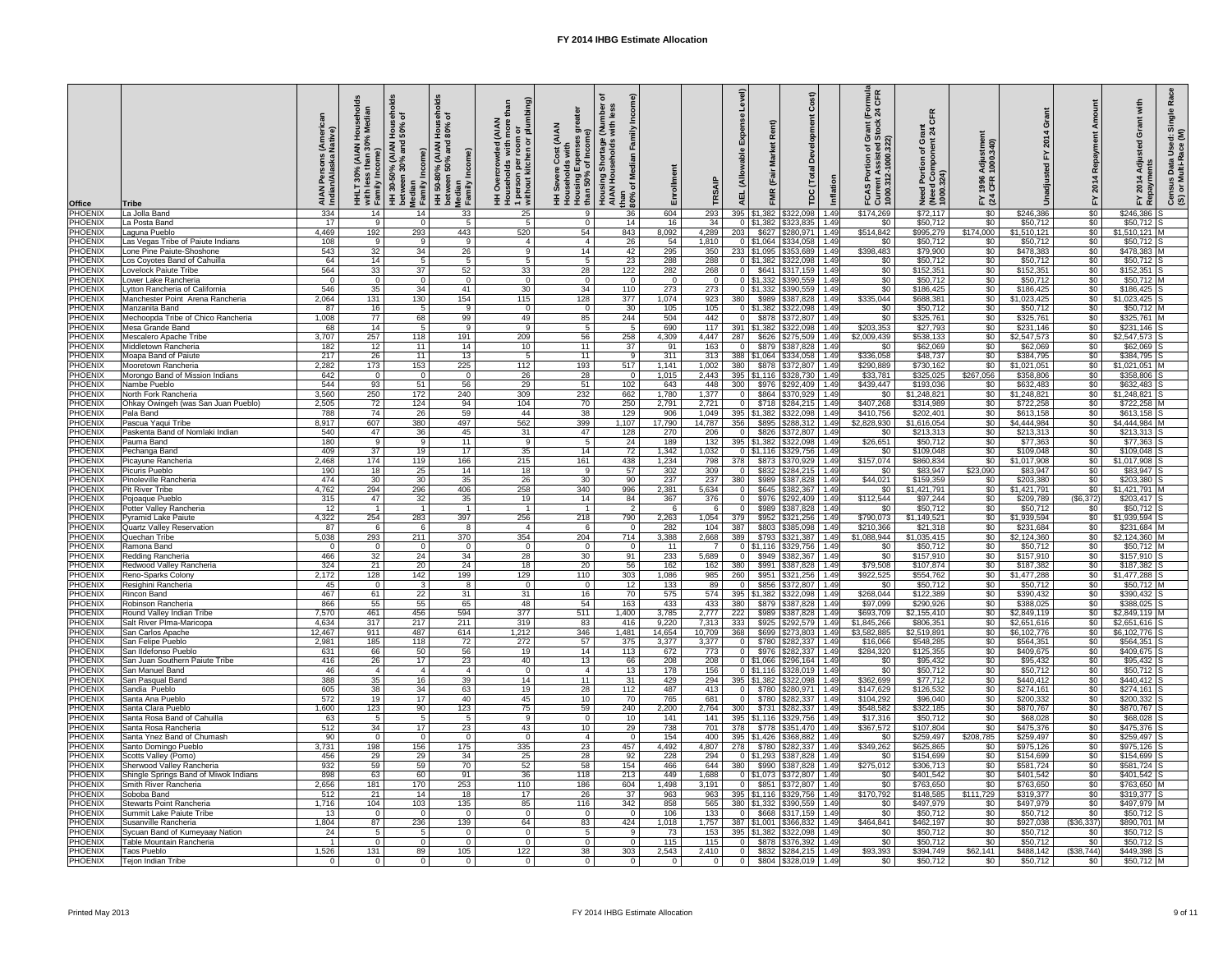| <b>Office</b>                    | <b>Tribe</b>                                          | <b>AIAN<br/>India</b>     | $\mathcal{S}_{\mathbf{c}}$<br>with<br>Fami | ಕ<br>등 호<br>$\frac{30\%}{50\%}$<br>(AIAN<br>and<br>$\epsilon$<br><u>ទ</u><br>betwee<br>Median<br>Family<br>HH 30- | ಕೆ<br>$\overline{P}$<br><b>AIAN</b><br>MAIA)<br><b>1% (A)</b><br>50%<br>$\circ$<br>$\frac{c}{2}$<br>50-80<br>ween<br>Median<br>Family<br>$\equiv \frac{1}{2}$ | ි<br>mbii<br>÷<br>ၜႍ<br><b>ZAIAN</b><br>or<br>plu<br>room<br>$\circ$<br>$\epsilon$<br>1 person per l<br>without kitche<br>ਹ<br>0 | <b>AIAN</b><br>ັັ <del>ດ</del><br>$\overline{5}$<br>nl fo<br>St<br>Dr<br>$\overline{\mathsf{Q}}$<br>Househol<br>Housing<br>than 50% | Housing Shortage<br>AIAN Households<br>င်္တ<br>than<br>$\frac{80\%}{1}$ | Enrollment       |                        | $\widehat{e}$<br><b>AEL</b>        | air<br>し<br>MR                     | Δ<br>Inflation<br><b>TDC</b>                               | (Formula)<br>< 24 CFR<br>Grant (<br>Stock<br>$\overline{5}$ $\overline{8}$<br>non.<br>1000<br>$\mathbf{\tilde{N}}$<br>흐 흔<br><b>FCASP</b><br>Current<br>1000.31 | $\frac{1}{2}$ $\frac{1}{2}$<br>ပ<br>pdui<br>Need Portion<br>(Need Compo<br>1000.324) | stment<br>.340)<br><b>Adjus</b><br>1000<br>1996<br>CFR<br>$F \times 3$ |                            | œ<br>201                           | $\frac{2}{3}$<br>$\overline{a}$ =<br>uƙec<br><u>20</u> 1<br><u>ទី ទី</u><br>၉ီ (၁<br>≻ |
|----------------------------------|-------------------------------------------------------|---------------------------|--------------------------------------------|-------------------------------------------------------------------------------------------------------------------|---------------------------------------------------------------------------------------------------------------------------------------------------------------|----------------------------------------------------------------------------------------------------------------------------------|-------------------------------------------------------------------------------------------------------------------------------------|-------------------------------------------------------------------------|------------------|------------------------|------------------------------------|------------------------------------|------------------------------------------------------------|-----------------------------------------------------------------------------------------------------------------------------------------------------------------|--------------------------------------------------------------------------------------|------------------------------------------------------------------------|----------------------------|------------------------------------|----------------------------------------------------------------------------------------|
| PHOENIX                          | La Jolla Band                                         | 334<br>$\overline{17}$    | 14                                         | 14                                                                                                                | 33                                                                                                                                                            | 25                                                                                                                               | -9                                                                                                                                  | 36                                                                      | 604              | 293<br>$\overline{34}$ | 395                                | \$1,382                            | 1.49<br>\$322,098                                          | \$174,269                                                                                                                                                       | \$72,117                                                                             | \$0                                                                    | \$246,386                  | $\sqrt{6}$                         | \$246,386                                                                              |
| PHOENIX<br>PHOENIX               | La Posta Band<br>Laguna Pueblo                        | 4,469                     | - 9<br>192                                 | - 0<br>293                                                                                                        | 443                                                                                                                                                           | 520                                                                                                                              | $\Omega$<br>54                                                                                                                      | 14<br>843                                                               | 16<br>8,092      | 4,289                  | 203                                | $0$ \$1,382<br>\$627               | \$323,835<br>1.49<br>\$280,971<br>1.49                     | \$0<br>\$514,842                                                                                                                                                | \$50,712<br>\$995,279                                                                | $\sqrt{60}$<br>\$174,000                                               | \$50,712<br>\$1,510,121    | $\sqrt{6}$<br>$\sqrt{6}$           | $$50,712$ S<br>\$1,510,121                                                             |
| PHOENIX                          | Las Vegas Tribe of Paiute Indians                     | 108                       | - 9                                        | -9                                                                                                                | 9                                                                                                                                                             |                                                                                                                                  | -4                                                                                                                                  | 26                                                                      | 54               | 1,810                  |                                    | $0$ \$1,064                        | $$334,058$ 1.49                                            | \$0                                                                                                                                                             | \$50,712                                                                             | \$0                                                                    | \$50,712                   | $\sqrt{$0}$                        | $$50,712$ S                                                                            |
| PHOENIX                          | Lone Pine Paiute-Shoshone                             | 543                       | 32                                         | 34                                                                                                                | 26                                                                                                                                                            | 9                                                                                                                                | 14                                                                                                                                  | 42                                                                      | 295              | 350                    |                                    |                                    | 233 \$1,095 \$353,689 1.49                                 | \$398,483                                                                                                                                                       | \$79,900                                                                             | $\sqrt{60}$                                                            | \$478,383                  | $\overline{50}$                    | $$478,383$ M                                                                           |
| PHOENIX<br>PHOENIX               | Los Coyotes Band of Cahuilla<br>Lovelock Paiute Tribe | 64<br>564                 | 14<br>33                                   | 5<br>37                                                                                                           | $5^{\circ}$<br>52                                                                                                                                             | 33                                                                                                                               | -5                                                                                                                                  | 23<br>122                                                               | 288<br>282       | 288<br>268             | $\Omega$                           | $0$ \$1,382<br>\$641               | $$322,098$ 1.49<br>$ $317,159$   1.49                      | \$0<br>\$0                                                                                                                                                      | \$50,712<br>\$152,351                                                                | $\sqrt{60}$<br>\$0                                                     | \$50,712<br>\$152,351      | $\overline{60}$<br>$\overline{50}$ | $$50,712$ S<br>$$152,351$ S                                                            |
| PHOENIX                          | Lower Lake Rancheria                                  |                           | - 0                                        | - 0                                                                                                               | $\Omega$                                                                                                                                                      | $\Omega$                                                                                                                         | 28<br>0                                                                                                                             | $\Omega$                                                                | $\overline{0}$   | $\Omega$               |                                    |                                    | $0$ \$1,332 \$390,559 1.49                                 | \$0                                                                                                                                                             | \$50,712                                                                             | $\sqrt{60}$                                                            | \$50,712                   | $\overline{50}$                    | $$50,712$ M                                                                            |
| PHOENIX                          | Lytton Rancheria of California                        | 546                       | 35                                         | 34                                                                                                                | 41                                                                                                                                                            | 30                                                                                                                               | 34                                                                                                                                  | 110                                                                     | 273              | 273                    |                                    |                                    | 0   \$1,332   \$390,559   1.49                             | \$0                                                                                                                                                             | \$186,425                                                                            | \$0                                                                    | \$186,425                  | $\sqrt{6}$                         | $$186,425$ S                                                                           |
| <b>PHOENIX</b>                   | Manchester Point Arena Rancheria                      | 2,064                     | 131                                        | 130                                                                                                               | 154                                                                                                                                                           | 115                                                                                                                              | 128                                                                                                                                 | 377                                                                     | 1,074            | 923                    | 380                                |                                    | $$989$ $$387,828$ 1.49                                     | \$335,044                                                                                                                                                       | \$688,381                                                                            | $\sqrt{60}$                                                            | \$1,023,425                | \$0                                | $$1,023,425$ S                                                                         |
| PHOENIX<br>PHOENIX               | Manzanita Band<br>Mechoopda Tribe of Chico Rancheria  | 87<br>1,008               | 16<br>77                                   | 68                                                                                                                | 9<br>99                                                                                                                                                       | $\Omega$<br>49                                                                                                                   | 0<br>85                                                                                                                             | 30<br>244                                                               | 105<br>504       | 105<br>442             | $\overline{0}$                     | \$878                              | $0$ \$1,382 \$322,098 1.49<br>$$372,807$ 1.49              | \$0<br>$\sqrt{60}$                                                                                                                                              | \$50,712<br>\$325,761                                                                | $\overline{50}$<br>$\sqrt{60}$                                         | \$50,712<br>\$325,761      | \$0<br>\$0                         | $$50,712$ M<br>\$325,761                                                               |
| PHOENIX                          | Mesa Grande Band                                      | 68                        | $\overline{14}$                            | -5                                                                                                                | 9                                                                                                                                                             | -9                                                                                                                               | -5                                                                                                                                  | 5                                                                       | 690              | 117                    |                                    | 391 \$1,382 \$322,098              | 1.49                                                       | \$203,353                                                                                                                                                       | \$27,793                                                                             | \$0                                                                    | \$231,146                  | $\overline{50}$                    | $$231,146$ S                                                                           |
| <b>PHOENIX</b>                   | Mescalero Apache Tribe                                | 3,707                     | 257                                        | 118                                                                                                               | 191                                                                                                                                                           | 209                                                                                                                              | 56                                                                                                                                  | 258                                                                     | 4,309            | 4,447                  | 287                                | \$626                              | \$275,509<br>1.49                                          | \$2,009,439                                                                                                                                                     | \$538,133                                                                            | \$0                                                                    | \$2,547,573                | $\overline{50}$                    | $$2,547,573$ S                                                                         |
| PHOENIX                          | Middletown Rancheria                                  | 182                       | 12                                         | 11                                                                                                                | 14                                                                                                                                                            | 10                                                                                                                               | 11                                                                                                                                  | 37                                                                      | 91               | 163                    | $\Omega$                           | \$879                              | \$387,828<br>1.49                                          | \$0                                                                                                                                                             | \$62,069                                                                             | \$0                                                                    | \$62,069                   | \$0                                | $$62,069$ S                                                                            |
| PHOENIX<br><b>PHOENIX</b>        | Moapa Band of Paiute<br>Mooretown Rancheria           | $\overline{217}$<br>2,282 | $\overline{26}$<br>173                     | 11<br>153                                                                                                         | 13<br>225                                                                                                                                                     | 112                                                                                                                              | 11<br>193                                                                                                                           | Q<br>517                                                                | 311<br>1,141     | 313<br>1,002           | 380                                | 388 \$1,064 \$334,058<br>\$878     | 1.49<br>$$372,807$ 1.49                                    | \$336,058<br>\$290,889                                                                                                                                          | \$48,737<br>\$730,162                                                                | \$0<br>\$0                                                             | \$384,795<br>\$1,021,051   | $\sqrt[6]{30}$<br>$\sqrt[6]{30}$   | $$384,795$ S<br>\$1,021,051                                                            |
| <b>PHOENIX</b>                   | Morongo Band of Mission Indians                       | 642                       | $\overline{0}$                             | 0                                                                                                                 | $\Omega$                                                                                                                                                      | 26                                                                                                                               | 28                                                                                                                                  | $\Omega$                                                                | 1,015            | 2,443                  |                                    | $395$ \\$1,116                     | \$328,730 1.49                                             | \$33,781                                                                                                                                                        | \$325,025                                                                            | \$267,056                                                              | \$358,806                  | $\overline{50}$                    | \$358,806                                                                              |
| <b>PHOENIX</b>                   | Nambe Pueblo                                          | 544                       | 93                                         | 51                                                                                                                | 56                                                                                                                                                            | 29                                                                                                                               | 51                                                                                                                                  | 102                                                                     | 643              | 448                    | 300                                | \$976                              | $$292,409$ 1.49                                            | \$439,447                                                                                                                                                       | \$193,036                                                                            | \$0                                                                    | \$632,483                  | $\overline{50}$                    | \$632,483                                                                              |
| <b>PHOENIX</b>                   | North Fork Rancheria                                  | 3,560                     | 250                                        | 172                                                                                                               | 240                                                                                                                                                           | 309                                                                                                                              | 232                                                                                                                                 | 662                                                                     | 1,780            | 1,377                  |                                    | \$864                              | \$370,929 1.49                                             | \$0                                                                                                                                                             | \$1,248,821                                                                          | \$0                                                                    | \$1,248,821                | \$0                                | \$1,248,821                                                                            |
| <b>PHOENIX</b><br><b>PHOENIX</b> | Ohkay Owingeh (was San Juan Pueblo)<br>Pala Band      | 2,505<br>788              | 72<br>74                                   | 124<br>$\overline{26}$                                                                                            | 94<br>59                                                                                                                                                      | 104<br>44                                                                                                                        | 70<br>38                                                                                                                            | 250<br>129                                                              | 2,791<br>906     | 2,721<br>1,049         |                                    | \$718<br>395   \$1,382   \$322,098 | $$284,215$ 1.49<br>1.49                                    | \$407,268<br>\$410,756                                                                                                                                          | \$314,989<br>\$202,401                                                               | \$0<br>$\sqrt{60}$                                                     | \$722,258<br>\$613,158     | \$0<br>\$0                         | \$722,258 M<br>$$613,158$ S                                                            |
| <b>PHOENIX</b>                   | Pascua Yaqui Tribe                                    | 8,917                     | 607                                        | 380                                                                                                               | 497                                                                                                                                                           | 562                                                                                                                              | 399                                                                                                                                 | 1.107                                                                   | 17,790           | 14,787                 | 356                                | \$895                              | $$288,312$   1.49                                          | \$2,828,930                                                                                                                                                     | \$1,616,054                                                                          | \$0                                                                    | \$4,444,984                | $\sqrt{$0}$                        | \$4,444,984 M                                                                          |
| <b>PHOENIX</b>                   | Paskenta Band of Nomlaki Indian                       | 540                       | 47                                         | 36                                                                                                                | 45                                                                                                                                                            | 31                                                                                                                               | 47                                                                                                                                  | 128                                                                     | 270              | 206                    | $\Omega$                           | \$826                              | \$372,807 1.49                                             | \$0                                                                                                                                                             | \$213,313                                                                            | \$0                                                                    | \$213,313                  | \$0                                | \$213,313                                                                              |
| <b>PHOENIX</b>                   | Pauma Band                                            | 180                       | - 9                                        | -9                                                                                                                | 11                                                                                                                                                            | Q                                                                                                                                |                                                                                                                                     | 24                                                                      | 189              | 132                    |                                    | 395   \$1,382                      | \$322,098<br>1.49                                          | \$26,651                                                                                                                                                        | \$50,712                                                                             | \$0                                                                    | \$77,363                   | $\overline{50}$                    | $$77,363$ S                                                                            |
| PHOENIX<br>PHOENIX               | Pechanga Band<br>Picayune Rancheria                   | 409<br>2,468              | 37<br>174                                  | 19<br>119                                                                                                         | 17<br>166                                                                                                                                                     | 35<br>215                                                                                                                        | 14<br>161                                                                                                                           | 72<br>438                                                               | 1,342<br>1,234   | 1,032<br>798           | 378                                | 0 \$1.116                          | \$329,756<br>1.49<br>\$873   \$370,929<br>1.49             | \$0<br>\$157,074                                                                                                                                                | \$109,048<br>\$860,834                                                               | \$0<br>\$0                                                             | \$109,048<br>\$1,017,908   | \$0<br>$\sqrt{6}$                  | \$109,048<br>\$1,017,908                                                               |
| <b>PHOENIX</b>                   | <b>Picuris Pueblo</b>                                 | 190                       | $\overline{18}$                            | 25                                                                                                                | 14                                                                                                                                                            | 18                                                                                                                               | -9                                                                                                                                  | 57                                                                      | 302              | 309                    |                                    |                                    | \$832   \$284,215   1.49                                   | \$0                                                                                                                                                             | \$83,947                                                                             | \$23,090                                                               | \$83,947                   | $\overline{50}$                    | \$83,947                                                                               |
| PHOENIX                          | Pinoleville Rancheria                                 | 474                       | $\overline{30}$                            | 30                                                                                                                | 35                                                                                                                                                            | 26                                                                                                                               | 30                                                                                                                                  | 90                                                                      | $\overline{237}$ | 237                    | 380                                | \$989                              | $$387,828$ 1.49                                            | \$44,021                                                                                                                                                        | \$159,359                                                                            | \$0                                                                    | \$203,380                  | $\overline{50}$                    | \$203,380                                                                              |
| PHOENIX<br><b>PHOENIX</b>        | <b>Pit River Tribe</b><br>Pojoaque Pueblo             | 4,762<br>315              | 294<br>47                                  | 296<br>32                                                                                                         | 406<br>35                                                                                                                                                     | 258<br>19                                                                                                                        | 340<br>14                                                                                                                           | 996<br>84                                                               | 2,381<br>367     | 5,634<br>376           |                                    | \$645<br>\$976                     | $$382,367$ 1.49<br>$$292,409$ 1.49                         | \$0<br>\$112,544                                                                                                                                                | \$1,421,791<br>\$97,244                                                              | \$0<br>\$0                                                             | \$1,421,791<br>\$209,789   | $\overline{50}$<br>$($ \$6,372)    | \$1,421,791<br>$$203,417$ S                                                            |
| <b>PHOENIX</b>                   | Potter Valley Rancheria                               | 12                        |                                            |                                                                                                                   |                                                                                                                                                               |                                                                                                                                  |                                                                                                                                     |                                                                         |                  |                        |                                    | \$989                              | \$387,828 1.49                                             | \$0                                                                                                                                                             | \$50,712                                                                             | \$0                                                                    | \$50,712                   | \$0                                | $$50,712$ S                                                                            |
| PHOENIX                          | <b>Pyramid Lake Paiute</b>                            | 4,322                     | 254                                        | 283                                                                                                               | 397                                                                                                                                                           | 256                                                                                                                              | 218                                                                                                                                 | 790                                                                     | 2,263            | 1,054                  | 379                                |                                    | $$952$ $$321,256$ 1.49                                     | \$790,073                                                                                                                                                       | \$1,149,521                                                                          | $\sqrt{60}$                                                            | \$1,939,594                | $\overline{50}$                    | \$1,939,594                                                                            |
| PHOENIX                          | <b>Quartz Valley Reservation</b>                      | 87                        | - 6                                        |                                                                                                                   |                                                                                                                                                               |                                                                                                                                  |                                                                                                                                     |                                                                         | 282              | 104                    | 387                                | \$803                              | 1.49<br>\$385,098                                          | \$210,366                                                                                                                                                       | \$21,318                                                                             | \$0                                                                    | \$231,684                  | $\overline{50}$                    | \$231,684                                                                              |
| PHOENIX<br><b>PHOENIX</b>        | Quechan Tribe<br>Ramona Band                          | 5,038                     | 293<br>- 0                                 | 211<br>$\Omega$                                                                                                   | 370<br>$\Omega$                                                                                                                                               | 354<br>$\Omega$                                                                                                                  | 204<br>$\Omega$                                                                                                                     | 714<br>$\Omega$                                                         | 3,388<br>11      | 2,668                  | 389                                | \$793                              | 1.49<br>\$321,387<br>0   \$1,116   \$329,756   1.49        | \$1,088,944<br>\$0                                                                                                                                              | \$1,035,415<br>\$50,712                                                              | \$0<br>\$0                                                             | \$2,124,360<br>\$50,712    | \$0<br>$\overline{50}$             | $$2,124,360$ M<br>$$50,712$ M                                                          |
| PHOENIX                          | <b>Redding Rancheria</b>                              | 466                       | 32                                         | 24                                                                                                                | 34                                                                                                                                                            | 28                                                                                                                               | 30                                                                                                                                  | 91                                                                      | 233              | 5,689                  | $\Omega$                           | \$949                              | 1.49<br>\$382,367                                          | \$0                                                                                                                                                             | \$157,910                                                                            | \$0                                                                    | \$157,910                  | \$0                                | $$157,910$ S                                                                           |
| PHOENIX                          | Redwood Valley Rancheria                              | 324                       | 21                                         | 20                                                                                                                | 24                                                                                                                                                            | 18                                                                                                                               | 20                                                                                                                                  | 56                                                                      | 162              | 162                    | 380                                | \$991                              | 1.49<br>\$387,828                                          | \$79,508                                                                                                                                                        | \$107,874                                                                            | \$0                                                                    | \$187,382                  | \$0                                | \$187,382                                                                              |
| <b>PHOENIX</b>                   | <b>Reno-Sparks Colony</b>                             | 2,172                     | 128                                        | 142                                                                                                               | 199                                                                                                                                                           | 129                                                                                                                              | 110                                                                                                                                 | 303                                                                     | 1,086            | 985                    | 260                                | \$951                              | \$321,256<br>1.49                                          | \$922,525                                                                                                                                                       | \$554,762                                                                            | \$0                                                                    | \$1,477,288                | $\overline{30}$                    | \$1,477,288                                                                            |
| PHOENIX<br>PHOENIX               | Resighini Rancheria<br><b>Rincon Band</b>             | -45<br>467                | - 0<br>61                                  | -3<br>$\overline{22}$                                                                                             | -8<br>31                                                                                                                                                      | $\Omega$<br>31                                                                                                                   | - 0<br>16                                                                                                                           | 12<br>70                                                                | 133<br>575       | 89<br>574              | $\Omega$                           | \$856<br>395   \$1,382   \$322,098 | $$372,807$ 1.49<br>1.49                                    | \$0<br>\$268,044                                                                                                                                                | \$50,712<br>\$122,389                                                                | \$0<br>$\sqrt{60}$                                                     | \$50,712<br>\$390,432      | \$0<br>$\overline{50}$             | \$50,712 M<br>$$390,432$ S                                                             |
| PHOENIX                          | Robinson Rancheria                                    | 866                       | 55                                         | 55                                                                                                                | 65                                                                                                                                                            | 48                                                                                                                               | 54                                                                                                                                  | 163                                                                     | 433              | 433                    | 380                                | \$879                              | $$387,828$ 1.49                                            | \$97,099                                                                                                                                                        | \$290,926                                                                            | \$0                                                                    | \$388,025                  | \$0                                | $$388,025$ S                                                                           |
| PHOENIX                          | <b>Round Valley Indian Tribe</b>                      | 7,570                     | 461                                        | 456                                                                                                               | 594                                                                                                                                                           | 377                                                                                                                              | 511                                                                                                                                 | 1,400                                                                   | 3,785            | 2,777                  | 222                                | \$989                              | \$387,828<br>1.49                                          | \$693,709                                                                                                                                                       | \$2,155,410                                                                          | \$0                                                                    | \$2,849,119                | \$0                                | \$2,849,119 M                                                                          |
| <b>PHOENIX</b><br><b>PHOENIX</b> | Salt River PIma-Maricopa<br>San Carlos Apache         | 4,634<br>12,467           | 317<br>911                                 | 217<br>487                                                                                                        | 211<br>614                                                                                                                                                    | 319<br>1,212                                                                                                                     | 83<br>$\overline{346}$                                                                                                              | 416<br>1,481                                                            | 9,220<br>14,654  | 7,313<br>10,709        | 333<br>368                         | \$925<br>\$699                     | \$292,579<br>1.49<br>\$273,803<br>1.49                     | \$1,845,266<br>\$3,582,885                                                                                                                                      | \$806,351<br>\$2,519,891                                                             | \$0<br>$\overline{50}$                                                 | \$2,651,616<br>\$6,102,776 | \$0<br>$\overline{50}$             | $$2,651,616$ S<br>\$6,102,776                                                          |
| <b>PHOENIX</b>                   | San Felipe Pueblo                                     | 2,981                     | 185                                        | 118                                                                                                               | $\overline{72}$                                                                                                                                               | 272                                                                                                                              | 57                                                                                                                                  | 375                                                                     | 3,377            | 3,377                  |                                    | \$780                              | $$282,337$ 1.49                                            | \$16,066                                                                                                                                                        | \$548,285                                                                            | \$0                                                                    | \$564,351                  | $\overline{50}$                    | $$564,351$ S                                                                           |
| <b>PHOENIX</b>                   | San Ildefonso Pueblo                                  | 631                       | 66                                         | 50                                                                                                                | 56                                                                                                                                                            | 19                                                                                                                               | 14                                                                                                                                  | 113                                                                     | 672              | 773                    | $\Omega$                           | \$976                              | $$282,337$ 1.49                                            | \$284,320                                                                                                                                                       | \$125,355                                                                            | $\sqrt{60}$                                                            | \$409,675                  | \$0                                | $$409,675$ S                                                                           |
| <b>PHOENIX</b>                   | San Juan Southern Paiute Tribe<br>San Manuel Band     | 416<br>46                 | $\overline{26}$<br>$\overline{4}$          | 17                                                                                                                | $\overline{23}$                                                                                                                                               | 40                                                                                                                               | 13                                                                                                                                  | 66                                                                      | 208<br>178       | 208<br>156             |                                    | $0$ \$1,066<br>$0$ \$1,116         | $$296,164$ 1.49<br>1.49                                    | \$0<br>\$0                                                                                                                                                      | \$95,432<br>\$50,712                                                                 | $\sqrt{60}$                                                            | \$95,432<br>\$50,712       | $\sqrt{50}$<br>\$0                 | $$95,432$ S<br>$$50,712$ S                                                             |
| PHOENIX<br><b>PHOENIX</b>        | San Pasqual Band                                      | 388                       | $\overline{35}$                            | 16                                                                                                                | 39                                                                                                                                                            | 14                                                                                                                               | 11                                                                                                                                  | 13<br>31                                                                | 429              | 294                    |                                    | 395   \$1,382                      | \$328,019<br>1.49<br>\$322,098                             | \$362,699                                                                                                                                                       | \$77,712                                                                             | \$0<br>\$0                                                             | \$440,412                  | $\overline{50}$                    | $$440,412$ S                                                                           |
| PHOENIX                          | Sandia Pueblo                                         | 605                       | $\overline{38}$                            | 34                                                                                                                | 63                                                                                                                                                            | 19                                                                                                                               | 28                                                                                                                                  | 112                                                                     | 487              | 413                    |                                    | \$780                              | 1.49<br>\$280,971                                          | \$147,629                                                                                                                                                       | \$126,532                                                                            | \$0                                                                    | \$274,161                  | $\overline{50}$                    | \$274,161                                                                              |
| PHOENIX                          | Santa Ana Pueblo                                      | 572                       | 19                                         | 17                                                                                                                | 40                                                                                                                                                            | 45                                                                                                                               | 10                                                                                                                                  | $\overline{70}$                                                         | 765              | 681                    | $\Omega$                           | \$780                              | \$282,337<br>1.49                                          | \$104,292                                                                                                                                                       | \$96,040                                                                             | \$0                                                                    | \$200,332                  | $\overline{30}$                    | \$200,332                                                                              |
| PHOENIX<br>PHOENIX               | Santa Clara Pueblo<br>Santa Rosa Band of Cahuilla     | 1,600<br>63               | $\overline{123}$<br>5                      | 90                                                                                                                | 123                                                                                                                                                           | 75<br>$\mathbf{Q}$                                                                                                               | 59<br>$\Omega$                                                                                                                      | 240<br>10                                                               | 2,200<br>141     | 2,764<br>141           | 300                                | \$731                              | 1.49<br>\$282,337<br>395   \$1,116   \$329,756   1.49      | \$548,582<br>\$17,316                                                                                                                                           | \$322,185<br>\$50,712                                                                | $\sqrt{60}$<br>\$0                                                     | \$870,767<br>\$68,028      | $\overline{50}$<br>$\overline{50}$ | \$870,767<br>$$68,028$ S                                                               |
| PHOENIX                          | Santa Rosa Rancheria                                  | 512                       | 34                                         | 17                                                                                                                | 23                                                                                                                                                            | 43                                                                                                                               | 10 <sup>°</sup>                                                                                                                     | 29                                                                      | 738              | 701                    | 378                                |                                    | \$778   \$351,470   1.49                                   | \$367,572                                                                                                                                                       | \$107,804                                                                            | \$0                                                                    | \$475,376                  | $\overline{50}$                    | $$475,376$ S                                                                           |
| <b>PHOENIX</b>                   | Santa Ynez Band of Chumash                            | 90                        | - 0                                        |                                                                                                                   |                                                                                                                                                               |                                                                                                                                  |                                                                                                                                     |                                                                         | 154              | 400                    |                                    | 395 \$1,426                        | \$368,882 1.49                                             | \$0                                                                                                                                                             | \$259,497                                                                            | \$208,785                                                              | \$259,497                  | $\overline{50}$                    | \$259,497                                                                              |
| PHOENIX                          | Santo Domingo Pueblo                                  | 3,731                     | 198                                        | 156                                                                                                               | 175                                                                                                                                                           | 335                                                                                                                              | 23                                                                                                                                  | 457                                                                     | 4,492            | 4,807                  | 278                                | \$780                              | \$282,337<br>1.49                                          | \$349,262                                                                                                                                                       | \$625,865                                                                            | \$0                                                                    | \$975,126                  | \$0                                | $$975,126$ S                                                                           |
| PHOENIX<br>PHOENIX               | Scotts Valley (Pomo)<br>Sherwood Valley Rancheria     | 456<br>932                | 29<br>59                                   | 29<br>59                                                                                                          | $\overline{34}$<br>70                                                                                                                                         | 25<br>52                                                                                                                         | $\overline{28}$<br>58                                                                                                               | 92<br>154                                                               | 228<br>466       | 294<br>644             | 380                                |                                    | 0 \ \ \$1,293 \ \$387,828 \ 1.49<br>$$990$ $$387,828$ 1.49 | \$0<br>\$275,012                                                                                                                                                | \$154,699<br>\$306,713                                                               | $\sqrt{60}$<br>$\sqrt{60}$                                             | \$154,699<br>\$581,724     | \$0<br>$\overline{50}$             | $$154,699$ S<br>$$581,724$ S                                                           |
|                                  | PHOENIX Shingle Springs Band of Miwok Indians         | 898                       | 63                                         | 60                                                                                                                | 91                                                                                                                                                            | 36                                                                                                                               | 118                                                                                                                                 | 213                                                                     | 449              | 1,688                  |                                    |                                    | 0 \$1,073 \$372,807 1.49                                   | $\sqrt{60}$                                                                                                                                                     | \$401,542                                                                            | \$0                                                                    | \$401,542                  | $\frac{1}{2}$                      | $$401,542$ S                                                                           |
| <b>PHOENIX</b>                   | Smith River Rancheria                                 | 2,656                     | 181                                        | 170                                                                                                               | 253                                                                                                                                                           | 110                                                                                                                              | 186                                                                                                                                 | 604                                                                     | 1,498            | 3,191                  |                                    |                                    | $0$ \$851 \$372,807   1.49                                 | \$0 <sub>1</sub>                                                                                                                                                | \$763,650                                                                            | \$0                                                                    | \$763,650                  | \$0                                | \$763,650 M                                                                            |
| <b>PHOENIX</b>                   | Soboba Band                                           | 512                       | 21                                         | 14                                                                                                                | 18                                                                                                                                                            | 17                                                                                                                               | 26                                                                                                                                  | $\overline{37}$                                                         | 963              | 963                    |                                    |                                    | 395   \$1,116   \$329,756   1.49                           | \$170,792                                                                                                                                                       | \$148,585                                                                            | \$111,729                                                              | \$319,377                  | \$0                                | $$319,377$ S                                                                           |
| PHOENIX<br><b>PHOENIX</b>        | Stewarts Point Rancheria<br>Summit Lake Paiute Tribe  | 1,716<br>13               | 104<br>$\overline{\mathbf{0}}$             | 103<br>- 0                                                                                                        | 135<br>$\overline{0}$                                                                                                                                         | 85                                                                                                                               | 116<br>- 0                                                                                                                          | 342<br>$\overline{0}$                                                   | 858<br>106       | 565<br>133             |                                    |                                    | 380 \$1,332 \$390,559 1.49<br>$0$ \$668 \ \$317,159 \ 1.49 | \$0 <sub>1</sub><br>$\sqrt{$0}$                                                                                                                                 | \$497,979<br>\$50,712                                                                | \$0<br>$\frac{6}{3}$                                                   | \$497,979<br>\$50,712      | \$0<br>$\sqrt{50}$                 | \$497,979 M<br>$$50,712$ S                                                             |
| <b>PHOENIX</b>                   | Susanville Rancheria                                  | 1,804                     | 87                                         | 236                                                                                                               | 139                                                                                                                                                           | 64                                                                                                                               | 83                                                                                                                                  | 424                                                                     | 1,018            | 1,757                  |                                    |                                    | 387   \$1,001   \$366,832   1.49                           | \$464,841                                                                                                                                                       | \$462,197                                                                            | \$0                                                                    | \$927,038                  | (\$36,337)                         | \$890,701 M                                                                            |
| <b>PHOENIX</b>                   | Sycuan Band of Kumeyaay Nation                        | 24                        | - 5                                        |                                                                                                                   | 0 <sup>1</sup>                                                                                                                                                |                                                                                                                                  |                                                                                                                                     |                                                                         | 73               | 153                    |                                    |                                    | 395   \$1,382   \$322,098   1.49                           | \$0                                                                                                                                                             | \$50,712                                                                             | \$0                                                                    | \$50,712                   | \$0                                | $$50,712$ S                                                                            |
| <b>PHOENIX</b><br><b>PHOENIX</b> | Table Mountain Rancheria<br>Taos Pueblo               | 1,526                     | - 0<br>131                                 | 89                                                                                                                | $\overline{0}$<br>105                                                                                                                                         | $\overline{0}$<br>122                                                                                                            | $\overline{0}$<br>38                                                                                                                | $\Omega$<br>303                                                         | 115<br>2,543     | 115<br>2,410           | $\overline{0}$ 1<br>$\overline{0}$ |                                    | $$878$ $$376,392$   1.49<br>$$832$ $$284,215$ 1.49         | $\sqrt{50}$<br>\$93,393                                                                                                                                         | \$50,712<br>\$394,749                                                                | \$0<br>\$62,141                                                        | \$50,712<br>\$488,142      | \$0<br>(\$38,744)                  | $$50,712$ S<br>$$449,398$ S                                                            |
| PHOENIX                          | Tejon Indian Tribe                                    | - 0                       | - 0                                        | 0 <sup>1</sup>                                                                                                    | $\overline{0}$                                                                                                                                                | $\overline{0}$                                                                                                                   | $\overline{0}$                                                                                                                      | $\overline{0}$                                                          | $\overline{0}$   | $\overline{0}$         | $\overline{0}$                     |                                    | $$804$ $$328,019$ 1.49                                     | \$0 <sub>1</sub>                                                                                                                                                | \$50,712                                                                             | \$0                                                                    | \$50,712                   | \$0                                | $$50,712$ M                                                                            |
|                                  |                                                       |                           |                                            |                                                                                                                   |                                                                                                                                                               |                                                                                                                                  |                                                                                                                                     |                                                                         |                  |                        |                                    |                                    |                                                            |                                                                                                                                                                 |                                                                                      |                                                                        |                            |                                    |                                                                                        |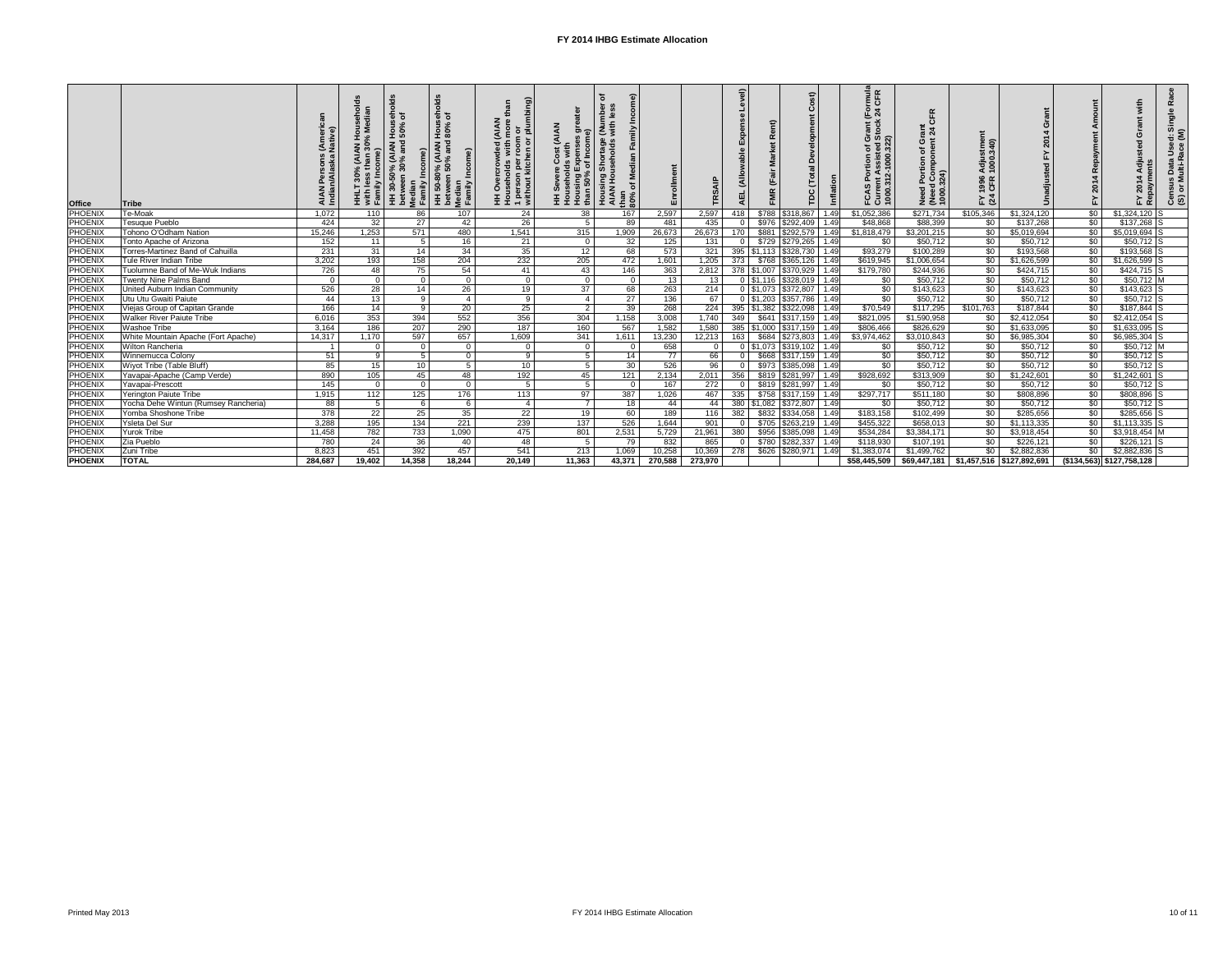| <b>Office</b>  | <b>Tribe</b>                            | AIA<br>Indi    | Õ<br>ei <del>o</del><br>30%<br>30%<br>with less<br>Family In<br>로<br>도 | $\overline{\mathbf{c}}$<br>$\frac{1}{9}$ $\frac{1}{9}$<br>Hous<br>50%<br>AIAN)<br><sub>1%</sub> and<br>30-50<br>$\epsilon$<br>betwee<br>Median<br>Family<br>E | ್ದೆ<br>Hou<br>)% (AIAN<br>50% and<br>50-80<br>$M$ een<br>betwee<br>Median<br>Family<br>$\boldsymbol{\ddot{\pm}}$ | ි<br>an<br>or<br>plumbing<br><b>AIAN</b><br>ō<br>roor<br>1 person per i<br>without kitch<br>ಕ<br>Ò | en<br>G<br>(AIAN<br>Expen:<br>of Inc<br>Housing<br>than 50% | with<br>i<br>seholds<br>စ်<br>Housing<br>AIAN Hou<br>ঁত<br>Hou:<br>than<br>$80\%$ | Enrollment |                | evel)<br><b>Se</b><br>Exper<br>able<br>(Allo<br>AEL | $\alpha$<br>iis<br><b>FMR</b> | $\widehat{a}$<br>ر<br>$\circ$<br>മ്<br>(Total<br><b>PC</b> | Inflation | rmula<br>CFR<br>$\overline{6}$ $\overline{4}$<br>Grant (<br>Stock<br>៍<br>Assist<br>2-1000.<br>$\epsilon$ .<br>₫<br><b>FCASP</b><br>Current<br>1000.31 | 丘<br><u>ह</u> ैं २<br>व<br><b>Θ Έ</b><br>Ⴆ<br>Need Port<br>(Need Con<br>1000.324) | stme<br>340)<br>Adjus<br>1000.<br>1996<br>CFR<br>$F \times 3$ |             | $\ddot{\mathbf{g}}$<br>Amo<br>4 Repayment<br>201<br>$\mathbf{r}$ | with<br>201                | $\alpha$<br>Single<br>ਚ<br>Use<br>Data<br>ulti-R<br>Census<br>(S) or M |
|----------------|-----------------------------------------|----------------|------------------------------------------------------------------------|---------------------------------------------------------------------------------------------------------------------------------------------------------------|------------------------------------------------------------------------------------------------------------------|----------------------------------------------------------------------------------------------------|-------------------------------------------------------------|-----------------------------------------------------------------------------------|------------|----------------|-----------------------------------------------------|-------------------------------|------------------------------------------------------------|-----------|--------------------------------------------------------------------------------------------------------------------------------------------------------|-----------------------------------------------------------------------------------|---------------------------------------------------------------|-------------|------------------------------------------------------------------|----------------------------|------------------------------------------------------------------------|
| <b>PHOENIX</b> | Te-Moak                                 | 1,072          | 110                                                                    | 86                                                                                                                                                            | 107                                                                                                              | 24                                                                                                 | $\overline{38}$                                             | 167                                                                               | 2,597      | 2,597          | 418                                                 | \$788                         | \$318,867                                                  | 1.49      | \$1,052,386                                                                                                                                            | \$271,734                                                                         | \$105,346                                                     | \$1,324,120 | \$0                                                              | $$1,324,120$ S             |                                                                        |
| <b>PHOENIX</b> | Tesuque Pueblo                          | 424            | 32                                                                     | $\overline{27}$                                                                                                                                               | 42                                                                                                               | $\overline{26}$                                                                                    | - 5                                                         | 89                                                                                | 481        | 435            | $\Omega$                                            | \$976                         | \$292,409                                                  | 1.49      | \$48,868                                                                                                                                               | \$88,399                                                                          | \$0                                                           | \$137,268   | $\sqrt{50}$                                                      | $$137,268$ S               |                                                                        |
| <b>PHOENIX</b> | Tohono O'Odham Nation                   | 15,246         | 1,253                                                                  | $\overline{571}$                                                                                                                                              | 480                                                                                                              | 1,541                                                                                              | 315                                                         | 1,909                                                                             | 26,673     | 26,673         | 170                                                 | \$881                         | \$292,579                                                  | 1.49      | \$1,818,479                                                                                                                                            | \$3,201,215                                                                       | \$0                                                           | \$5,019,694 | $\sqrt{50}$                                                      | $$5,019,694$ S             |                                                                        |
| <b>PHOENIX</b> | <b>Tonto Apache of Arizona</b>          | 152            | 11                                                                     | - 5                                                                                                                                                           | 16                                                                                                               | 21                                                                                                 | - 0                                                         | 32                                                                                | 125        | 131            | $\Omega$                                            | \$729                         | \$279,265                                                  | 1.49      | \$0                                                                                                                                                    | \$50,712                                                                          | \$0                                                           | \$50,712    | $\overline{50}$                                                  | $$50,712$ S                |                                                                        |
| <b>PHOENIX</b> | <b>Torres-Martinez Band of Cahuilla</b> | 231            | 31                                                                     | 14                                                                                                                                                            | 34                                                                                                               | 35                                                                                                 | 12                                                          | 68                                                                                | 573        | 321            |                                                     | $395$ \ \$1,113               | \$328,730                                                  | 1.49      | \$93,279                                                                                                                                               | \$100,289                                                                         | $\overline{50}$                                               | \$193,568   | $\overline{50}$                                                  | $$193,568$ S               |                                                                        |
| PHOENIX        | Tule River Indian Tribe                 | 3,202          | 193                                                                    | 158                                                                                                                                                           | 204                                                                                                              | 232                                                                                                | 205                                                         | 472                                                                               | 1,601      | 1,205          | 373                                                 | \$768                         | \$365,126                                                  | 1.49      | \$619,945                                                                                                                                              | \$1,006,654                                                                       | \$0                                                           | \$1,626,599 | \$0                                                              | $$1,626,599$ S             |                                                                        |
| <b>PHOENIX</b> | Tuolumne Band of Me-Wuk Indians         | 726            | 48                                                                     | 75                                                                                                                                                            | 54                                                                                                               | 41                                                                                                 | $\overline{43}$                                             | 146                                                                               | 363        | 2,812          |                                                     | 378 \$1,007                   | \$370,929                                                  | 1.49      | \$179,780                                                                                                                                              | \$244,936                                                                         | $\sqrt{60}$                                                   | \$424,715   | $\overline{50}$                                                  | $$424,715$ S               |                                                                        |
| PHOENIX        | <b>Twenty Nine Palms Band</b>           | $\overline{0}$ | $\overline{0}$                                                         | $\overline{0}$                                                                                                                                                | $\overline{0}$                                                                                                   | $\Omega$                                                                                           | $\overline{0}$                                              | - 0                                                                               | 13         | 13             |                                                     | $0$ \$1,116                   | \$328,019                                                  | 1.49      | \$0                                                                                                                                                    | \$50,712                                                                          | $\sqrt{60}$                                                   | \$50,712    | $\sqrt[6]{30}$                                                   | $$50,712$ M                |                                                                        |
| <b>PHOENIX</b> | United Auburn Indian Community          | 526            | 28                                                                     | 14                                                                                                                                                            | 26                                                                                                               | 19                                                                                                 | $\overline{37}$                                             | 68                                                                                | 263        | 214            |                                                     | $0 \,$ \$1,073                | \$372,807                                                  | 1.49      | \$0                                                                                                                                                    | \$143,623                                                                         | \$0                                                           | \$143,623   | \$0                                                              | $$143,623$ S               |                                                                        |
| <b>PHOENIX</b> | Utu Utu Gwaiti Paiute                   | 44             | $\overline{13}$                                                        | 9                                                                                                                                                             | -4                                                                                                               | -9                                                                                                 | $\overline{4}$                                              | $\overline{27}$                                                                   | 136        | 67             |                                                     | $0$   \$1,203                 | \$357,786                                                  | 1.49      | $\overline{50}$                                                                                                                                        | \$50,712                                                                          | $\sqrt{60}$                                                   | \$50,712    | $\overline{50}$                                                  | $$50,712$ S                |                                                                        |
| <b>PHOENIX</b> | Viejas Group of Capitan Grande          | 166            | $\overline{14}$                                                        | - 9                                                                                                                                                           | 20                                                                                                               | $\overline{25}$                                                                                    | $\overline{2}$                                              | $\overline{39}$                                                                   | 268        | 224            |                                                     | 395 \$1,382                   | \$322,098                                                  | 1.49      | \$70,549                                                                                                                                               | \$117,295                                                                         | \$101,763                                                     | \$187,844   | \$0                                                              | $$187,844$ S               |                                                                        |
| PHOENIX        | <b>Walker River Paiute Tribe</b>        | 6,016          | 353                                                                    | 394                                                                                                                                                           | 552                                                                                                              | 356                                                                                                | 304                                                         | 1,158                                                                             | 3,008      | 1,740          | 349                                                 | \$641                         | \$317,159                                                  | 1.49      | \$821,095                                                                                                                                              | \$1,590,958                                                                       | \$0                                                           | \$2,412,054 | \$0                                                              | $$2,412,054$ S             |                                                                        |
| PHOENIX        | Washoe Tribe                            | 3,164          | 186                                                                    | 207                                                                                                                                                           | 290                                                                                                              | 187                                                                                                | 160                                                         | 567                                                                               | 1,582      | 1,580          |                                                     | $385$ \, \$1,000              | \$317,159                                                  | 1.49      | \$806,466                                                                                                                                              | \$826,629                                                                         | \$0                                                           | \$1,633,095 | \$0                                                              | $$1,633,095$ S             |                                                                        |
| PHOENIX        | White Mountain Apache (Fort Apache)     | 14,317         | 1,170                                                                  | 597                                                                                                                                                           | 657                                                                                                              | 1,609                                                                                              | 341                                                         | 1,611                                                                             | 13,230     | 12,213         | 163                                                 | \$684                         | \$273,803                                                  | 1.49      | \$3,974,462                                                                                                                                            | \$3,010,843                                                                       | $\sqrt{6}$                                                    | \$6,985,304 | \$0                                                              | $\sqrt{$6,985,304}$ S      |                                                                        |
| <b>PHOENIX</b> | <b>Wilton Rancheria</b>                 |                | $\overline{0}$                                                         | - 0                                                                                                                                                           | - 0                                                                                                              | -C                                                                                                 | - 0                                                         | - 0                                                                               | 658        | $\overline{0}$ |                                                     | $0$ \$1,073                   | \$319,102                                                  | 1.49      | \$0                                                                                                                                                    | \$50,712                                                                          | $\sqrt{60}$                                                   | \$50,712    | $\sqrt{50}$                                                      | $$50,712$ M                |                                                                        |
| <b>PHOENIX</b> | Winnemucca Colony                       | 51             | - 9                                                                    | - 5                                                                                                                                                           | - ೧                                                                                                              | -9                                                                                                 | -5                                                          | 14                                                                                | 77         | 66             | $\overline{0}$                                      | \$668                         | \$317,159                                                  | 1.49      | $\sqrt{$0}$                                                                                                                                            | \$50,712                                                                          | \$0                                                           | \$50,712    | $\sqrt{60}$                                                      | $$50,712$ S                |                                                                        |
| PHOENIX        | Wiyot Tribe (Table Bluff)               | 85             | 15                                                                     | 10                                                                                                                                                            | -5                                                                                                               | 10                                                                                                 | $\overline{5}$                                              | $\overline{30}$                                                                   | 526        | 96             | $\overline{0}$                                      | \$973                         | \$385,098                                                  | 1.49      | $\overline{60}$                                                                                                                                        | \$50,712                                                                          | $\overline{50}$                                               | \$50,712    | \$0                                                              | $$50,712$ S                |                                                                        |
| <b>PHOENIX</b> | Yavapai-Apache (Camp Verde)             | 890            | 105                                                                    | 45                                                                                                                                                            | 48                                                                                                               | 192                                                                                                | 45                                                          | 121                                                                               | 2,134      | 2,011          | 356                                                 | \$819                         | $\sqrt{$281,997}$                                          | 1.49      | \$928,692                                                                                                                                              | \$313,909                                                                         | $\sqrt{60}$                                                   | \$1,242,601 | $\overline{50}$                                                  | $$1,242,601$ S             |                                                                        |
| <b>PHOENIX</b> | Yavapai-Prescott                        | 145            | $\overline{0}$                                                         | $\overline{0}$                                                                                                                                                | - 0                                                                                                              | - 5                                                                                                | $5\overline{)}$                                             | - 0                                                                               | 167        | 272            | $\Omega$                                            | \$819                         | \$281,997                                                  | 1.49      | \$0                                                                                                                                                    | \$50,712                                                                          | $\sqrt{60}$                                                   | \$50,712    | $\sqrt{50}$                                                      | $$50,712$ S                |                                                                        |
| <b>PHOENIX</b> | <b>Yerington Paiute Tribe</b>           | 1,915          | 112                                                                    | $\overline{125}$                                                                                                                                              | 176                                                                                                              | 113                                                                                                | 97                                                          | 387                                                                               | 1,026      | 467            | 335                                                 | \$758                         | \$317,159                                                  | 1.49      | \$297,717                                                                                                                                              | \$511,180                                                                         | $\sqrt{60}$                                                   | \$808,896   | $\overline{50}$                                                  | \$808,896 S                |                                                                        |
| PHOENIX        | Yocha Dehe Wintun (Rumsey Rancheria)    | 88             | 5                                                                      | - 6                                                                                                                                                           | - 6                                                                                                              | $\overline{4}$                                                                                     | $\overline{7}$                                              | 18                                                                                | 44         | 44             | 380                                                 | \$1,082                       | \$372,807                                                  | 1.49      | \$0                                                                                                                                                    | \$50,712                                                                          | $\sqrt{60}$                                                   | \$50,712    | $\sqrt{50}$                                                      | $$50,712$ S                |                                                                        |
| <b>PHOENIX</b> | Yomba Shoshone Tribe                    | 378            | $\overline{22}$                                                        | $\overline{25}$                                                                                                                                               | 35                                                                                                               | $\overline{22}$                                                                                    | 19                                                          | 60                                                                                | 189        | 116            | 382                                                 | \$832                         | \$334,058                                                  | 1.49      | \$183,158                                                                                                                                              | \$102,499                                                                         | $\sqrt{60}$                                                   | \$285,656   | $\sqrt{50}$                                                      | $$285,656$ S               |                                                                        |
| <b>PHOENIX</b> | Ysleta Del Sur                          | 3,288          | 195                                                                    | 134                                                                                                                                                           | $\overline{221}$                                                                                                 | 239                                                                                                | 137                                                         | 526                                                                               | 1,644      | 901            | $\overline{0}$                                      | \$705                         | \$263,219                                                  | 1.49      | \$455,322                                                                                                                                              | \$658,013                                                                         | $\sqrt{60}$                                                   | \$1,113,335 | $\overline{50}$                                                  | $$1,113,335$ S             |                                                                        |
| PHOENIX        | <b>Yurok Tribe</b>                      | 11,458         | 782                                                                    | 733                                                                                                                                                           | 1,090                                                                                                            | 475                                                                                                | 801                                                         | 2,531                                                                             | 5,729      | 21,961         | 380                                                 | \$956                         | \$385,098                                                  | 1.49      | \$534,284                                                                                                                                              | \$3,384,171                                                                       | \$0                                                           | \$3,918,454 | \$0                                                              | $$3,918,454$ M             |                                                                        |
| PHOENIX        | Zia Pueblo                              | 780            | 24                                                                     | 36                                                                                                                                                            | 40                                                                                                               | 48                                                                                                 | - 5                                                         | 79                                                                                | 832        | 865            | $\Omega$                                            | \$780                         | \$282,337                                                  | 1.49      | \$118,930                                                                                                                                              | \$107,191                                                                         | $\sqrt{50}$                                                   | \$226,121   | $\overline{50}$                                                  | $$226,121$ S               |                                                                        |
| <b>PHOENIX</b> | Zuni Tribe                              | 8,823          | 451                                                                    | 392                                                                                                                                                           | 457                                                                                                              | 541                                                                                                | 213                                                         | 1,069                                                                             | 10,258     | 10,369         | 278                                                 | \$626                         | \$280,971                                                  | 1.49      | \$1,383,074                                                                                                                                            | \$1,499,762                                                                       | \$0                                                           | \$2,882,836 | \$0                                                              | $$2,882,836$ S             |                                                                        |
| <b>PHOENIX</b> | <b>TOTAL</b>                            | 284,687        | 19,402                                                                 | 14,358                                                                                                                                                        | 18,244                                                                                                           | 20,149                                                                                             | 11,363                                                      | 43,371                                                                            | 270,588    | 273,970        |                                                     |                               |                                                            |           | \$58,445,509                                                                                                                                           | $$69,447,181$ $$1,457,516$ $$127,892,691$                                         |                                                               |             |                                                                  | $(134, 563)$ \$127,758,128 |                                                                        |